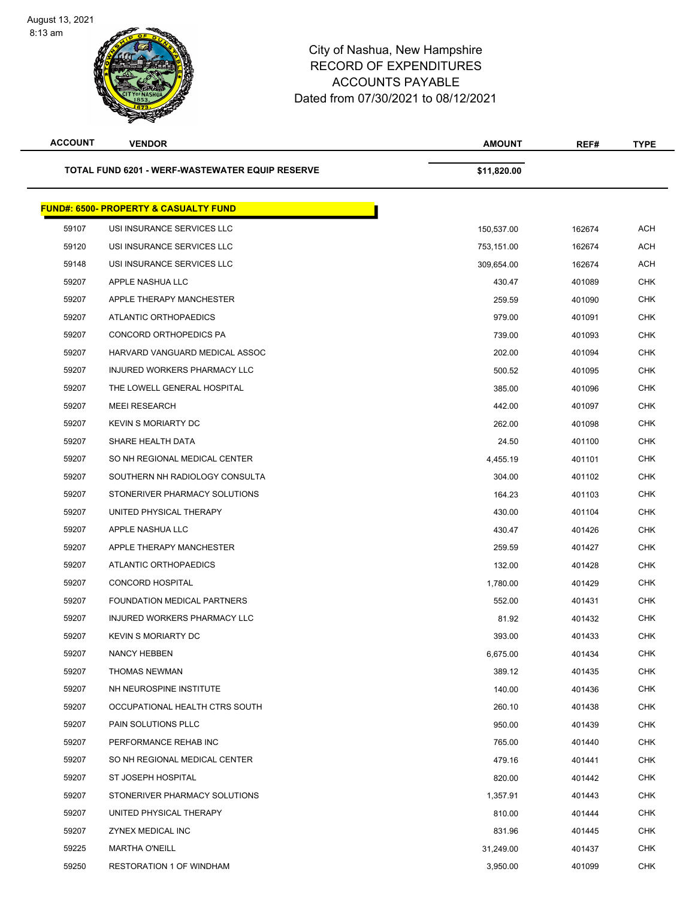August 13, 2021 8:13 am



## City of Nashua, New Hampshire RECORD OF EXPENDITURES ACCOUNTS PAYABLE Dated from 07/30/2021 to 08/12/2021

| <b>ACCOUNT</b>                                  | <b>VENDOR</b>                                    | <b>AMOUNT</b> | REF#   | <b>TYPE</b> |
|-------------------------------------------------|--------------------------------------------------|---------------|--------|-------------|
| TOTAL FUND 6201 - WERF-WASTEWATER EQUIP RESERVE |                                                  | \$11,820.00   |        |             |
|                                                 | <b>FUND#: 6500- PROPERTY &amp; CASUALTY FUND</b> |               |        |             |
| 59107                                           | USI INSURANCE SERVICES LLC                       | 150,537.00    | 162674 | <b>ACH</b>  |
| 59120                                           | USI INSURANCE SERVICES LLC                       | 753,151.00    | 162674 | <b>ACH</b>  |
| 59148                                           | USI INSURANCE SERVICES LLC                       | 309,654.00    | 162674 | <b>ACH</b>  |
| 59207                                           | APPLE NASHUA LLC                                 | 430.47        | 401089 | <b>CHK</b>  |
| 59207                                           | APPLE THERAPY MANCHESTER                         | 259.59        | 401090 | <b>CHK</b>  |
| 59207                                           | ATLANTIC ORTHOPAEDICS                            | 979.00        | 401091 | <b>CHK</b>  |
| 59207                                           | CONCORD ORTHOPEDICS PA                           | 739.00        | 401093 | <b>CHK</b>  |
| 59207                                           | HARVARD VANGUARD MEDICAL ASSOC                   | 202.00        | 401094 | <b>CHK</b>  |
| 59207                                           | INJURED WORKERS PHARMACY LLC                     | 500.52        | 401095 | <b>CHK</b>  |
| 59207                                           | THE LOWELL GENERAL HOSPITAL                      | 385.00        | 401096 | <b>CHK</b>  |
| 59207                                           | <b>MEEI RESEARCH</b>                             | 442.00        | 401097 | <b>CHK</b>  |
| 59207                                           | <b>KEVIN S MORIARTY DC</b>                       | 262.00        | 401098 | <b>CHK</b>  |
| 59207                                           | SHARE HEALTH DATA                                | 24.50         | 401100 | <b>CHK</b>  |
| 59207                                           | SO NH REGIONAL MEDICAL CENTER                    | 4,455.19      | 401101 | <b>CHK</b>  |
| 59207                                           | SOUTHERN NH RADIOLOGY CONSULTA                   | 304.00        | 401102 | <b>CHK</b>  |
| 59207                                           | STONERIVER PHARMACY SOLUTIONS                    | 164.23        | 401103 | <b>CHK</b>  |
| 59207                                           | UNITED PHYSICAL THERAPY                          | 430.00        | 401104 | <b>CHK</b>  |
| 59207                                           | APPLE NASHUA LLC                                 | 430.47        | 401426 | <b>CHK</b>  |
| 59207                                           | APPLE THERAPY MANCHESTER                         | 259.59        | 401427 | <b>CHK</b>  |
| 59207                                           | ATLANTIC ORTHOPAEDICS                            | 132.00        | 401428 | <b>CHK</b>  |
| 59207                                           | <b>CONCORD HOSPITAL</b>                          | 1,780.00      | 401429 | <b>CHK</b>  |
| 59207                                           | FOUNDATION MEDICAL PARTNERS                      | 552.00        | 401431 | <b>CHK</b>  |
| 59207                                           | INJURED WORKERS PHARMACY LLC                     | 81.92         | 401432 | <b>CHK</b>  |
| 59207                                           | <b>KEVIN S MORIARTY DC</b>                       | 393.00        | 401433 | <b>CHK</b>  |
| 59207                                           | <b>NANCY HEBBEN</b>                              | 6,675.00      | 401434 | <b>CHK</b>  |
| 59207                                           | THOMAS NEWMAN                                    | 389.12        | 401435 | <b>CHK</b>  |
| 59207                                           | NH NEUROSPINE INSTITUTE                          | 140.00        | 401436 | CHK         |
| 59207                                           | OCCUPATIONAL HEALTH CTRS SOUTH                   | 260.10        | 401438 | <b>CHK</b>  |
| 59207                                           | PAIN SOLUTIONS PLLC                              | 950.00        | 401439 | CHK         |
| 59207                                           | PERFORMANCE REHAB INC                            | 765.00        | 401440 | <b>CHK</b>  |
| 59207                                           | SO NH REGIONAL MEDICAL CENTER                    | 479.16        | 401441 | <b>CHK</b>  |
| 59207                                           | ST JOSEPH HOSPITAL                               | 820.00        | 401442 | CHK         |
| 59207                                           | STONERIVER PHARMACY SOLUTIONS                    | 1,357.91      | 401443 | <b>CHK</b>  |
| 59207                                           | UNITED PHYSICAL THERAPY                          | 810.00        | 401444 | CHK         |
| 59207                                           | ZYNEX MEDICAL INC                                | 831.96        | 401445 | <b>CHK</b>  |
| 59225                                           | <b>MARTHA O'NEILL</b>                            | 31,249.00     | 401437 | CHK         |
| 59250                                           | <b>RESTORATION 1 OF WINDHAM</b>                  | 3,950.00      | 401099 | <b>CHK</b>  |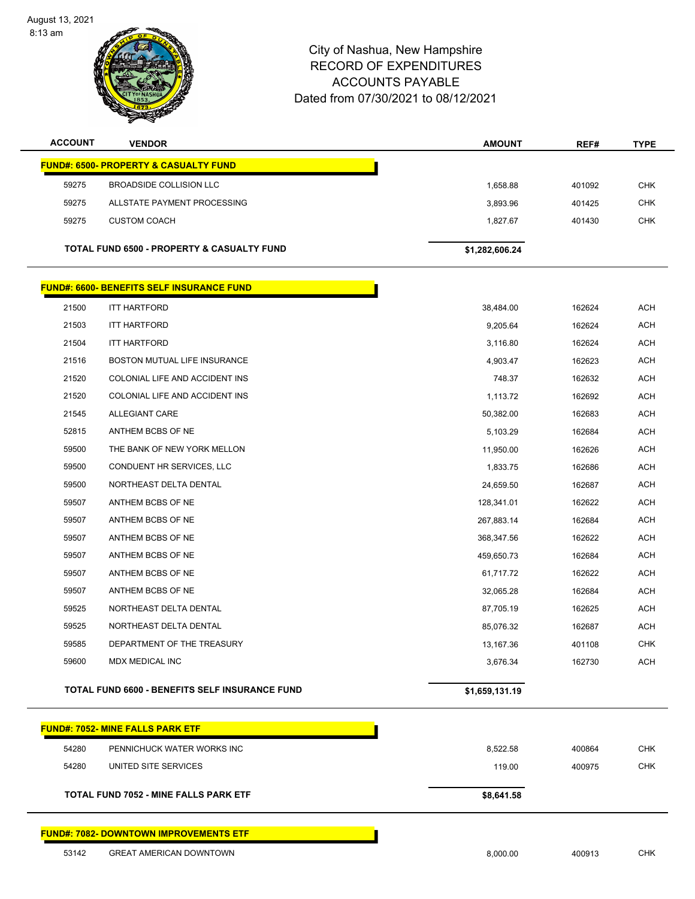August 13, 2021 8:13 am



## City of Nashua, New Hampshire RECORD OF EXPENDITURES ACCOUNTS PAYABLE Dated from 07/30/2021 to 08/12/2021

| <b>ACCOUNT</b>                                        | <b>VENDOR</b>                             | <b>AMOUNT</b>  | REF#   | <b>TYPE</b> |  |
|-------------------------------------------------------|-------------------------------------------|----------------|--------|-------------|--|
| <b>FUND#: 6500- PROPERTY &amp; CASUALTY FUND</b>      |                                           |                |        |             |  |
| 59275                                                 | BROADSIDE COLLISION LLC                   | 1,658.88       | 401092 | <b>CHK</b>  |  |
| 59275                                                 | ALLSTATE PAYMENT PROCESSING               | 3,893.96       | 401425 | <b>CHK</b>  |  |
| 59275                                                 | <b>CUSTOM COACH</b>                       | 1,827.67       | 401430 | <b>CHK</b>  |  |
| <b>TOTAL FUND 6500 - PROPERTY &amp; CASUALTY FUND</b> |                                           | \$1,282,606.24 |        |             |  |
|                                                       | FUND#: 6600- BENEFITS SELF INSURANCE FUND |                |        |             |  |
| 21500                                                 | <b>ITT HARTFORD</b>                       | 38,484.00      | 162624 | <b>ACH</b>  |  |
| 21503                                                 | <b>ITT HARTFORD</b>                       | 9,205.64       | 162624 | <b>ACH</b>  |  |
| 21504                                                 | <b>ITT HARTFORD</b>                       | 3,116.80       | 162624 | <b>ACH</b>  |  |
| 21516                                                 | <b>BOSTON MUTUAL LIFE INSURANCE</b>       | 4,903.47       | 162623 | <b>ACH</b>  |  |
| 21520                                                 | COLONIAL LIFE AND ACCIDENT INS            | 748.37         | 162632 | <b>ACH</b>  |  |
| 21520                                                 | COLONIAL LIFE AND ACCIDENT INS            | 1,113.72       | 162692 | <b>ACH</b>  |  |
| 21545                                                 | <b>ALLEGIANT CARE</b>                     | 50,382.00      | 162683 | <b>ACH</b>  |  |
| 52815                                                 | ANTHEM BCBS OF NE                         | 5,103.29       | 162684 | <b>ACH</b>  |  |
| 59500                                                 | THE BANK OF NEW YORK MELLON               | 11,950.00      | 162626 | <b>ACH</b>  |  |
| 59500                                                 | CONDUENT HR SERVICES, LLC                 | 1,833.75       | 162686 | <b>ACH</b>  |  |
| 59500                                                 | NORTHEAST DELTA DENTAL                    | 24,659.50      | 162687 | <b>ACH</b>  |  |
| 59507                                                 | ANTHEM BCBS OF NE                         | 128,341.01     | 162622 | <b>ACH</b>  |  |
| 59507                                                 | ANTHEM BCBS OF NE                         | 267,883.14     | 162684 | <b>ACH</b>  |  |
| 59507                                                 | ANTHEM BCBS OF NE                         | 368,347.56     | 162622 | <b>ACH</b>  |  |
| 59507                                                 | ANTHEM BCBS OF NE                         | 459,650.73     | 162684 | <b>ACH</b>  |  |
| 59507                                                 | ANTHEM BCBS OF NE                         | 61,717.72      | 162622 | <b>ACH</b>  |  |
| 59507                                                 | ANTHEM BCBS OF NE                         | 32,065.28      | 162684 | <b>ACH</b>  |  |
| 59525                                                 | NORTHEAST DELTA DENTAL                    | 87,705.19      | 162625 | <b>ACH</b>  |  |
| 59525                                                 | NORTHEAST DELTA DENTAL                    | 85,076.32      | 162687 | <b>ACH</b>  |  |
| 59585                                                 | DEPARTMENT OF THE TREASURY                | 13,167.36      | 401108 | <b>CHK</b>  |  |
| 59600                                                 | <b>MDX MEDICAL INC</b>                    | 3,676.34       | 162730 | <b>ACH</b>  |  |
|                                                       |                                           |                |        |             |  |

**FUND#: 7052- MINE FALLS PARK ETF** PENNICHUCK WATER WORKS INC 8,522.58 400864 CHK 54280 UNITED SITE SERVICES **119.00** CHK **TOTAL FUND 7052 - MINE FALLS PARK ETF \$8,641.58 FUND#: 7082- DOWNTOWN IMPROVEMENTS ETF**

**TOTAL FUND 6600 - BENEFITS SELF INSURANCE FUND \$1,659,131.19** 

GREAT AMERICAN DOWNTOWN 8,000.00 400913 CHK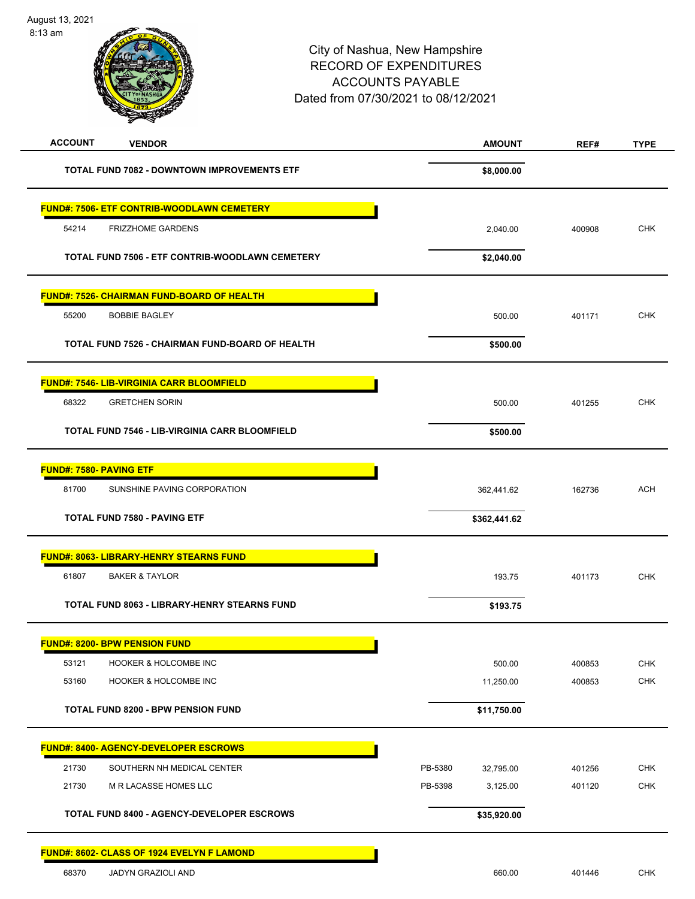August 13, 2021 8:13 am



| <b>ACCOUNT</b><br><b>VENDOR</b>                       | <b>AMOUNT</b>        | REF#   | <b>TYPE</b> |
|-------------------------------------------------------|----------------------|--------|-------------|
| <b>TOTAL FUND 7082 - DOWNTOWN IMPROVEMENTS ETF</b>    | \$8,000.00           |        |             |
| <b>FUND#: 7506- ETF CONTRIB-WOODLAWN CEMETERY</b>     |                      |        |             |
| 54214<br><b>FRIZZHOME GARDENS</b>                     | 2,040.00             | 400908 | <b>CHK</b>  |
| TOTAL FUND 7506 - ETF CONTRIB-WOODLAWN CEMETERY       | \$2,040.00           |        |             |
| FUND#: 7526- CHAIRMAN FUND-BOARD OF HEALTH            |                      |        |             |
| 55200<br><b>BOBBIE BAGLEY</b>                         | 500.00               | 401171 | <b>CHK</b>  |
| TOTAL FUND 7526 - CHAIRMAN FUND-BOARD OF HEALTH       | \$500.00             |        |             |
| <b>FUND#: 7546- LIB-VIRGINIA CARR BLOOMFIELD</b>      |                      |        |             |
| 68322<br><b>GRETCHEN SORIN</b>                        | 500.00               | 401255 | <b>CHK</b>  |
| <b>TOTAL FUND 7546 - LIB-VIRGINIA CARR BLOOMFIELD</b> | \$500.00             |        |             |
| <b>FUND#: 7580- PAVING ETF</b>                        |                      |        |             |
| 81700<br>SUNSHINE PAVING CORPORATION                  | 362,441.62           | 162736 | <b>ACH</b>  |
| <b>TOTAL FUND 7580 - PAVING ETF</b>                   | \$362,441.62         |        |             |
| <b>FUND#: 8063- LIBRARY-HENRY STEARNS FUND</b>        |                      |        |             |
| 61807<br><b>BAKER &amp; TAYLOR</b>                    | 193.75               | 401173 | <b>CHK</b>  |
| <b>TOTAL FUND 8063 - LIBRARY-HENRY STEARNS FUND</b>   | \$193.75             |        |             |
| <b>FUND#: 8200- BPW PENSION FUND</b>                  |                      |        |             |
| 53121<br><b>HOOKER &amp; HOLCOMBE INC</b>             | 500.00               | 400853 | <b>CHK</b>  |
| 53160<br><b>HOOKER &amp; HOLCOMBE INC</b>             | 11,250.00            | 400853 | <b>CHK</b>  |
| TOTAL FUND 8200 - BPW PENSION FUND                    | \$11,750.00          |        |             |
| <b>FUND#: 8400- AGENCY-DEVELOPER ESCROWS</b>          |                      |        |             |
| 21730<br>SOUTHERN NH MEDICAL CENTER                   | PB-5380<br>32,795.00 | 401256 | CHK         |
| 21730<br>M R LACASSE HOMES LLC                        | PB-5398<br>3,125.00  | 401120 | <b>CHK</b>  |
| <b>TOTAL FUND 8400 - AGENCY-DEVELOPER ESCROWS</b>     | \$35,920.00          |        |             |
| FUND#: 8602- CLASS OF 1924 EVELYN F LAMOND            |                      |        |             |
| 68370<br>JADYN GRAZIOLI AND                           | 660.00               | 401446 | CHK         |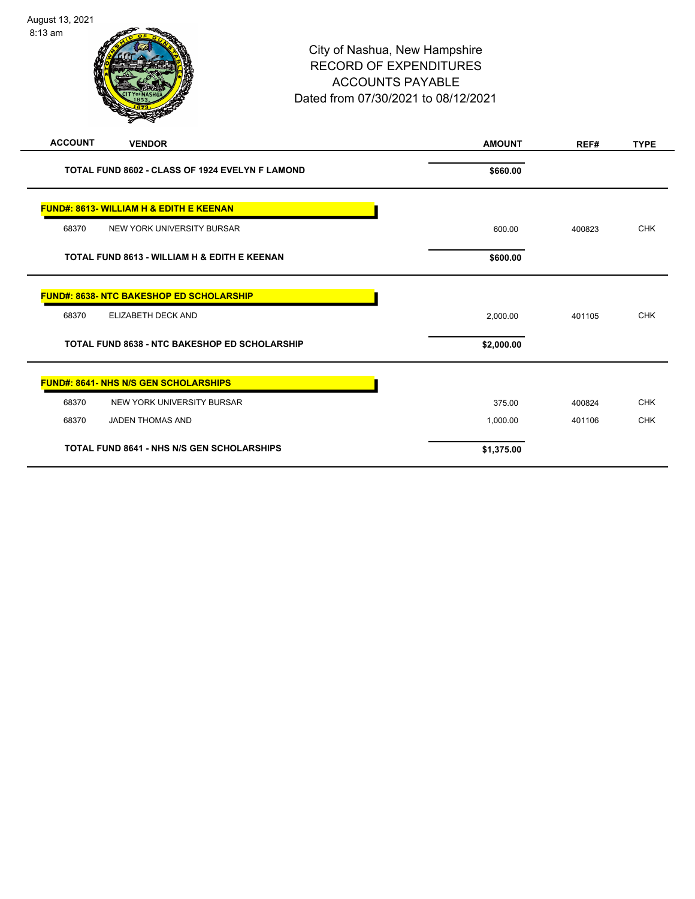| <b>ACCOUNT</b>                                       | <b>VENDOR</b>                                   | <b>AMOUNT</b> | REF#   | <b>TYPE</b> |
|------------------------------------------------------|-------------------------------------------------|---------------|--------|-------------|
| TOTAL FUND 8602 - CLASS OF 1924 EVELYN F LAMOND      |                                                 | \$660.00      |        |             |
| <b>FUND#: 8613- WILLIAM H &amp; EDITH E KEENAN</b>   |                                                 |               |        |             |
| 68370                                                | NEW YORK UNIVERSITY BURSAR                      | 600.00        | 400823 | <b>CHK</b>  |
|                                                      | TOTAL FUND 8613 - WILLIAM H & EDITH E KEENAN    | \$600.00      |        |             |
|                                                      | <b>FUND#: 8638- NTC BAKESHOP ED SCHOLARSHIP</b> |               |        |             |
| 68370                                                | ELIZABETH DECK AND                              | 2,000.00      | 401105 | <b>CHK</b>  |
| <b>TOTAL FUND 8638 - NTC BAKESHOP ED SCHOLARSHIP</b> |                                                 | \$2,000.00    |        |             |
| <b>FUND#: 8641- NHS N/S GEN SCHOLARSHIPS</b>         |                                                 |               |        |             |
| 68370                                                | NEW YORK UNIVERSITY BURSAR                      | 375.00        | 400824 | <b>CHK</b>  |
| 68370                                                | <b>JADEN THOMAS AND</b>                         | 1,000.00      | 401106 | <b>CHK</b>  |
| <b>TOTAL FUND 8641 - NHS N/S GEN SCHOLARSHIPS</b>    |                                                 | \$1,375.00    |        |             |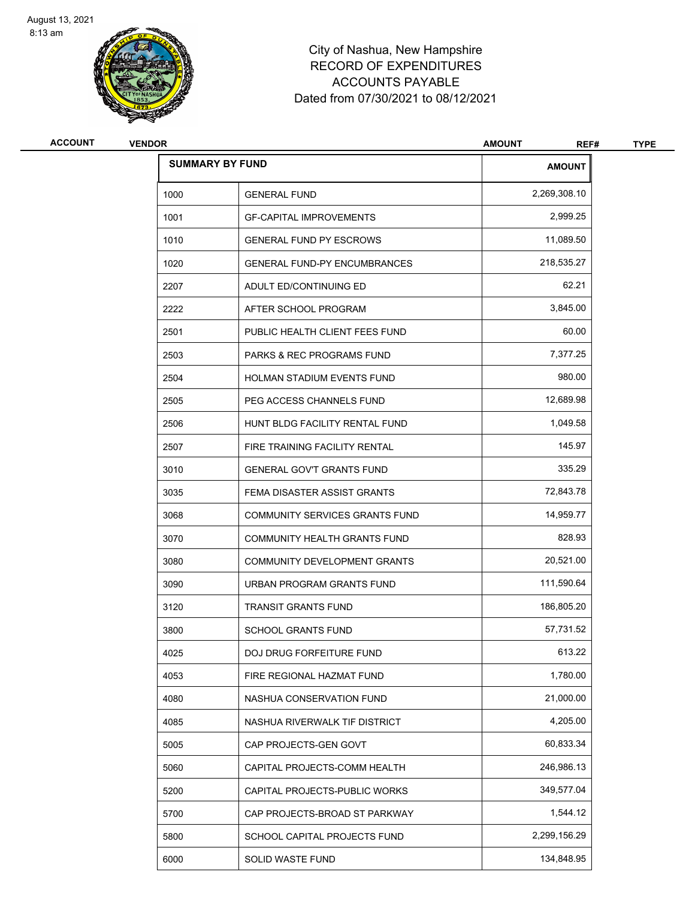

## City of Nashua, New Hampshire RECORD OF EXPENDITURES ACCOUNTS PAYABLE Dated from 07/30/2021 to 08/12/2021

| <b>VENDOR</b> |                                       | <b>AMOUNT</b><br>REF#  | <b>TYPE</b> |
|---------------|---------------------------------------|------------------------|-------------|
|               |                                       | <b>AMOUNT</b>          |             |
| 1000          | <b>GENERAL FUND</b>                   | 2,269,308.10           |             |
| 1001          | <b>GF-CAPITAL IMPROVEMENTS</b>        | 2,999.25               |             |
| 1010          | <b>GENERAL FUND PY ESCROWS</b>        | 11,089.50              |             |
| 1020          | <b>GENERAL FUND-PY ENCUMBRANCES</b>   | 218,535.27             |             |
| 2207          | ADULT ED/CONTINUING ED                | 62.21                  |             |
| 2222          | AFTER SCHOOL PROGRAM                  | 3,845.00               |             |
| 2501          | PUBLIC HEALTH CLIENT FEES FUND        | 60.00                  |             |
| 2503          | PARKS & REC PROGRAMS FUND             | 7,377.25               |             |
| 2504          | HOLMAN STADIUM EVENTS FUND            | 980.00                 |             |
| 2505          | PEG ACCESS CHANNELS FUND              | 12,689.98              |             |
| 2506          | HUNT BLDG FACILITY RENTAL FUND        | 1,049.58               |             |
| 2507          | FIRE TRAINING FACILITY RENTAL         | 145.97                 |             |
| 3010          | <b>GENERAL GOV'T GRANTS FUND</b>      | 335.29                 |             |
| 3035          | FEMA DISASTER ASSIST GRANTS           | 72,843.78              |             |
| 3068          | <b>COMMUNITY SERVICES GRANTS FUND</b> | 14,959.77              |             |
| 3070          | COMMUNITY HEALTH GRANTS FUND          | 828.93                 |             |
| 3080          | COMMUNITY DEVELOPMENT GRANTS          | 20,521.00              |             |
| 3090          | URBAN PROGRAM GRANTS FUND             | 111,590.64             |             |
| 3120          | <b>TRANSIT GRANTS FUND</b>            | 186,805.20             |             |
| 3800          | <b>SCHOOL GRANTS FUND</b>             | 57,731.52              |             |
| 4025          | DOJ DRUG FORFEITURE FUND              | 613.22                 |             |
| 4053          | FIRE REGIONAL HAZMAT FUND             | 1,780.00               |             |
| 4080          | NASHUA CONSERVATION FUND              | 21,000.00              |             |
| 4085          | NASHUA RIVERWALK TIF DISTRICT         | 4,205.00               |             |
| 5005          | CAP PROJECTS-GEN GOVT                 | 60,833.34              |             |
| 5060          | CAPITAL PROJECTS-COMM HEALTH          | 246,986.13             |             |
| 5200          | CAPITAL PROJECTS-PUBLIC WORKS         | 349,577.04             |             |
| 5700          | CAP PROJECTS-BROAD ST PARKWAY         | 1,544.12               |             |
| 5800          | SCHOOL CAPITAL PROJECTS FUND          | 2,299,156.29           |             |
| 6000          | SOLID WASTE FUND                      | 134,848.95             |             |
|               |                                       | <b>SUMMARY BY FUND</b> |             |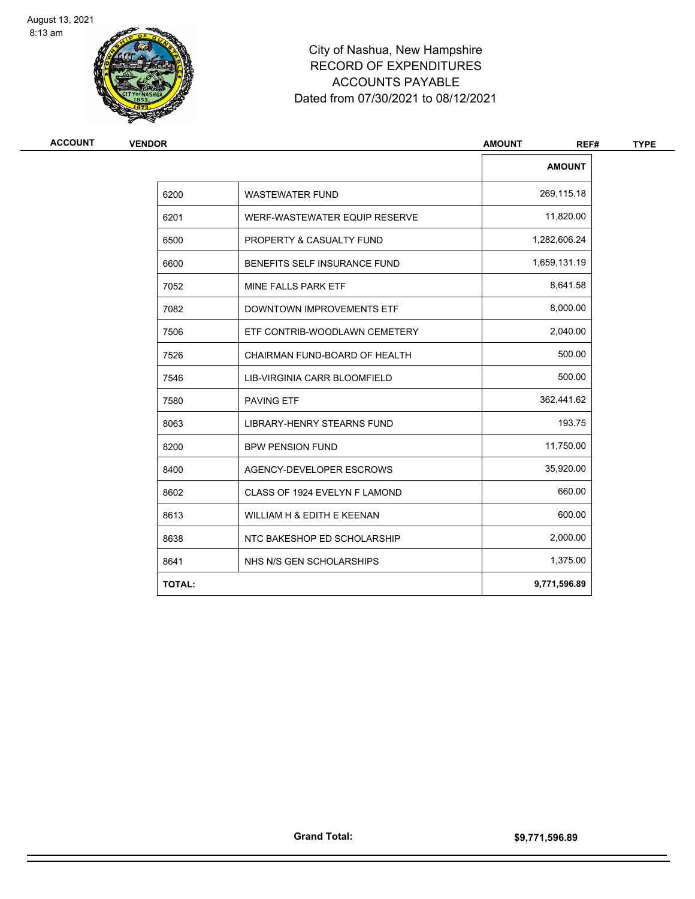

# City of Nashua, New Hampshire RECORD OF EXPENDITURES ACCOUNTS PAYABLE Dated from 07/30/2021 to 08/12/2021

| <b>VENDOR</b> |                                   | <b>AMOUNT</b><br>REF# |
|---------------|-----------------------------------|-----------------------|
|               |                                   | <b>AMOUNT</b>         |
| 6200          | <b>WASTEWATER FUND</b>            | 269,115.18            |
| 6201          | WERF-WASTEWATER EQUIP RESERVE     | 11,820.00             |
| 6500          | PROPERTY & CASUALTY FUND          | 1,282,606.24          |
| 6600          | BENEFITS SELF INSURANCE FUND      | 1,659,131.19          |
| 7052          | MINE FALLS PARK ETF               | 8,641.58              |
| 7082          | DOWNTOWN IMPROVEMENTS ETF         | 8,000.00              |
| 7506          | ETF CONTRIB-WOODLAWN CEMETERY     | 2,040.00              |
| 7526          | CHAIRMAN FUND-BOARD OF HEALTH     | 500.00                |
| 7546          | LIB-VIRGINIA CARR BLOOMFIELD      | 500.00                |
| 7580          | <b>PAVING ETF</b>                 | 362,441.62            |
| 8063          | <b>LIBRARY-HENRY STEARNS FUND</b> | 193.75                |
| 8200          | <b>BPW PENSION FUND</b>           | 11,750.00             |
| 8400          | AGENCY-DEVELOPER ESCROWS          | 35,920.00             |
| 8602          | CLASS OF 1924 EVELYN F LAMOND     | 660.00                |
| 8613          | WILLIAM H & EDITH E KEENAN        | 600.00                |
| 8638          | NTC BAKESHOP ED SCHOLARSHIP       | 2,000.00              |
| 8641          | NHS N/S GEN SCHOLARSHIPS          | 1,375.00              |
| <b>TOTAL:</b> |                                   | 9,771,596.89          |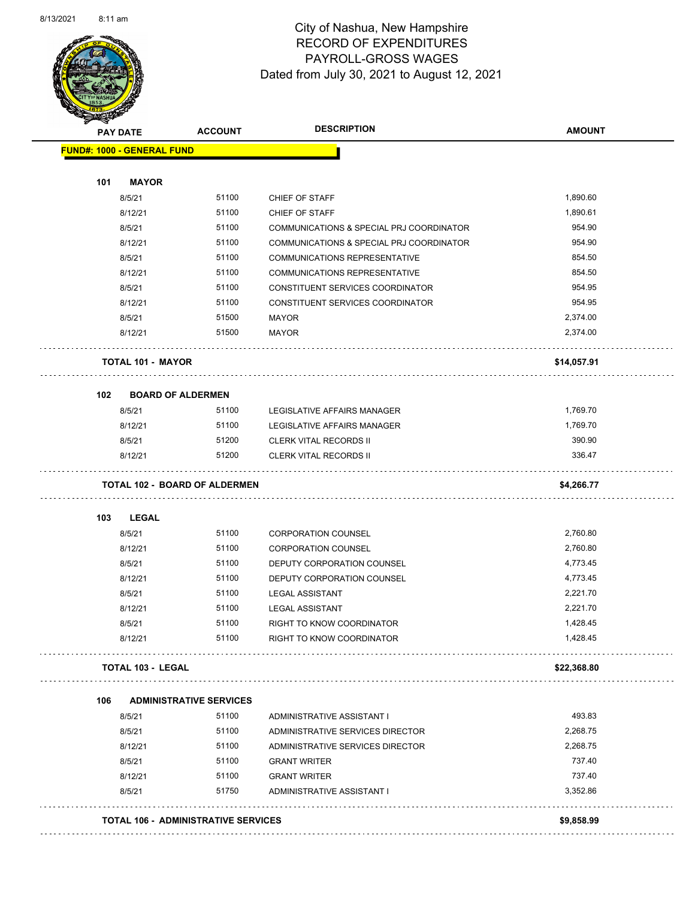

Page 38 of 90

|                                   | PAY DATE                 | <b>ACCOUNT</b>                       | <b>DESCRIPTION</b>                       | <b>AMOUNT</b> |
|-----------------------------------|--------------------------|--------------------------------------|------------------------------------------|---------------|
| <b>FUND#: 1000 - GENERAL FUND</b> |                          |                                      |                                          |               |
| 101                               | <b>MAYOR</b>             |                                      |                                          |               |
|                                   | 8/5/21                   | 51100                                | CHIEF OF STAFF                           | 1,890.60      |
|                                   | 8/12/21                  | 51100                                | CHIEF OF STAFF                           | 1,890.61      |
|                                   | 8/5/21                   | 51100                                | COMMUNICATIONS & SPECIAL PRJ COORDINATOR | 954.90        |
|                                   | 8/12/21                  | 51100                                | COMMUNICATIONS & SPECIAL PRJ COORDINATOR | 954.90        |
|                                   | 8/5/21                   | 51100                                | COMMUNICATIONS REPRESENTATIVE            | 854.50        |
|                                   | 8/12/21                  | 51100                                | COMMUNICATIONS REPRESENTATIVE            | 854.50        |
|                                   | 8/5/21                   | 51100                                | CONSTITUENT SERVICES COORDINATOR         | 954.95        |
|                                   | 8/12/21                  | 51100                                | CONSTITUENT SERVICES COORDINATOR         | 954.95        |
|                                   | 8/5/21                   | 51500                                | <b>MAYOR</b>                             | 2,374.00      |
|                                   | 8/12/21                  | 51500                                | <b>MAYOR</b>                             | 2,374.00      |
|                                   | <b>TOTAL 101 - MAYOR</b> |                                      |                                          | \$14,057.91   |
|                                   |                          |                                      |                                          |               |
| 102                               |                          | <b>BOARD OF ALDERMEN</b>             |                                          |               |
|                                   | 8/5/21                   | 51100                                | LEGISLATIVE AFFAIRS MANAGER              | 1,769.70      |
|                                   | 8/12/21                  | 51100                                | LEGISLATIVE AFFAIRS MANAGER              | 1,769.70      |
|                                   | 8/5/21                   | 51200                                | <b>CLERK VITAL RECORDS II</b>            | 390.90        |
|                                   | 8/12/21                  | 51200                                | <b>CLERK VITAL RECORDS II</b>            | 336.47        |
|                                   |                          | <b>TOTAL 102 - BOARD OF ALDERMEN</b> |                                          | \$4,266.77    |
| 103                               | <b>LEGAL</b>             |                                      |                                          |               |
|                                   | 8/5/21                   | 51100                                | <b>CORPORATION COUNSEL</b>               | 2,760.80      |
|                                   | 8/12/21                  | 51100                                | <b>CORPORATION COUNSEL</b>               | 2,760.80      |
|                                   | 8/5/21                   | 51100                                | DEPUTY CORPORATION COUNSEL               | 4,773.45      |
|                                   | 8/12/21                  | 51100                                | DEPUTY CORPORATION COUNSEL               | 4,773.45      |
|                                   | 8/5/21                   | 51100                                | <b>LEGAL ASSISTANT</b>                   | 2,221.70      |
|                                   | 8/12/21                  | 51100                                | <b>LEGAL ASSISTANT</b>                   | 2,221.70      |
|                                   | 8/5/21                   | 51100                                | RIGHT TO KNOW COORDINATOR                | 1,428.45      |
|                                   | 8/12/21                  | 51100                                | RIGHT TO KNOW COORDINATOR                | 1,428.45      |
|                                   | <b>TOTAL 103 - LEGAL</b> |                                      |                                          | \$22,368.80   |
| 106                               |                          | <b>ADMINISTRATIVE SERVICES</b>       |                                          |               |
|                                   | 8/5/21                   | 51100                                | ADMINISTRATIVE ASSISTANT I               | 493.83        |
|                                   | 8/5/21                   | 51100                                | ADMINISTRATIVE SERVICES DIRECTOR         | 2,268.75      |
|                                   | 8/12/21                  | 51100                                | ADMINISTRATIVE SERVICES DIRECTOR         | 2,268.75      |
|                                   | 8/5/21                   | 51100                                | <b>GRANT WRITER</b>                      | 737.40        |
|                                   | 8/12/21                  | 51100                                | <b>GRANT WRITER</b>                      | 737.40        |
|                                   | 8/5/21                   | 51750                                | ADMINISTRATIVE ASSISTANT I               | 3,352.86      |
|                                   |                          |                                      | .                                        |               |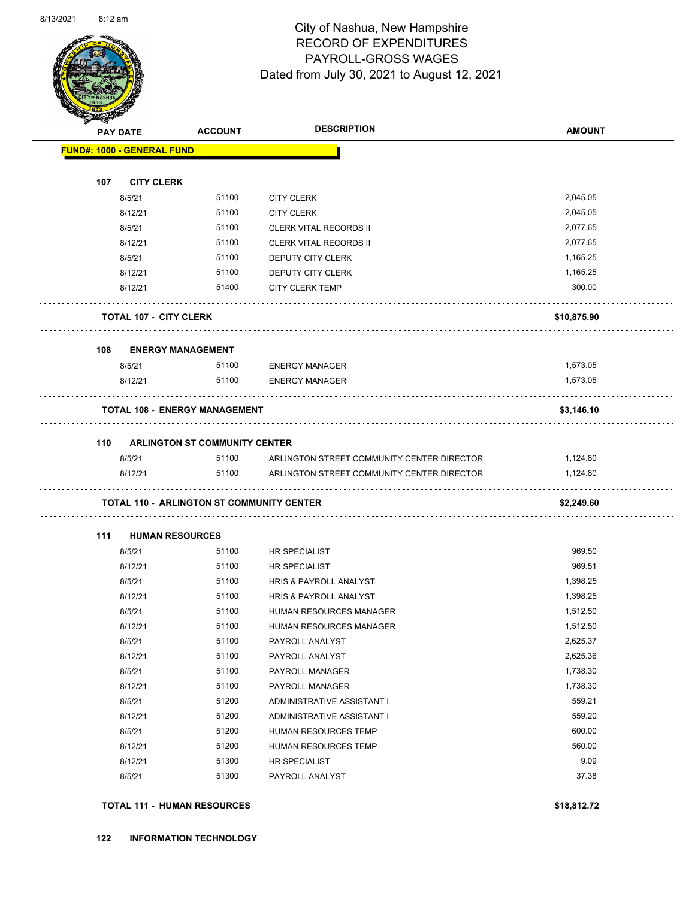

Page 39 of 90

|     | <b>PAY DATE</b>                   | <b>ACCOUNT</b>                                   | <b>DESCRIPTION</b>                         | <b>AMOUNT</b> |
|-----|-----------------------------------|--------------------------------------------------|--------------------------------------------|---------------|
|     | <b>FUND#: 1000 - GENERAL FUND</b> |                                                  |                                            |               |
| 107 | <b>CITY CLERK</b>                 |                                                  |                                            |               |
|     | 8/5/21                            | 51100                                            | <b>CITY CLERK</b>                          | 2,045.05      |
|     | 8/12/21                           | 51100                                            | <b>CITY CLERK</b>                          | 2,045.05      |
|     | 8/5/21                            | 51100                                            | <b>CLERK VITAL RECORDS II</b>              | 2,077.65      |
|     | 8/12/21                           | 51100                                            | <b>CLERK VITAL RECORDS II</b>              | 2,077.65      |
|     | 8/5/21                            | 51100                                            | DEPUTY CITY CLERK                          | 1,165.25      |
|     | 8/12/21                           | 51100                                            | DEPUTY CITY CLERK                          | 1,165.25      |
|     | 8/12/21                           | 51400                                            | <b>CITY CLERK TEMP</b>                     | 300.00        |
|     | <b>TOTAL 107 - CITY CLERK</b>     |                                                  |                                            | \$10,875.90   |
| 108 | <b>ENERGY MANAGEMENT</b>          |                                                  |                                            |               |
|     | 8/5/21                            | 51100                                            | <b>ENERGY MANAGER</b>                      | 1,573.05      |
|     | 8/12/21                           | 51100                                            | <b>ENERGY MANAGER</b>                      | 1,573.05      |
|     |                                   | <b>TOTAL 108 - ENERGY MANAGEMENT</b>             |                                            | \$3,146.10    |
| 110 |                                   | <b>ARLINGTON ST COMMUNITY CENTER</b>             |                                            |               |
|     | 8/5/21                            | 51100                                            | ARLINGTON STREET COMMUNITY CENTER DIRECTOR | 1,124.80      |
|     | 8/12/21                           | 51100                                            | ARLINGTON STREET COMMUNITY CENTER DIRECTOR | 1,124.80      |
|     |                                   | <b>TOTAL 110 - ARLINGTON ST COMMUNITY CENTER</b> |                                            | \$2,249.60    |
| 111 | <b>HUMAN RESOURCES</b>            |                                                  |                                            | 969.50        |
|     | 8/5/21                            | 51100<br>51100                                   | <b>HR SPECIALIST</b>                       | 969.51        |
|     | 8/12/21<br>8/5/21                 | 51100                                            | HR SPECIALIST<br>HRIS & PAYROLL ANALYST    | 1,398.25      |
|     | 8/12/21                           | 51100                                            | HRIS & PAYROLL ANALYST                     | 1,398.25      |
|     | 8/5/21                            | 51100                                            | HUMAN RESOURCES MANAGER                    | 1,512.50      |
|     |                                   | 51100                                            | HUMAN RESOURCES MANAGER                    | 1,512.50      |
|     |                                   |                                                  |                                            |               |
|     | 8/12/21                           | 51100                                            | PAYROLL ANALYST                            | 2,625.37      |
|     | 8/5/21<br>8/12/21                 | 51100                                            |                                            | 2,625.36      |
|     | 8/5/21                            | 51100                                            | PAYROLL ANALYST<br>PAYROLL MANAGER         | 1,738.30      |
|     | 8/12/21                           | 51100                                            | PAYROLL MANAGER                            | 1,738.30      |
|     | 8/5/21                            | 51200                                            | ADMINISTRATIVE ASSISTANT I                 | 559.21        |
|     | 8/12/21                           | 51200                                            | ADMINISTRATIVE ASSISTANT I                 | 559.20        |
|     | 8/5/21                            | 51200                                            | HUMAN RESOURCES TEMP                       | 600.00        |
|     | 8/12/21                           | 51200                                            | HUMAN RESOURCES TEMP                       | 560.00        |
|     | 8/12/21                           | 51300                                            | HR SPECIALIST                              | 9.09          |
|     | 8/5/21                            | 51300                                            | PAYROLL ANALYST                            | 37.38         |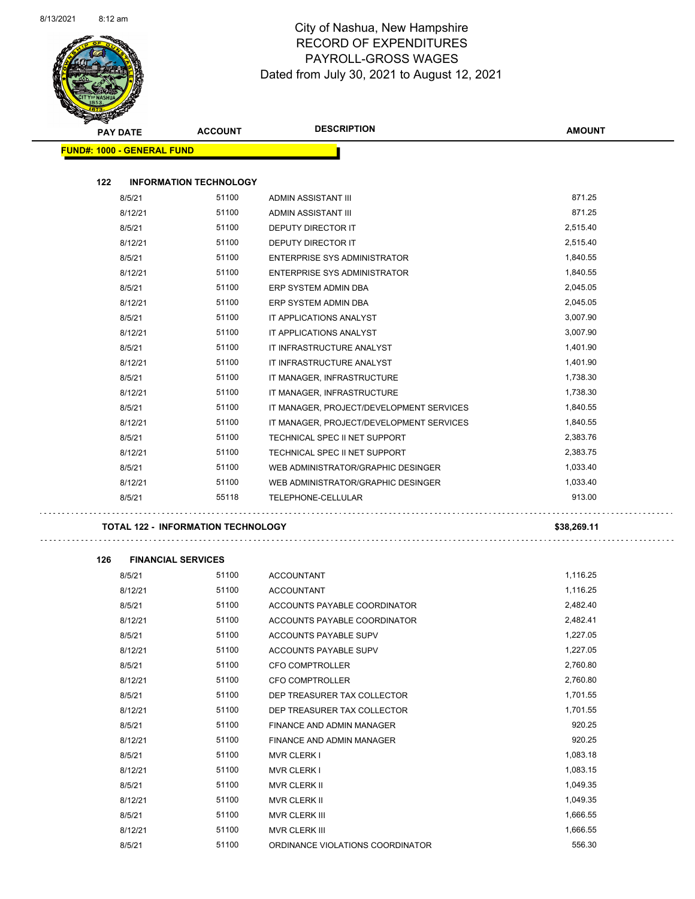

| <b>PAY DATE</b>                   | <b>ACCOUNT</b>                            | <b>DESCRIPTION</b>                       | <b>AMOUNT</b> |
|-----------------------------------|-------------------------------------------|------------------------------------------|---------------|
| <b>FUND#: 1000 - GENERAL FUND</b> |                                           |                                          |               |
|                                   |                                           |                                          |               |
| 122                               | <b>INFORMATION TECHNOLOGY</b>             |                                          |               |
| 8/5/21                            | 51100                                     | ADMIN ASSISTANT III                      | 871.25        |
| 8/12/21                           | 51100                                     | ADMIN ASSISTANT III                      | 871.25        |
| 8/5/21                            | 51100                                     | DEPUTY DIRECTOR IT                       | 2,515.40      |
| 8/12/21                           | 51100                                     | DEPUTY DIRECTOR IT                       | 2,515.40      |
| 8/5/21                            | 51100                                     | <b>ENTERPRISE SYS ADMINISTRATOR</b>      | 1,840.55      |
| 8/12/21                           | 51100                                     | ENTERPRISE SYS ADMINISTRATOR             | 1,840.55      |
| 8/5/21                            | 51100                                     | ERP SYSTEM ADMIN DBA                     | 2,045.05      |
| 8/12/21                           | 51100                                     | ERP SYSTEM ADMIN DBA                     | 2,045.05      |
| 8/5/21                            | 51100                                     | IT APPLICATIONS ANALYST                  | 3,007.90      |
| 8/12/21                           | 51100                                     | IT APPLICATIONS ANALYST                  | 3,007.90      |
| 8/5/21                            | 51100                                     | IT INFRASTRUCTURE ANALYST                | 1,401.90      |
| 8/12/21                           | 51100                                     | IT INFRASTRUCTURE ANALYST                | 1,401.90      |
| 8/5/21                            | 51100                                     | IT MANAGER, INFRASTRUCTURE               | 1,738.30      |
| 8/12/21                           | 51100                                     | IT MANAGER, INFRASTRUCTURE               | 1,738.30      |
| 8/5/21                            | 51100                                     | IT MANAGER, PROJECT/DEVELOPMENT SERVICES | 1,840.55      |
| 8/12/21                           | 51100                                     | IT MANAGER, PROJECT/DEVELOPMENT SERVICES | 1,840.55      |
| 8/5/21                            | 51100                                     | TECHNICAL SPEC II NET SUPPORT            | 2,383.76      |
| 8/12/21                           | 51100                                     | TECHNICAL SPEC II NET SUPPORT            | 2,383.75      |
| 8/5/21                            | 51100                                     | WEB ADMINISTRATOR/GRAPHIC DESINGER       | 1,033.40      |
| 8/12/21                           | 51100                                     | WEB ADMINISTRATOR/GRAPHIC DESINGER       | 1,033.40      |
| 8/5/21                            | 55118                                     | TELEPHONE-CELLULAR                       | 913.00        |
|                                   | <b>TOTAL 122 - INFORMATION TECHNOLOGY</b> |                                          | \$38,269.11   |
| 126                               | <b>FINANCIAL SERVICES</b>                 |                                          |               |
| 8/5/21                            | 51100                                     | <b>ACCOUNTANT</b>                        | 1,116.25      |
| 8/12/21                           | 51100                                     | <b>ACCOUNTANT</b>                        | 1,116.25      |
| 8/5/21                            | 51100                                     | ACCOUNTS PAYABLE COORDINATOR             | 2,482.40      |
| 8/12/21                           | 51100                                     | ACCOUNTS PAYABLE COORDINATOR             | 2,482.41      |
| 8/5/21                            | 51100                                     | ACCOUNTS PAYABLE SUPV                    | 1,227.05      |
| 8/12/21                           | 51100                                     | ACCOUNTS PAYABLE SUPV                    | 1,227.05      |
| 8/5/21                            | 51100                                     | <b>CFO COMPTROLLER</b>                   | 2,760.80      |
| 8/12/21                           | 51100                                     | CFO COMPTROLLER                          | 2,760.80      |
| 8/5/21                            | 51100                                     | DEP TREASURER TAX COLLECTOR              | 1,701.55      |
| 8/12/21                           | 51100                                     | DEP TREASURER TAX COLLECTOR              | 1,701.55      |
| 8/5/21                            | 51100                                     | FINANCE AND ADMIN MANAGER                | 920.25        |
| 8/12/21                           | 51100                                     | FINANCE AND ADMIN MANAGER                | 920.25        |
| 8/5/21                            | 51100                                     | MVR CLERK I                              | 1,083.18      |
| 8/12/21                           | 51100                                     | <b>MVR CLERK I</b>                       | 1,083.15      |
| 8/5/21                            | 51100                                     | MVR CLERK II                             | 1,049.35      |
| 8/12/21                           | 51100                                     | MVR CLERK II                             | 1,049.35      |
| 8/5/21                            | 51100                                     | MVR CLERK III                            | 1,666.55      |
| 8/12/21                           | 51100                                     | MVR CLERK III                            | 1,666.55      |
| 8/5/21                            | 51100                                     | ORDINANCE VIOLATIONS COORDINATOR         | 556.30        |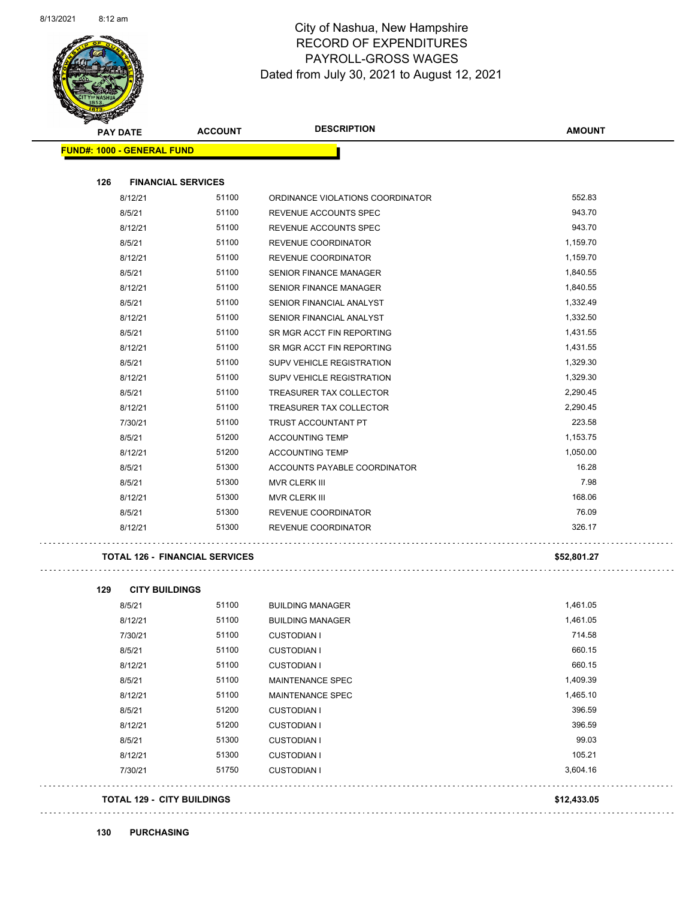

### City of Nashua, New Hampshire RECORD OF EXPENDITURES PAYROLL-GROSS WAGES Dated from July 30, 2021 to August 12, 2021

| <b>PAY DATE</b>                   | <b>ACCOUNT</b>                        | <b>DESCRIPTION</b>               | <b>AMOUNT</b> |
|-----------------------------------|---------------------------------------|----------------------------------|---------------|
| <b>FUND#: 1000 - GENERAL FUND</b> |                                       |                                  |               |
| <b>FINANCIAL SERVICES</b><br>126  |                                       |                                  |               |
| 8/12/21                           | 51100                                 | ORDINANCE VIOLATIONS COORDINATOR | 552.83        |
| 8/5/21                            | 51100                                 | REVENUE ACCOUNTS SPEC            | 943.70        |
| 8/12/21                           | 51100                                 | REVENUE ACCOUNTS SPEC            | 943.70        |
| 8/5/21                            | 51100                                 | REVENUE COORDINATOR              | 1,159.70      |
| 8/12/21                           | 51100                                 | <b>REVENUE COORDINATOR</b>       | 1,159.70      |
| 8/5/21                            | 51100                                 | <b>SENIOR FINANCE MANAGER</b>    | 1,840.55      |
| 8/12/21                           | 51100                                 | <b>SENIOR FINANCE MANAGER</b>    | 1,840.55      |
| 8/5/21                            | 51100                                 | SENIOR FINANCIAL ANALYST         | 1,332.49      |
| 8/12/21                           | 51100                                 | SENIOR FINANCIAL ANALYST         | 1,332.50      |
| 8/5/21                            | 51100                                 | SR MGR ACCT FIN REPORTING        | 1,431.55      |
| 8/12/21                           | 51100                                 | SR MGR ACCT FIN REPORTING        | 1,431.55      |
| 8/5/21                            | 51100                                 | SUPV VEHICLE REGISTRATION        | 1,329.30      |
| 8/12/21                           | 51100                                 | <b>SUPV VEHICLE REGISTRATION</b> | 1,329.30      |
| 8/5/21                            | 51100                                 | TREASURER TAX COLLECTOR          | 2,290.45      |
| 8/12/21                           | 51100                                 | <b>TREASURER TAX COLLECTOR</b>   | 2,290.45      |
| 7/30/21                           | 51100                                 | <b>TRUST ACCOUNTANT PT</b>       | 223.58        |
| 8/5/21                            | 51200                                 | <b>ACCOUNTING TEMP</b>           | 1,153.75      |
| 8/12/21                           | 51200                                 | <b>ACCOUNTING TEMP</b>           | 1,050.00      |
| 8/5/21                            | 51300                                 | ACCOUNTS PAYABLE COORDINATOR     | 16.28         |
| 8/5/21                            | 51300                                 | <b>MVR CLERK III</b>             | 7.98          |
| 8/12/21                           | 51300                                 | <b>MVR CLERK III</b>             | 168.06        |
| 8/5/21                            | 51300                                 | <b>REVENUE COORDINATOR</b>       | 76.09         |
| 8/12/21                           | 51300                                 | <b>REVENUE COORDINATOR</b>       | 326.17        |
|                                   | <b>TOTAL 126 - FINANCIAL SERVICES</b> |                                  | \$52,801.27   |

| 8/5/21  | 51100 | <b>BUILDING MANAGER</b> | 1,461.05 |
|---------|-------|-------------------------|----------|
| 8/12/21 | 51100 | <b>BUILDING MANAGER</b> | 1,461.05 |
| 7/30/21 | 51100 | <b>CUSTODIAN I</b>      | 714.58   |
| 8/5/21  | 51100 | <b>CUSTODIAN I</b>      | 660.15   |
| 8/12/21 | 51100 | <b>CUSTODIAN I</b>      | 660.15   |
| 8/5/21  | 51100 | <b>MAINTENANCE SPEC</b> | 1,409.39 |
| 8/12/21 | 51100 | <b>MAINTENANCE SPEC</b> | 1,465.10 |
| 8/5/21  | 51200 | <b>CUSTODIAN I</b>      | 396.59   |
| 8/12/21 | 51200 | <b>CUSTODIAN I</b>      | 396.59   |
| 8/5/21  | 51300 | <b>CUSTODIAN I</b>      | 99.03    |
| 8/12/21 | 51300 | <b>CUSTODIAN I</b>      | 105.21   |
| 7/30/21 | 51750 | <b>CUSTODIAN I</b>      | 3,604.16 |
|         |       |                         |          |

**TOTAL 129 - CITY BUILDINGS \$12,433.05**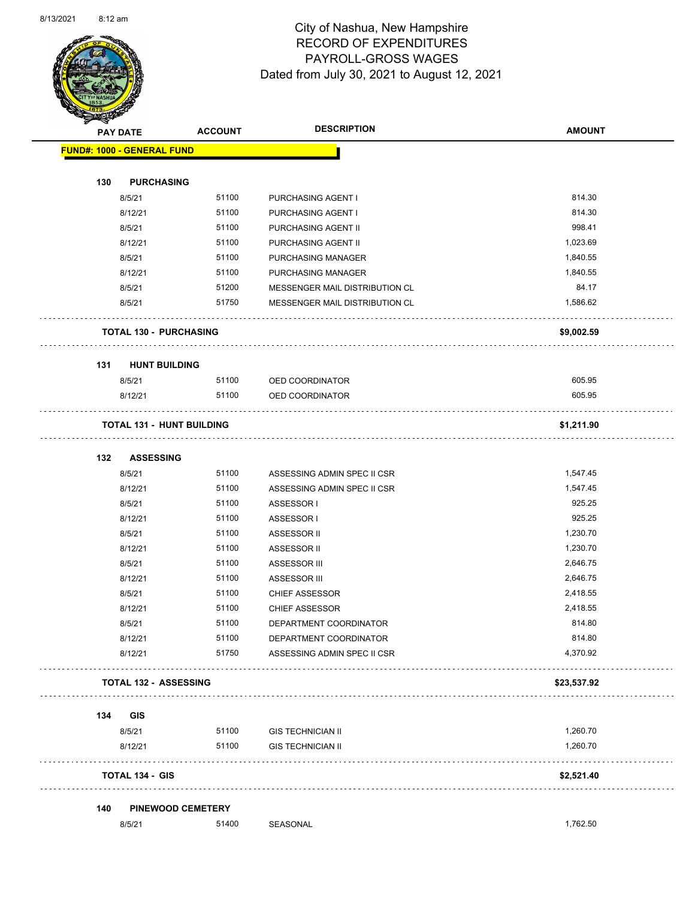

Page 42 of 90

|     | <b>PAY DATE</b>                   | <b>ACCOUNT</b> | <b>DESCRIPTION</b>                                    | <b>AMOUNT</b>        |
|-----|-----------------------------------|----------------|-------------------------------------------------------|----------------------|
|     | <b>FUND#: 1000 - GENERAL FUND</b> |                |                                                       |                      |
| 130 | <b>PURCHASING</b>                 |                |                                                       |                      |
|     | 8/5/21                            | 51100          | PURCHASING AGENT I                                    | 814.30               |
|     | 8/12/21                           | 51100          | PURCHASING AGENT I                                    | 814.30               |
|     | 8/5/21                            | 51100          | PURCHASING AGENT II                                   | 998.41               |
|     | 8/12/21                           | 51100          | PURCHASING AGENT II                                   | 1,023.69             |
|     | 8/5/21                            | 51100          | PURCHASING MANAGER                                    | 1,840.55             |
|     | 8/12/21                           | 51100          | PURCHASING MANAGER                                    | 1,840.55             |
|     | 8/5/21                            | 51200          | MESSENGER MAIL DISTRIBUTION CL                        | 84.17                |
|     | 8/5/21                            | 51750          | MESSENGER MAIL DISTRIBUTION CL                        | 1,586.62             |
|     | <b>TOTAL 130 - PURCHASING</b>     |                |                                                       | \$9,002.59           |
|     |                                   |                |                                                       |                      |
| 131 | <b>HUNT BUILDING</b><br>8/5/21    | 51100          | OED COORDINATOR                                       | 605.95               |
|     | 8/12/21                           | 51100          | OED COORDINATOR                                       | 605.95               |
|     | <b>TOTAL 131 - HUNT BUILDING</b>  |                |                                                       | \$1,211.90           |
|     |                                   |                |                                                       |                      |
| 132 | <b>ASSESSING</b>                  |                |                                                       |                      |
|     | 8/5/21                            | 51100          | ASSESSING ADMIN SPEC II CSR                           | 1,547.45             |
|     | 8/12/21                           | 51100          | ASSESSING ADMIN SPEC II CSR                           | 1,547.45             |
|     | 8/5/21                            | 51100          | ASSESSOR I                                            | 925.25               |
|     | 8/12/21                           | 51100          | ASSESSOR I                                            | 925.25               |
|     | 8/5/21                            | 51100          | ASSESSOR II                                           | 1,230.70             |
|     | 8/12/21                           | 51100          | ASSESSOR II                                           | 1,230.70             |
|     | 8/5/21                            | 51100          | ASSESSOR III                                          | 2,646.75<br>2,646.75 |
|     | 8/12/21                           | 51100          | ASSESSOR III                                          | 2,418.55             |
|     | 8/5/21                            | 51100          | <b>CHIEF ASSESSOR</b><br><b>CHIEF ASSESSOR</b>        |                      |
|     | 8/12/21                           | 51100<br>51100 | DEPARTMENT COORDINATOR                                | 2,418.55<br>814.80   |
|     | 8/5/21                            | 51100          |                                                       | 814.80               |
|     | 8/12/21<br>8/12/21                | 51750          | DEPARTMENT COORDINATOR<br>ASSESSING ADMIN SPEC II CSR | 4,370.92             |
|     | <b>TOTAL 132 - ASSESSING</b>      |                |                                                       | \$23,537.92          |
|     | .                                 |                |                                                       |                      |
| 134 | GIS<br>8/5/21                     | 51100          | <b>GIS TECHNICIAN II</b>                              | 1,260.70             |
|     | 8/12/21                           | 51100          | <b>GIS TECHNICIAN II</b>                              | 1,260.70             |
|     | <b>TOTAL 134 - GIS</b>            |                |                                                       | \$2,521.40           |
| 140 | <b>PINEWOOD CEMETERY</b>          |                |                                                       |                      |
|     |                                   |                |                                                       |                      |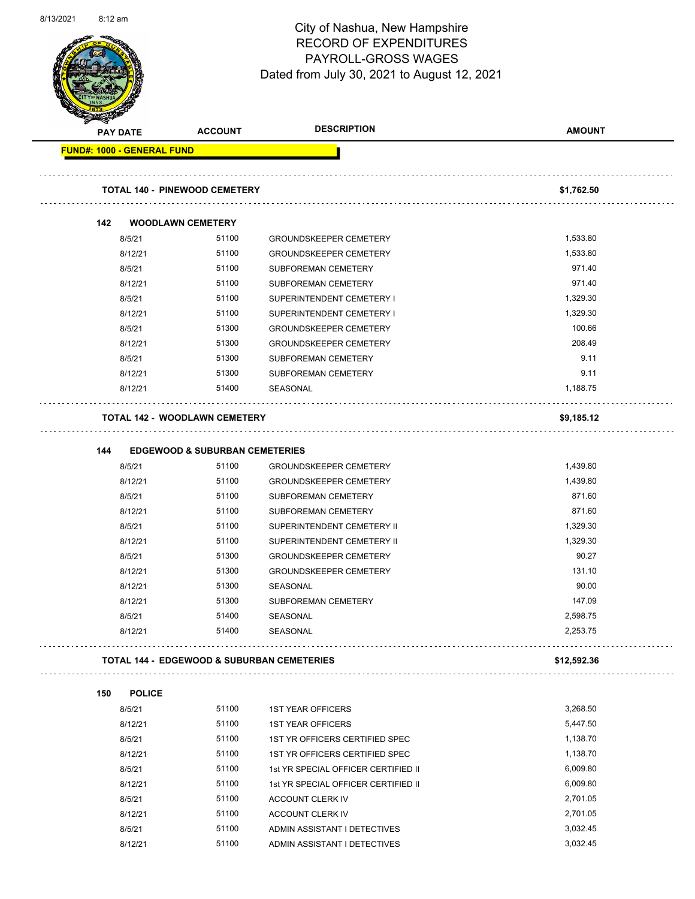

Page 43 of 90

|     | <b>PAY DATE</b>                   | <b>ACCOUNT</b>                                        | <b>DESCRIPTION</b>                  | <b>AMOUNT</b> |
|-----|-----------------------------------|-------------------------------------------------------|-------------------------------------|---------------|
|     | <b>FUND#: 1000 - GENERAL FUND</b> |                                                       |                                     |               |
|     |                                   | <b>TOTAL 140 - PINEWOOD CEMETERY</b>                  |                                     | \$1,762.50    |
| 142 |                                   | <b>WOODLAWN CEMETERY</b>                              |                                     |               |
|     | 8/5/21                            | 51100                                                 | <b>GROUNDSKEEPER CEMETERY</b>       | 1,533.80      |
|     | 8/12/21                           | 51100                                                 | <b>GROUNDSKEEPER CEMETERY</b>       | 1,533.80      |
|     | 8/5/21                            | 51100                                                 | <b>SUBFOREMAN CEMETERY</b>          | 971.40        |
|     | 8/12/21                           | 51100                                                 | SUBFOREMAN CEMETERY                 | 971.40        |
|     | 8/5/21                            | 51100                                                 | SUPERINTENDENT CEMETERY I           | 1,329.30      |
|     | 8/12/21                           | 51100                                                 | SUPERINTENDENT CEMETERY I           | 1,329.30      |
|     | 8/5/21                            | 51300                                                 | <b>GROUNDSKEEPER CEMETERY</b>       | 100.66        |
|     | 8/12/21                           | 51300                                                 | <b>GROUNDSKEEPER CEMETERY</b>       | 208.49        |
|     | 8/5/21                            | 51300                                                 | SUBFOREMAN CEMETERY                 | 9.11          |
|     | 8/12/21                           | 51300                                                 | SUBFOREMAN CEMETERY                 | 9.11          |
|     | 8/12/21                           | 51400                                                 | SEASONAL                            | 1,188.75      |
|     |                                   | <b>TOTAL 142 - WOODLAWN CEMETERY</b>                  |                                     | \$9,185.12    |
|     |                                   |                                                       |                                     |               |
| 144 |                                   | <b>EDGEWOOD &amp; SUBURBAN CEMETERIES</b>             |                                     |               |
|     | 8/5/21                            | 51100                                                 | <b>GROUNDSKEEPER CEMETERY</b>       | 1,439.80      |
|     | 8/12/21                           | 51100                                                 | <b>GROUNDSKEEPER CEMETERY</b>       | 1,439.80      |
|     | 8/5/21                            | 51100                                                 | <b>SUBFOREMAN CEMETERY</b>          | 871.60        |
|     | 8/12/21                           | 51100                                                 | SUBFOREMAN CEMETERY                 | 871.60        |
|     | 8/5/21                            | 51100                                                 | SUPERINTENDENT CEMETERY II          | 1,329.30      |
|     | 8/12/21                           | 51100                                                 | SUPERINTENDENT CEMETERY II          | 1,329.30      |
|     | 8/5/21                            | 51300                                                 | <b>GROUNDSKEEPER CEMETERY</b>       | 90.27         |
|     | 8/12/21                           | 51300                                                 | <b>GROUNDSKEEPER CEMETERY</b>       | 131.10        |
|     | 8/12/21                           | 51300                                                 | SEASONAL                            | 90.00         |
|     | 8/12/21                           | 51300                                                 | <b>SUBFOREMAN CEMETERY</b>          | 147.09        |
|     | 8/5/21                            | 51400                                                 | SEASONAL                            | 2,598.75      |
|     | 8/12/21                           | 51400                                                 | SEASONAL                            | 2,253.75      |
|     |                                   | <b>TOTAL 144 - EDGEWOOD &amp; SUBURBAN CEMETERIES</b> |                                     | \$12,592.36   |
| 150 | <b>POLICE</b>                     |                                                       |                                     |               |
|     | 8/5/21                            | 51100                                                 | <b>1ST YEAR OFFICERS</b>            | 3,268.50      |
|     | 8/12/21                           | 51100                                                 | <b>1ST YEAR OFFICERS</b>            | 5,447.50      |
|     | 8/5/21                            | 51100                                                 | 1ST YR OFFICERS CERTIFIED SPEC      | 1,138.70      |
|     | 8/12/21                           | 51100                                                 | 1ST YR OFFICERS CERTIFIED SPEC      | 1,138.70      |
|     | 8/5/21                            | 51100                                                 | 1st YR SPECIAL OFFICER CERTIFIED II | 6,009.80      |
|     | 8/12/21                           | 51100                                                 | 1st YR SPECIAL OFFICER CERTIFIED II | 6,009.80      |
|     | 8/5/21                            | 51100                                                 | ACCOUNT CLERK IV                    | 2,701.05      |
|     | 8/12/21                           | 51100                                                 | ACCOUNT CLERK IV                    | 2,701.05      |
|     | 8/5/21                            | 51100                                                 | ADMIN ASSISTANT I DETECTIVES        | 3,032.45      |
|     | 8/12/21                           | 51100                                                 | ADMIN ASSISTANT I DETECTIVES        | 3,032.45      |
|     |                                   |                                                       |                                     |               |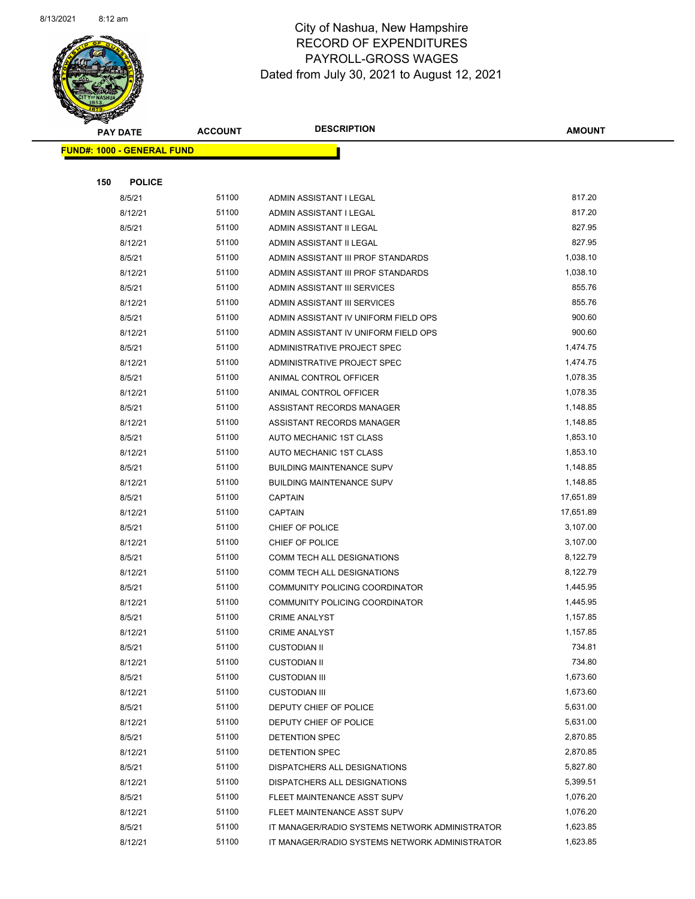

Page 44 of 90

| <b>PAY DATE</b>                   | <b>ACCOUNT</b> | <b>DESCRIPTION</b>                             | <b>AMOUNT</b> |
|-----------------------------------|----------------|------------------------------------------------|---------------|
| <b>FUND#: 1000 - GENERAL FUND</b> |                |                                                |               |
|                                   |                |                                                |               |
| 150<br><b>POLICE</b>              |                |                                                |               |
| 8/5/21                            | 51100          | ADMIN ASSISTANT I LEGAL                        | 817.20        |
| 8/12/21                           | 51100          | ADMIN ASSISTANT I LEGAL                        | 817.20        |
| 8/5/21                            | 51100          | ADMIN ASSISTANT II LEGAL                       | 827.95        |
| 8/12/21                           | 51100          | ADMIN ASSISTANT II LEGAL                       | 827.95        |
| 8/5/21                            | 51100          | ADMIN ASSISTANT III PROF STANDARDS             | 1,038.10      |
| 8/12/21                           | 51100          | ADMIN ASSISTANT III PROF STANDARDS             | 1,038.10      |
| 8/5/21                            | 51100          | ADMIN ASSISTANT III SERVICES                   | 855.76        |
| 8/12/21                           | 51100          | ADMIN ASSISTANT III SERVICES                   | 855.76        |
| 8/5/21                            | 51100          | ADMIN ASSISTANT IV UNIFORM FIELD OPS           | 900.60        |
| 8/12/21                           | 51100          | ADMIN ASSISTANT IV UNIFORM FIELD OPS           | 900.60        |
| 8/5/21                            | 51100          | ADMINISTRATIVE PROJECT SPEC                    | 1,474.75      |
| 8/12/21                           | 51100          | ADMINISTRATIVE PROJECT SPEC                    | 1,474.75      |
| 8/5/21                            | 51100          | ANIMAL CONTROL OFFICER                         | 1,078.35      |
| 8/12/21                           | 51100          | ANIMAL CONTROL OFFICER                         | 1,078.35      |
| 8/5/21                            | 51100          | ASSISTANT RECORDS MANAGER                      | 1,148.85      |
| 8/12/21                           | 51100          | ASSISTANT RECORDS MANAGER                      | 1,148.85      |
| 8/5/21                            | 51100          | AUTO MECHANIC 1ST CLASS                        | 1,853.10      |
| 8/12/21                           | 51100          | AUTO MECHANIC 1ST CLASS                        | 1,853.10      |
| 8/5/21                            | 51100          | <b>BUILDING MAINTENANCE SUPV</b>               | 1,148.85      |
| 8/12/21                           | 51100          | <b>BUILDING MAINTENANCE SUPV</b>               | 1,148.85      |
| 8/5/21                            | 51100          | <b>CAPTAIN</b>                                 | 17,651.89     |
| 8/12/21                           | 51100          | <b>CAPTAIN</b>                                 | 17,651.89     |
| 8/5/21                            | 51100          | CHIEF OF POLICE                                | 3,107.00      |
| 8/12/21                           | 51100          | CHIEF OF POLICE                                | 3,107.00      |
| 8/5/21                            | 51100          | COMM TECH ALL DESIGNATIONS                     | 8,122.79      |
| 8/12/21                           | 51100          | COMM TECH ALL DESIGNATIONS                     | 8,122.79      |
| 8/5/21                            | 51100          | COMMUNITY POLICING COORDINATOR                 | 1,445.95      |
| 8/12/21                           | 51100          | COMMUNITY POLICING COORDINATOR                 | 1,445.95      |
| 8/5/21                            | 51100          | <b>CRIME ANALYST</b>                           | 1,157.85      |
| 8/12/21                           | 51100          | <b>CRIME ANALYST</b>                           | 1,157.85      |
| 8/5/21                            | 51100          | <b>CUSTODIAN II</b>                            | 734.81        |
| 8/12/21                           | 51100          | <b>CUSTODIAN II</b>                            | 734.80        |
| 8/5/21                            | 51100          | <b>CUSTODIAN III</b>                           | 1,673.60      |
| 8/12/21                           | 51100          | <b>CUSTODIAN III</b>                           | 1,673.60      |
| 8/5/21                            | 51100          | DEPUTY CHIEF OF POLICE                         | 5,631.00      |
| 8/12/21                           | 51100          | DEPUTY CHIEF OF POLICE                         | 5,631.00      |
| 8/5/21                            | 51100          | <b>DETENTION SPEC</b>                          | 2,870.85      |
| 8/12/21                           | 51100          | DETENTION SPEC                                 | 2,870.85      |
| 8/5/21                            | 51100          | DISPATCHERS ALL DESIGNATIONS                   | 5,827.80      |
| 8/12/21                           | 51100          | DISPATCHERS ALL DESIGNATIONS                   | 5,399.51      |
| 8/5/21                            | 51100          | FLEET MAINTENANCE ASST SUPV                    | 1,076.20      |
| 8/12/21                           | 51100          | FLEET MAINTENANCE ASST SUPV                    | 1,076.20      |
| 8/5/21                            | 51100          | IT MANAGER/RADIO SYSTEMS NETWORK ADMINISTRATOR | 1,623.85      |
| 8/12/21                           | 51100          | IT MANAGER/RADIO SYSTEMS NETWORK ADMINISTRATOR | 1,623.85      |
|                                   |                |                                                |               |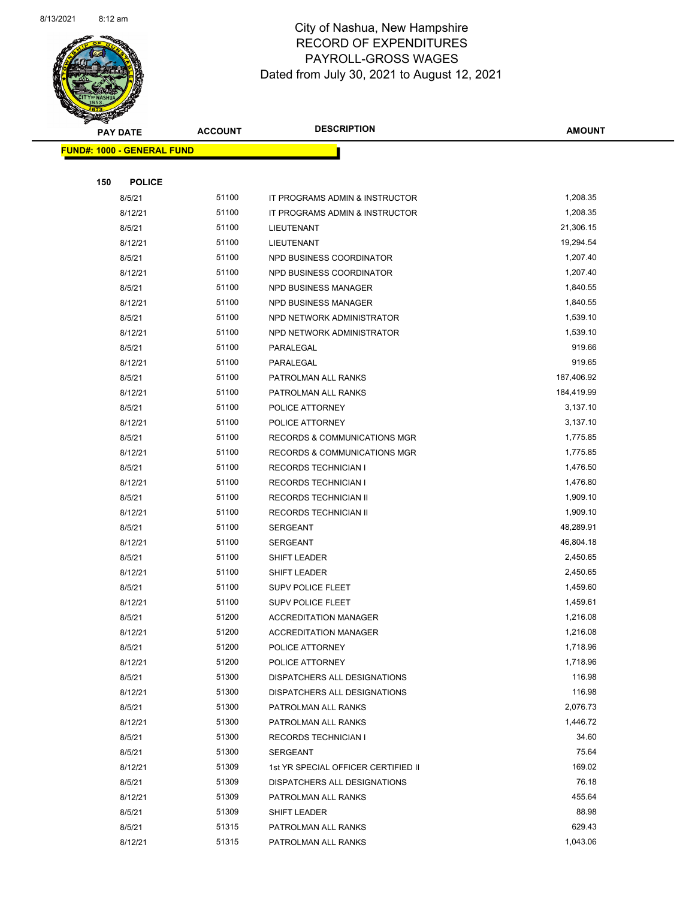

Page 45 of 90

|     | <b>PAY DATE</b>                   | <b>ACCOUNT</b> | <b>DESCRIPTION</b>                         | <b>AMOUNT</b>      |
|-----|-----------------------------------|----------------|--------------------------------------------|--------------------|
|     | <b>FUND#: 1000 - GENERAL FUND</b> |                |                                            |                    |
|     |                                   |                |                                            |                    |
| 150 | <b>POLICE</b>                     |                |                                            |                    |
|     | 8/5/21                            | 51100          | IT PROGRAMS ADMIN & INSTRUCTOR             | 1,208.35           |
|     | 8/12/21                           | 51100          | IT PROGRAMS ADMIN & INSTRUCTOR             | 1,208.35           |
|     | 8/5/21                            | 51100          | LIEUTENANT                                 | 21,306.15          |
|     | 8/12/21                           | 51100          | LIEUTENANT                                 | 19,294.54          |
|     | 8/5/21                            | 51100          | NPD BUSINESS COORDINATOR                   | 1,207.40           |
|     | 8/12/21                           | 51100          | NPD BUSINESS COORDINATOR                   | 1,207.40           |
|     | 8/5/21                            | 51100          | NPD BUSINESS MANAGER                       | 1,840.55           |
|     | 8/12/21                           | 51100          | NPD BUSINESS MANAGER                       | 1,840.55           |
|     | 8/5/21                            | 51100          | NPD NETWORK ADMINISTRATOR                  | 1,539.10           |
|     | 8/12/21                           | 51100          | NPD NETWORK ADMINISTRATOR                  | 1,539.10           |
|     | 8/5/21                            | 51100          | PARALEGAL                                  | 919.66             |
|     | 8/12/21                           | 51100          | PARALEGAL                                  | 919.65             |
|     | 8/5/21                            | 51100          | PATROLMAN ALL RANKS                        | 187,406.92         |
|     | 8/12/21                           | 51100          | PATROLMAN ALL RANKS                        | 184,419.99         |
|     | 8/5/21                            | 51100          | POLICE ATTORNEY                            | 3,137.10           |
|     | 8/12/21                           | 51100          | POLICE ATTORNEY                            | 3,137.10           |
|     | 8/5/21                            | 51100          | <b>RECORDS &amp; COMMUNICATIONS MGR</b>    | 1,775.85           |
|     | 8/12/21                           | 51100          | <b>RECORDS &amp; COMMUNICATIONS MGR</b>    | 1,775.85           |
|     | 8/5/21                            | 51100          | <b>RECORDS TECHNICIAN I</b>                | 1,476.50           |
|     | 8/12/21                           | 51100          | <b>RECORDS TECHNICIAN I</b>                | 1,476.80           |
|     | 8/5/21                            | 51100          | RECORDS TECHNICIAN II                      | 1,909.10           |
|     | 8/12/21                           | 51100          | RECORDS TECHNICIAN II                      | 1,909.10           |
|     | 8/5/21                            | 51100          | <b>SERGEANT</b>                            | 48,289.91          |
|     | 8/12/21                           | 51100          | <b>SERGEANT</b>                            | 46,804.18          |
|     | 8/5/21                            | 51100          | SHIFT LEADER                               | 2,450.65           |
|     | 8/12/21                           | 51100          | SHIFT LEADER                               | 2,450.65           |
|     | 8/5/21                            | 51100          | <b>SUPV POLICE FLEET</b>                   | 1,459.60           |
|     | 8/12/21                           | 51100          | <b>SUPV POLICE FLEET</b>                   | 1,459.61           |
|     | 8/5/21                            | 51200          | <b>ACCREDITATION MANAGER</b>               | 1,216.08           |
|     | 8/12/21                           | 51200          | <b>ACCREDITATION MANAGER</b>               | 1,216.08           |
|     | 8/5/21                            | 51200          | POLICE ATTORNEY                            | 1,718.96           |
|     | 8/12/21                           | 51200          | POLICE ATTORNEY                            | 1,718.96           |
|     | 8/5/21                            | 51300          | DISPATCHERS ALL DESIGNATIONS               | 116.98             |
|     | 8/12/21                           | 51300<br>51300 | DISPATCHERS ALL DESIGNATIONS               | 116.98<br>2,076.73 |
|     | 8/5/21                            | 51300          | PATROLMAN ALL RANKS<br>PATROLMAN ALL RANKS | 1,446.72           |
|     | 8/12/21<br>8/5/21                 | 51300          | <b>RECORDS TECHNICIAN I</b>                | 34.60              |
|     | 8/5/21                            | 51300          | SERGEANT                                   | 75.64              |
|     | 8/12/21                           | 51309          | 1st YR SPECIAL OFFICER CERTIFIED II        | 169.02             |
|     | 8/5/21                            | 51309          | DISPATCHERS ALL DESIGNATIONS               | 76.18              |
|     | 8/12/21                           | 51309          | PATROLMAN ALL RANKS                        | 455.64             |
|     | 8/5/21                            | 51309          | SHIFT LEADER                               | 88.98              |
|     | 8/5/21                            | 51315          | PATROLMAN ALL RANKS                        | 629.43             |
|     | 8/12/21                           | 51315          | PATROLMAN ALL RANKS                        | 1,043.06           |
|     |                                   |                |                                            |                    |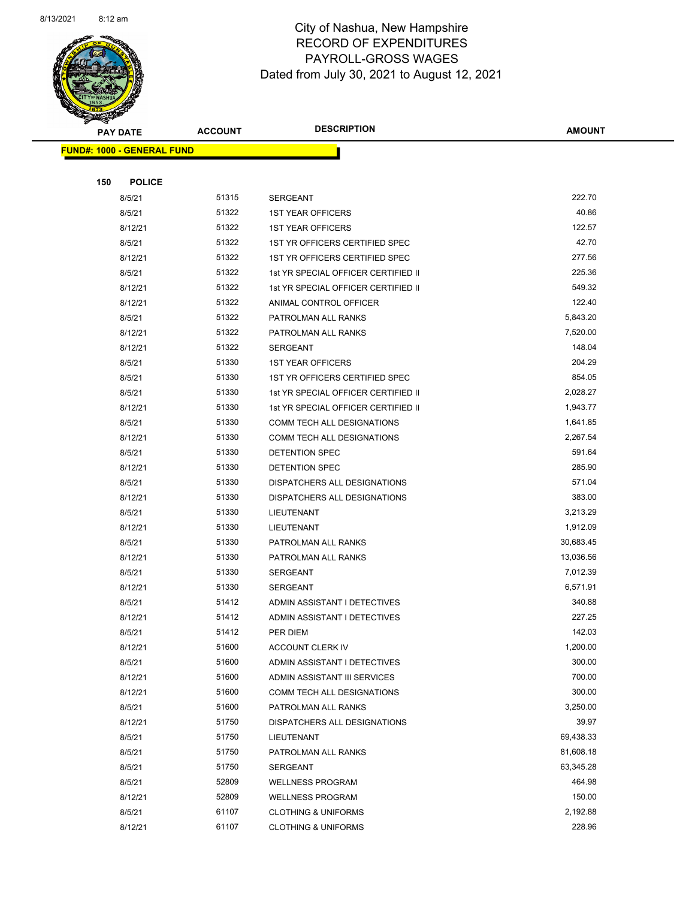

Page 46 of 90

|     | <b>PAY DATE</b>                    | <b>ACCOUNT</b> | <b>DESCRIPTION</b>                  | <b>AMOUNT</b>     |
|-----|------------------------------------|----------------|-------------------------------------|-------------------|
|     | <u> FUND#: 1000 - GENERAL FUND</u> |                |                                     |                   |
|     |                                    |                |                                     |                   |
| 150 | <b>POLICE</b>                      |                |                                     |                   |
|     | 8/5/21                             | 51315          | <b>SERGEANT</b>                     | 222.70            |
|     | 8/5/21                             | 51322          | <b>1ST YEAR OFFICERS</b>            | 40.86             |
|     | 8/12/21                            | 51322          | <b>1ST YEAR OFFICERS</b>            | 122.57            |
|     | 8/5/21                             | 51322          | 1ST YR OFFICERS CERTIFIED SPEC      | 42.70             |
|     | 8/12/21                            | 51322          | 1ST YR OFFICERS CERTIFIED SPEC      | 277.56            |
|     | 8/5/21                             | 51322          | 1st YR SPECIAL OFFICER CERTIFIED II | 225.36            |
|     | 8/12/21                            | 51322          | 1st YR SPECIAL OFFICER CERTIFIED II | 549.32            |
|     | 8/12/21                            | 51322          | ANIMAL CONTROL OFFICER              | 122.40            |
|     | 8/5/21                             | 51322          | PATROLMAN ALL RANKS                 | 5,843.20          |
|     | 8/12/21                            | 51322          | PATROLMAN ALL RANKS                 | 7,520.00          |
|     | 8/12/21                            | 51322          | <b>SERGEANT</b>                     | 148.04            |
|     | 8/5/21                             | 51330          | <b>1ST YEAR OFFICERS</b>            | 204.29            |
|     | 8/5/21                             | 51330          | 1ST YR OFFICERS CERTIFIED SPEC      | 854.05            |
|     | 8/5/21                             | 51330          | 1st YR SPECIAL OFFICER CERTIFIED II | 2,028.27          |
|     | 8/12/21                            | 51330          | 1st YR SPECIAL OFFICER CERTIFIED II | 1,943.77          |
|     | 8/5/21                             | 51330          | COMM TECH ALL DESIGNATIONS          | 1,641.85          |
|     | 8/12/21                            | 51330          | <b>COMM TECH ALL DESIGNATIONS</b>   | 2,267.54          |
|     | 8/5/21                             | 51330          | DETENTION SPEC                      | 591.64            |
|     | 8/12/21                            | 51330          | DETENTION SPEC                      | 285.90            |
|     | 8/5/21                             | 51330          | DISPATCHERS ALL DESIGNATIONS        | 571.04            |
|     | 8/12/21                            | 51330          | DISPATCHERS ALL DESIGNATIONS        | 383.00            |
|     | 8/5/21                             | 51330          | LIEUTENANT                          | 3,213.29          |
|     | 8/12/21                            | 51330          | LIEUTENANT                          | 1,912.09          |
|     | 8/5/21                             | 51330          | PATROLMAN ALL RANKS                 | 30,683.45         |
|     | 8/12/21                            | 51330          | PATROLMAN ALL RANKS                 | 13,036.56         |
|     | 8/5/21                             | 51330          | <b>SERGEANT</b>                     | 7,012.39          |
|     | 8/12/21                            | 51330          | <b>SERGEANT</b>                     | 6,571.91          |
|     | 8/5/21                             | 51412          | ADMIN ASSISTANT I DETECTIVES        | 340.88            |
|     | 8/12/21                            | 51412          | ADMIN ASSISTANT I DETECTIVES        | 227.25            |
|     | 8/5/21                             | 51412          | PER DIEM                            | 142.03            |
|     | 8/12/21                            | 51600          | <b>ACCOUNT CLERK IV</b>             | 1,200.00          |
|     | 8/5/21                             | 51600          | ADMIN ASSISTANT I DETECTIVES        | 300.00            |
|     | 8/12/21                            | 51600          | ADMIN ASSISTANT III SERVICES        | 700.00            |
|     | 8/12/21                            | 51600          | COMM TECH ALL DESIGNATIONS          | 300.00            |
|     | 8/5/21                             | 51600<br>51750 | PATROLMAN ALL RANKS                 | 3,250.00<br>39.97 |
|     | 8/12/21                            | 51750          | DISPATCHERS ALL DESIGNATIONS        | 69,438.33         |
|     | 8/5/21<br>8/5/21                   | 51750          | LIEUTENANT<br>PATROLMAN ALL RANKS   | 81,608.18         |
|     | 8/5/21                             | 51750          | <b>SERGEANT</b>                     | 63,345.28         |
|     | 8/5/21                             | 52809          | <b>WELLNESS PROGRAM</b>             | 464.98            |
|     | 8/12/21                            | 52809          | <b>WELLNESS PROGRAM</b>             | 150.00            |
|     | 8/5/21                             | 61107          | <b>CLOTHING &amp; UNIFORMS</b>      | 2,192.88          |
|     | 8/12/21                            | 61107          | <b>CLOTHING &amp; UNIFORMS</b>      | 228.96            |
|     |                                    |                |                                     |                   |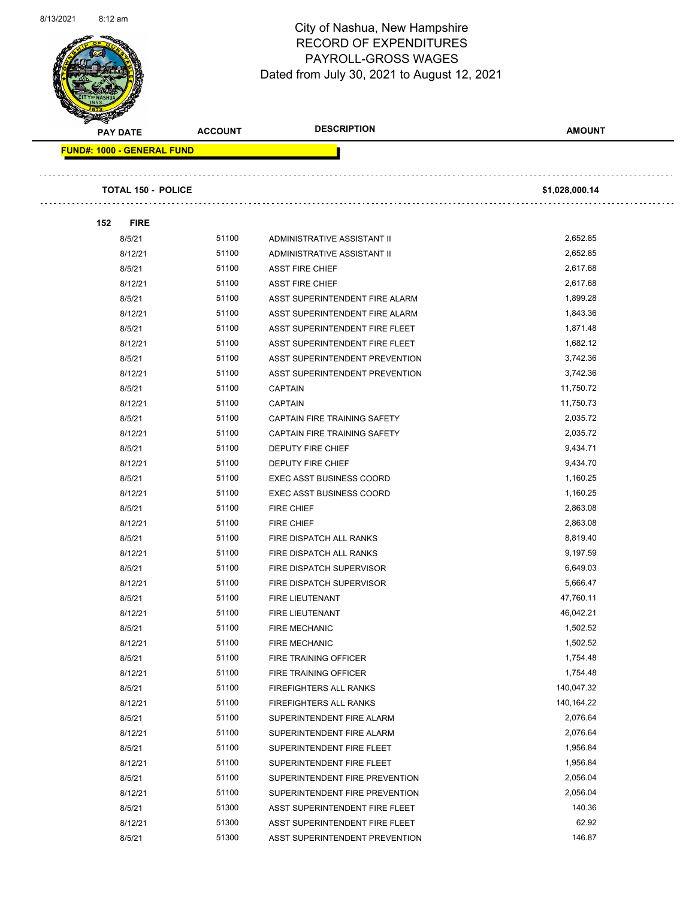

Page 47 of 90

| <b>PAY DATE</b>                   | <b>ACCOUNT</b> | <b>DESCRIPTION</b>              | <b>AMOUNT</b>  |
|-----------------------------------|----------------|---------------------------------|----------------|
| <b>FUND#: 1000 - GENERAL FUND</b> |                |                                 |                |
| <b>TOTAL 150 - POLICE</b>         |                |                                 | \$1,028,000.14 |
| 152<br><b>FIRE</b>                |                |                                 |                |
| 8/5/21                            | 51100          | ADMINISTRATIVE ASSISTANT II     | 2,652.85       |
| 8/12/21                           | 51100          | ADMINISTRATIVE ASSISTANT II     | 2,652.85       |
| 8/5/21                            | 51100          | <b>ASST FIRE CHIEF</b>          | 2,617.68       |
| 8/12/21                           | 51100          | <b>ASST FIRE CHIEF</b>          | 2,617.68       |
| 8/5/21                            | 51100          | ASST SUPERINTENDENT FIRE ALARM  | 1,899.28       |
| 8/12/21                           | 51100          | ASST SUPERINTENDENT FIRE ALARM  | 1,843.36       |
| 8/5/21                            | 51100          | ASST SUPERINTENDENT FIRE FLEET  | 1,871.48       |
| 8/12/21                           | 51100          | ASST SUPERINTENDENT FIRE FLEET  | 1,682.12       |
| 8/5/21                            | 51100          | ASST SUPERINTENDENT PREVENTION  | 3,742.36       |
| 8/12/21                           | 51100          | ASST SUPERINTENDENT PREVENTION  | 3,742.36       |
| 8/5/21                            | 51100          | <b>CAPTAIN</b>                  | 11,750.72      |
| 8/12/21                           | 51100          | <b>CAPTAIN</b>                  | 11,750.73      |
| 8/5/21                            | 51100          | CAPTAIN FIRE TRAINING SAFETY    | 2,035.72       |
| 8/12/21                           | 51100          | CAPTAIN FIRE TRAINING SAFETY    | 2,035.72       |
| 8/5/21                            | 51100          | <b>DEPUTY FIRE CHIEF</b>        | 9,434.71       |
| 8/12/21                           | 51100          | <b>DEPUTY FIRE CHIEF</b>        | 9,434.70       |
| 8/5/21                            | 51100          | <b>EXEC ASST BUSINESS COORD</b> | 1,160.25       |
| 8/12/21                           | 51100          | <b>EXEC ASST BUSINESS COORD</b> | 1,160.25       |
| 8/5/21                            | 51100          | <b>FIRE CHIEF</b>               | 2,863.08       |
| 8/12/21                           | 51100          | <b>FIRE CHIEF</b>               | 2,863.08       |
| 8/5/21                            | 51100          | FIRE DISPATCH ALL RANKS         | 8,819.40       |
| 8/12/21                           | 51100          | FIRE DISPATCH ALL RANKS         | 9,197.59       |
| 8/5/21                            | 51100          | FIRE DISPATCH SUPERVISOR        | 6,649.03       |
| 8/12/21                           | 51100          | FIRE DISPATCH SUPERVISOR        | 5,666.47       |
| 8/5/21                            | 51100          | <b>FIRE LIEUTENANT</b>          | 47,760.11      |
| 8/12/21                           | 51100          | FIRE LIEUTENANT                 | 46,042.21      |
| 8/5/21                            | 51100          | FIRE MECHANIC                   | 1,502.52       |
| 8/12/21                           | 51100          | <b>FIRE MECHANIC</b>            | 1,502.52       |
| 8/5/21                            | 51100          | FIRE TRAINING OFFICER           | 1,754.48       |
| 8/12/21                           | 51100          | FIRE TRAINING OFFICER           | 1,754.48       |
| 8/5/21                            | 51100          | FIREFIGHTERS ALL RANKS          | 140,047.32     |
| 8/12/21                           | 51100          | FIREFIGHTERS ALL RANKS          | 140,164.22     |
| 8/5/21                            | 51100          | SUPERINTENDENT FIRE ALARM       | 2,076.64       |
| 8/12/21                           | 51100          | SUPERINTENDENT FIRE ALARM       | 2,076.64       |
| 8/5/21                            | 51100          | SUPERINTENDENT FIRE FLEET       | 1,956.84       |
| 8/12/21                           | 51100          | SUPERINTENDENT FIRE FLEET       | 1,956.84       |
| 8/5/21                            | 51100          | SUPERINTENDENT FIRE PREVENTION  | 2,056.04       |
| 8/12/21                           | 51100          | SUPERINTENDENT FIRE PREVENTION  | 2,056.04       |
| 8/5/21                            | 51300          | ASST SUPERINTENDENT FIRE FLEET  | 140.36         |
| 8/12/21                           | 51300          | ASST SUPERINTENDENT FIRE FLEET  | 62.92          |
| 8/5/21                            | 51300          | ASST SUPERINTENDENT PREVENTION  | 146.87         |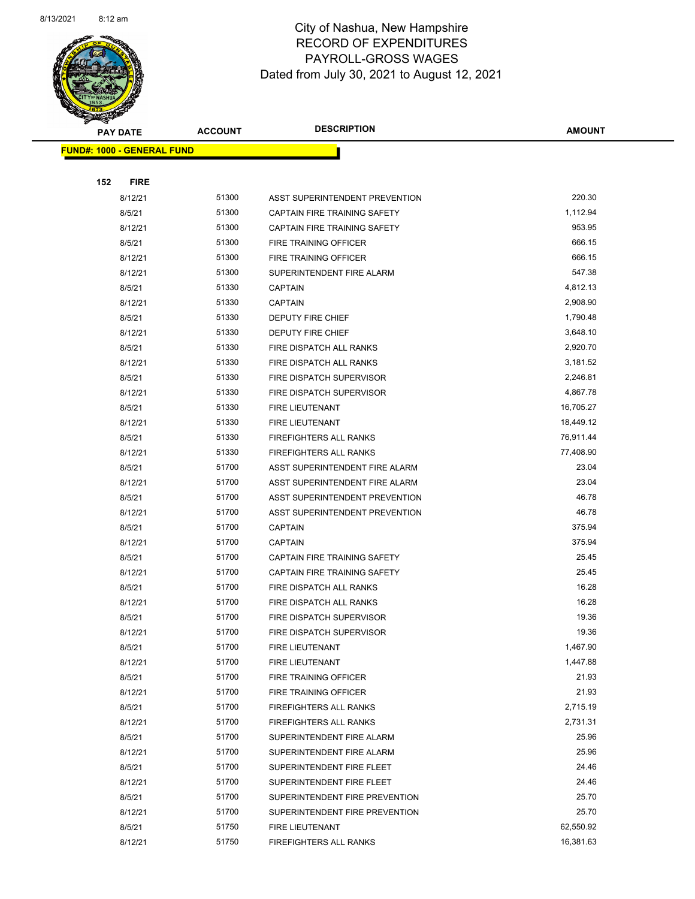

Page 48 of 90

|     | <b>PAY DATE</b>                   | <b>ACCOUNT</b> | <b>DESCRIPTION</b>                                             | <b>AMOUNT</b>  |
|-----|-----------------------------------|----------------|----------------------------------------------------------------|----------------|
|     | <b>FUND#: 1000 - GENERAL FUND</b> |                |                                                                |                |
|     |                                   |                |                                                                |                |
| 152 | <b>FIRE</b>                       |                |                                                                |                |
|     | 8/12/21                           | 51300          | ASST SUPERINTENDENT PREVENTION                                 | 220.30         |
|     | 8/5/21                            | 51300          | CAPTAIN FIRE TRAINING SAFETY                                   | 1,112.94       |
|     | 8/12/21                           | 51300          | CAPTAIN FIRE TRAINING SAFETY                                   | 953.95         |
|     | 8/5/21                            | 51300          | FIRE TRAINING OFFICER                                          | 666.15         |
|     | 8/12/21                           | 51300          | <b>FIRE TRAINING OFFICER</b>                                   | 666.15         |
|     | 8/12/21                           | 51300          | SUPERINTENDENT FIRE ALARM                                      | 547.38         |
|     | 8/5/21                            | 51330          | <b>CAPTAIN</b>                                                 | 4,812.13       |
|     | 8/12/21                           | 51330          | <b>CAPTAIN</b>                                                 | 2,908.90       |
|     | 8/5/21                            | 51330          | DEPUTY FIRE CHIEF                                              | 1,790.48       |
|     | 8/12/21                           | 51330          | DEPUTY FIRE CHIEF                                              | 3,648.10       |
|     | 8/5/21                            | 51330          | FIRE DISPATCH ALL RANKS                                        | 2,920.70       |
|     | 8/12/21                           | 51330          | FIRE DISPATCH ALL RANKS                                        | 3,181.52       |
|     | 8/5/21                            | 51330          | FIRE DISPATCH SUPERVISOR                                       | 2,246.81       |
|     | 8/12/21                           | 51330          | FIRE DISPATCH SUPERVISOR                                       | 4,867.78       |
|     | 8/5/21                            | 51330          | FIRE LIEUTENANT                                                | 16,705.27      |
|     | 8/12/21                           | 51330          | FIRE LIEUTENANT                                                | 18,449.12      |
|     | 8/5/21                            | 51330          | <b>FIREFIGHTERS ALL RANKS</b>                                  | 76,911.44      |
|     | 8/12/21                           | 51330          | <b>FIREFIGHTERS ALL RANKS</b>                                  | 77,408.90      |
|     | 8/5/21                            | 51700          | ASST SUPERINTENDENT FIRE ALARM                                 | 23.04          |
|     | 8/12/21                           | 51700          | ASST SUPERINTENDENT FIRE ALARM                                 | 23.04          |
|     | 8/5/21                            | 51700          | ASST SUPERINTENDENT PREVENTION                                 | 46.78          |
|     | 8/12/21                           | 51700          | ASST SUPERINTENDENT PREVENTION                                 | 46.78          |
|     | 8/5/21                            | 51700          | <b>CAPTAIN</b>                                                 | 375.94         |
|     | 8/12/21                           | 51700          | <b>CAPTAIN</b>                                                 | 375.94         |
|     | 8/5/21                            | 51700          | CAPTAIN FIRE TRAINING SAFETY                                   | 25.45          |
|     | 8/12/21                           | 51700          | CAPTAIN FIRE TRAINING SAFETY                                   | 25.45          |
|     | 8/5/21                            | 51700          | FIRE DISPATCH ALL RANKS                                        | 16.28          |
|     | 8/12/21                           | 51700          | FIRE DISPATCH ALL RANKS                                        | 16.28          |
|     | 8/5/21                            | 51700          | FIRE DISPATCH SUPERVISOR                                       | 19.36          |
|     | 8/12/21                           | 51700          | FIRE DISPATCH SUPERVISOR                                       | 19.36          |
|     | 8/5/21                            | 51700          | FIRE LIEUTENANT                                                | 1,467.90       |
|     | 8/12/21                           | 51700          | FIRE LIEUTENANT                                                | 1,447.88       |
|     | 8/5/21                            | 51700          | FIRE TRAINING OFFICER                                          | 21.93<br>21.93 |
|     | 8/12/21                           | 51700<br>51700 | FIRE TRAINING OFFICER                                          | 2,715.19       |
|     | 8/5/21                            | 51700          | <b>FIREFIGHTERS ALL RANKS</b><br><b>FIREFIGHTERS ALL RANKS</b> | 2,731.31       |
|     | 8/12/21<br>8/5/21                 | 51700          | SUPERINTENDENT FIRE ALARM                                      | 25.96          |
|     | 8/12/21                           | 51700          | SUPERINTENDENT FIRE ALARM                                      | 25.96          |
|     | 8/5/21                            | 51700          | SUPERINTENDENT FIRE FLEET                                      | 24.46          |
|     | 8/12/21                           | 51700          | SUPERINTENDENT FIRE FLEET                                      | 24.46          |
|     | 8/5/21                            | 51700          | SUPERINTENDENT FIRE PREVENTION                                 | 25.70          |
|     | 8/12/21                           | 51700          | SUPERINTENDENT FIRE PREVENTION                                 | 25.70          |
|     | 8/5/21                            | 51750          | FIRE LIEUTENANT                                                | 62,550.92      |
|     | 8/12/21                           | 51750          | <b>FIREFIGHTERS ALL RANKS</b>                                  | 16,381.63      |
|     |                                   |                |                                                                |                |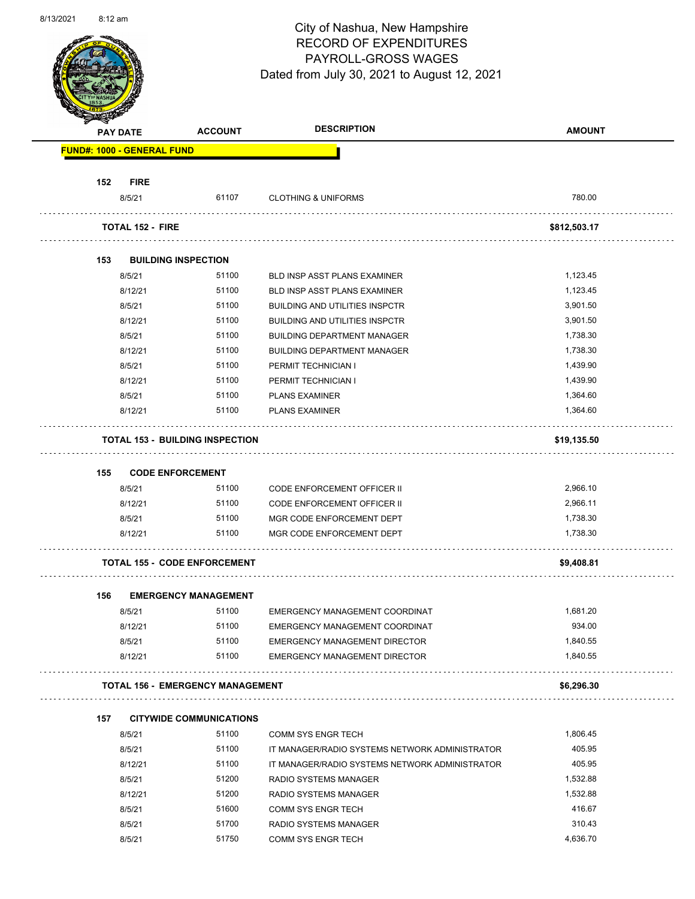

Page 49 of 90

|     | <b>PAY DATE</b>                   | <b>ACCOUNT</b>                          | <b>DESCRIPTION</b>                             | <b>AMOUNT</b> |
|-----|-----------------------------------|-----------------------------------------|------------------------------------------------|---------------|
|     | <b>FUND#: 1000 - GENERAL FUND</b> |                                         |                                                |               |
| 152 | <b>FIRE</b>                       |                                         |                                                |               |
|     | 8/5/21                            | 61107                                   | <b>CLOTHING &amp; UNIFORMS</b>                 | 780.00        |
|     | <b>TOTAL 152 - FIRE</b>           |                                         |                                                | \$812,503.17  |
| 153 |                                   | <b>BUILDING INSPECTION</b>              |                                                |               |
|     | 8/5/21                            | 51100                                   | BLD INSP ASST PLANS EXAMINER                   | 1,123.45      |
|     | 8/12/21                           | 51100                                   | <b>BLD INSP ASST PLANS EXAMINER</b>            | 1,123.45      |
|     | 8/5/21                            | 51100                                   | <b>BUILDING AND UTILITIES INSPCTR</b>          | 3,901.50      |
|     | 8/12/21                           | 51100                                   | <b>BUILDING AND UTILITIES INSPCTR</b>          | 3,901.50      |
|     | 8/5/21                            | 51100                                   | <b>BUILDING DEPARTMENT MANAGER</b>             | 1,738.30      |
|     | 8/12/21                           | 51100                                   | <b>BUILDING DEPARTMENT MANAGER</b>             | 1,738.30      |
|     | 8/5/21                            | 51100                                   | PERMIT TECHNICIAN I                            | 1,439.90      |
|     | 8/12/21                           | 51100                                   | PERMIT TECHNICIAN I                            | 1,439.90      |
|     | 8/5/21                            | 51100                                   | <b>PLANS EXAMINER</b>                          | 1,364.60      |
|     |                                   |                                         |                                                | 1,364.60      |
|     | 8/12/21                           | 51100                                   | <b>PLANS EXAMINER</b>                          |               |
|     |                                   | <b>TOTAL 153 - BUILDING INSPECTION</b>  |                                                | \$19,135.50   |
| 155 |                                   | <b>CODE ENFORCEMENT</b>                 |                                                |               |
|     | 8/5/21                            | 51100                                   | CODE ENFORCEMENT OFFICER II                    | 2,966.10      |
|     | 8/12/21                           | 51100                                   | <b>CODE ENFORCEMENT OFFICER II</b>             | 2,966.11      |
|     | 8/5/21                            | 51100                                   | MGR CODE ENFORCEMENT DEPT                      | 1,738.30      |
|     | 8/12/21                           | 51100                                   | MGR CODE ENFORCEMENT DEPT                      | 1,738.30      |
|     |                                   |                                         |                                                |               |
|     |                                   | <b>TOTAL 155 - CODE ENFORCEMENT</b>     |                                                | \$9,408.81    |
| 156 |                                   | <b>EMERGENCY MANAGEMENT</b>             |                                                |               |
|     | 8/5/21                            | 51100                                   | EMERGENCY MANAGEMENT COORDINAT                 | 1,681.20      |
|     | 8/12/21                           | 51100                                   | EMERGENCY MANAGEMENT COORDINAT                 | 934.00        |
|     | 8/5/21                            | 51100                                   | EMERGENCY MANAGEMENT DIRECTOR                  | 1,840.55      |
|     | 8/12/21                           | 51100                                   | EMERGENCY MANAGEMENT DIRECTOR                  | 1,840.55      |
|     |                                   | <b>TOTAL 156 - EMERGENCY MANAGEMENT</b> |                                                | \$6,296.30    |
|     |                                   |                                         |                                                |               |
| 157 |                                   | <b>CITYWIDE COMMUNICATIONS</b>          |                                                |               |
|     | 8/5/21                            | 51100                                   | <b>COMM SYS ENGR TECH</b>                      | 1,806.45      |
|     | 8/5/21                            | 51100                                   | IT MANAGER/RADIO SYSTEMS NETWORK ADMINISTRATOR | 405.95        |
|     | 8/12/21                           | 51100                                   | IT MANAGER/RADIO SYSTEMS NETWORK ADMINISTRATOR | 405.95        |
|     | 8/5/21                            | 51200                                   | RADIO SYSTEMS MANAGER                          | 1,532.88      |
|     | 8/12/21                           | 51200                                   | RADIO SYSTEMS MANAGER                          | 1,532.88      |
|     | 8/5/21                            | 51600                                   | <b>COMM SYS ENGR TECH</b>                      | 416.67        |
|     | 8/5/21                            | 51700                                   | RADIO SYSTEMS MANAGER                          | 310.43        |
|     | 8/5/21                            | 51750                                   | COMM SYS ENGR TECH                             | 4,636.70      |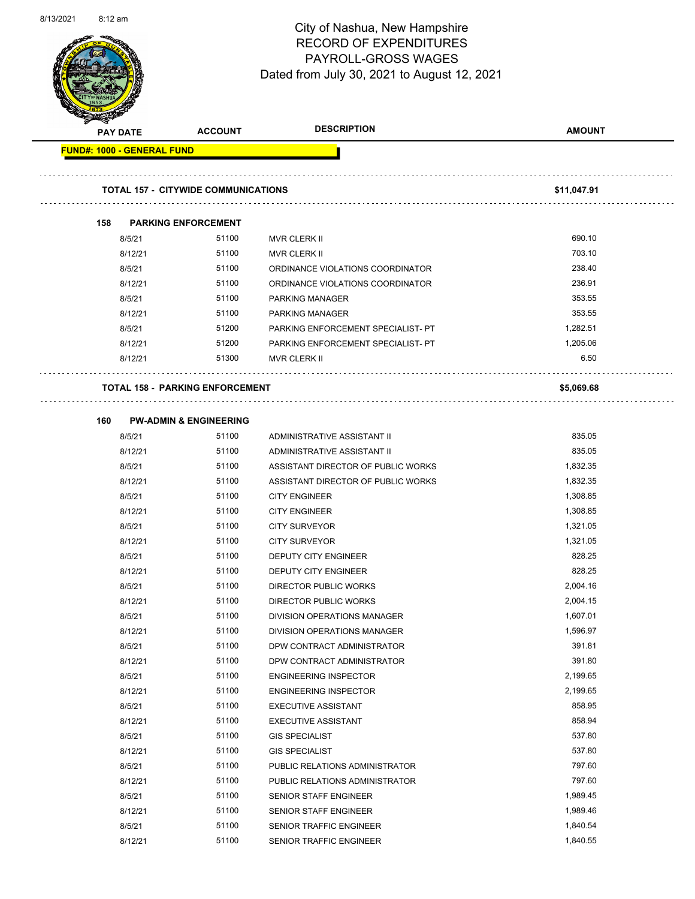

Page 50 of 90

|                                   | <b>PAY DATE</b> | <b>ACCOUNT</b>                             | <b>DESCRIPTION</b>                 | <b>AMOUNT</b> |
|-----------------------------------|-----------------|--------------------------------------------|------------------------------------|---------------|
| <b>FUND#: 1000 - GENERAL FUND</b> |                 |                                            |                                    |               |
|                                   |                 |                                            |                                    |               |
|                                   |                 | <b>TOTAL 157 - CITYWIDE COMMUNICATIONS</b> |                                    | \$11,047.91   |
| 158                               |                 | <b>PARKING ENFORCEMENT</b>                 |                                    |               |
|                                   | 8/5/21          | 51100                                      | <b>MVR CLERK II</b>                | 690.10        |
|                                   | 8/12/21         | 51100                                      | <b>MVR CLERK II</b>                | 703.10        |
|                                   | 8/5/21          | 51100                                      | ORDINANCE VIOLATIONS COORDINATOR   | 238.40        |
|                                   | 8/12/21         | 51100                                      | ORDINANCE VIOLATIONS COORDINATOR   | 236.91        |
|                                   | 8/5/21          | 51100                                      | PARKING MANAGER                    | 353.55        |
|                                   | 8/12/21         | 51100                                      | <b>PARKING MANAGER</b>             | 353.55        |
|                                   | 8/5/21          | 51200                                      | PARKING ENFORCEMENT SPECIALIST- PT | 1,282.51      |
|                                   | 8/12/21         | 51200                                      | PARKING ENFORCEMENT SPECIALIST- PT | 1,205.06      |
|                                   | 8/12/21         | 51300                                      | <b>MVR CLERK II</b>                | 6.50          |
|                                   |                 | <b>TOTAL 158 - PARKING ENFORCEMENT</b>     |                                    | \$5,069.68    |
| 160                               |                 | <b>PW-ADMIN &amp; ENGINEERING</b>          |                                    |               |
|                                   | 8/5/21          | 51100                                      | ADMINISTRATIVE ASSISTANT II        | 835.05        |
|                                   | 8/12/21         | 51100                                      | ADMINISTRATIVE ASSISTANT II        | 835.05        |
|                                   | 8/5/21          | 51100                                      | ASSISTANT DIRECTOR OF PUBLIC WORKS | 1,832.35      |
|                                   | 8/12/21         | 51100                                      | ASSISTANT DIRECTOR OF PUBLIC WORKS | 1,832.35      |
|                                   | 8/5/21          | 51100                                      | <b>CITY ENGINEER</b>               | 1,308.85      |
|                                   | 8/12/21         | 51100                                      | <b>CITY ENGINEER</b>               | 1,308.85      |
|                                   | 8/5/21          | 51100                                      | <b>CITY SURVEYOR</b>               | 1,321.05      |
|                                   | 8/12/21         | 51100                                      | <b>CITY SURVEYOR</b>               | 1,321.05      |
|                                   | 8/5/21          | 51100                                      | DEPUTY CITY ENGINEER               | 828.25        |
|                                   | 8/12/21         | 51100                                      | <b>DEPUTY CITY ENGINEER</b>        | 828.25        |
|                                   | 8/5/21          | 51100                                      | <b>DIRECTOR PUBLIC WORKS</b>       | 2,004.16      |
|                                   | 8/12/21         | 51100                                      | <b>DIRECTOR PUBLIC WORKS</b>       | 2,004.15      |
|                                   | 8/5/21          | 51100                                      | DIVISION OPERATIONS MANAGER        | 1,607.01      |
|                                   | 8/12/21         | 51100                                      | DIVISION OPERATIONS MANAGER        | 1,596.97      |
|                                   | 8/5/21          | 51100                                      | DPW CONTRACT ADMINISTRATOR         | 391.81        |
|                                   | 8/12/21         | 51100                                      | DPW CONTRACT ADMINISTRATOR         | 391.80        |
|                                   | 8/5/21          | 51100                                      | <b>ENGINEERING INSPECTOR</b>       | 2,199.65      |
|                                   | 8/12/21         | 51100                                      | <b>ENGINEERING INSPECTOR</b>       | 2,199.65      |
|                                   | 8/5/21          | 51100                                      | <b>EXECUTIVE ASSISTANT</b>         | 858.95        |
|                                   | 8/12/21         | 51100                                      | <b>EXECUTIVE ASSISTANT</b>         | 858.94        |
|                                   | 8/5/21          | 51100                                      | <b>GIS SPECIALIST</b>              | 537.80        |
|                                   | 8/12/21         | 51100                                      | <b>GIS SPECIALIST</b>              | 537.80        |
|                                   | 8/5/21          | 51100                                      | PUBLIC RELATIONS ADMINISTRATOR     | 797.60        |
|                                   | 8/12/21         | 51100                                      | PUBLIC RELATIONS ADMINISTRATOR     | 797.60        |
|                                   | 8/5/21          | 51100                                      | SENIOR STAFF ENGINEER              | 1,989.45      |
|                                   | 8/12/21         | 51100                                      | SENIOR STAFF ENGINEER              | 1,989.46      |
|                                   | 8/5/21          | 51100                                      | SENIOR TRAFFIC ENGINEER            | 1,840.54      |
|                                   | 8/12/21         | 51100                                      | SENIOR TRAFFIC ENGINEER            | 1,840.55      |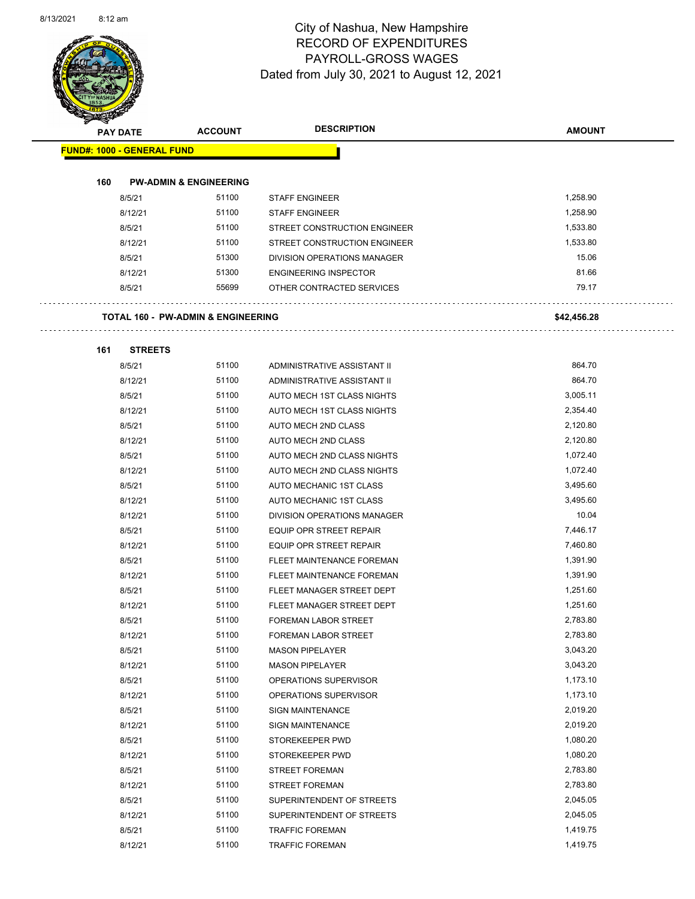$\overline{\phantom{0}}$ 



### City of Nashua, New Hampshire RECORD OF EXPENDITURES PAYROLL-GROSS WAGES Dated from July 30, 2021 to August 12, 2021

Page 51 of 90

| <b>SANGAL</b>                     |                                               |                              |               |
|-----------------------------------|-----------------------------------------------|------------------------------|---------------|
| <b>PAY DATE</b>                   | <b>ACCOUNT</b>                                | <b>DESCRIPTION</b>           | <b>AMOUNT</b> |
| <b>FUND#: 1000 - GENERAL FUND</b> |                                               |                              |               |
|                                   |                                               |                              |               |
| 160                               | <b>PW-ADMIN &amp; ENGINEERING</b>             |                              |               |
| 8/5/21                            | 51100                                         | <b>STAFF ENGINEER</b>        | 1,258.90      |
| 8/12/21                           | 51100                                         | <b>STAFF ENGINEER</b>        | 1,258.90      |
| 8/5/21                            | 51100                                         | STREET CONSTRUCTION ENGINEER | 1,533.80      |
| 8/12/21                           | 51100                                         | STREET CONSTRUCTION ENGINEER | 1,533.80      |
| 8/5/21                            | 51300                                         | DIVISION OPERATIONS MANAGER  | 15.06         |
| 8/12/21                           | 51300                                         | <b>ENGINEERING INSPECTOR</b> | 81.66         |
| 8/5/21                            | 55699                                         | OTHER CONTRACTED SERVICES    | 79.17         |
|                                   |                                               |                              |               |
|                                   | <b>TOTAL 160 - PW-ADMIN &amp; ENGINEERING</b> |                              | \$42,456.28   |
|                                   |                                               |                              |               |
| <b>STREETS</b><br>161             |                                               |                              | 864.70        |
| 8/5/21                            | 51100                                         | ADMINISTRATIVE ASSISTANT II  |               |
| 8/12/21                           | 51100                                         | ADMINISTRATIVE ASSISTANT II  | 864.70        |
| 8/5/21                            | 51100                                         | AUTO MECH 1ST CLASS NIGHTS   | 3,005.11      |
| 8/12/21                           | 51100                                         | AUTO MECH 1ST CLASS NIGHTS   | 2,354.40      |
| 8/5/21                            | 51100                                         | <b>AUTO MECH 2ND CLASS</b>   | 2,120.80      |
| 8/12/21                           | 51100                                         | AUTO MECH 2ND CLASS          | 2,120.80      |
| 8/5/21                            | 51100                                         | AUTO MECH 2ND CLASS NIGHTS   | 1,072.40      |
| 8/12/21                           | 51100                                         | AUTO MECH 2ND CLASS NIGHTS   | 1,072.40      |
| 8/5/21                            | 51100                                         | AUTO MECHANIC 1ST CLASS      | 3,495.60      |
| 8/12/21                           | 51100                                         | AUTO MECHANIC 1ST CLASS      | 3,495.60      |
| 8/12/21                           | 51100                                         | DIVISION OPERATIONS MANAGER  | 10.04         |
| 8/5/21                            | 51100                                         | EQUIP OPR STREET REPAIR      | 7,446.17      |
| 8/12/21                           | 51100                                         | EQUIP OPR STREET REPAIR      | 7,460.80      |
| 8/5/21                            | 51100                                         | FLEET MAINTENANCE FOREMAN    | 1,391.90      |
| 8/12/21                           | 51100                                         | FLEET MAINTENANCE FOREMAN    | 1,391.90      |
| 8/5/21                            | 51100                                         | FLEET MANAGER STREET DEPT    | 1,251.60      |
| 8/12/21                           | 51100                                         | FLEET MANAGER STREET DEPT    | 1,251.60      |
| 8/5/21                            | 51100                                         | <b>FOREMAN LABOR STREET</b>  | 2,783.80      |
| 8/12/21                           | 51100                                         | FOREMAN LABOR STREET         | 2,783.80      |
| 8/5/21                            | 51100                                         | <b>MASON PIPELAYER</b>       | 3,043.20      |
| 8/12/21                           | 51100                                         | <b>MASON PIPELAYER</b>       | 3,043.20      |
| 8/5/21                            | 51100                                         | OPERATIONS SUPERVISOR        | 1,173.10      |
| 8/12/21                           | 51100                                         | OPERATIONS SUPERVISOR        | 1,173.10      |
| 8/5/21                            | 51100                                         | <b>SIGN MAINTENANCE</b>      | 2,019.20      |
| 8/12/21                           | 51100                                         | <b>SIGN MAINTENANCE</b>      | 2,019.20      |
| 8/5/21                            | 51100                                         | STOREKEEPER PWD              | 1,080.20      |
| 8/12/21                           | 51100                                         | STOREKEEPER PWD              | 1,080.20      |
| 8/5/21                            | 51100                                         | <b>STREET FOREMAN</b>        | 2,783.80      |
| 8/12/21                           | 51100                                         | <b>STREET FOREMAN</b>        | 2,783.80      |
| 8/5/21                            | 51100                                         | SUPERINTENDENT OF STREETS    | 2,045.05      |
| 8/12/21                           | 51100                                         | SUPERINTENDENT OF STREETS    | 2,045.05      |
| 8/5/21                            | 51100                                         | <b>TRAFFIC FOREMAN</b>       | 1,419.75      |

8/12/21 51100 TRAFFIC FOREMAN 1,419.75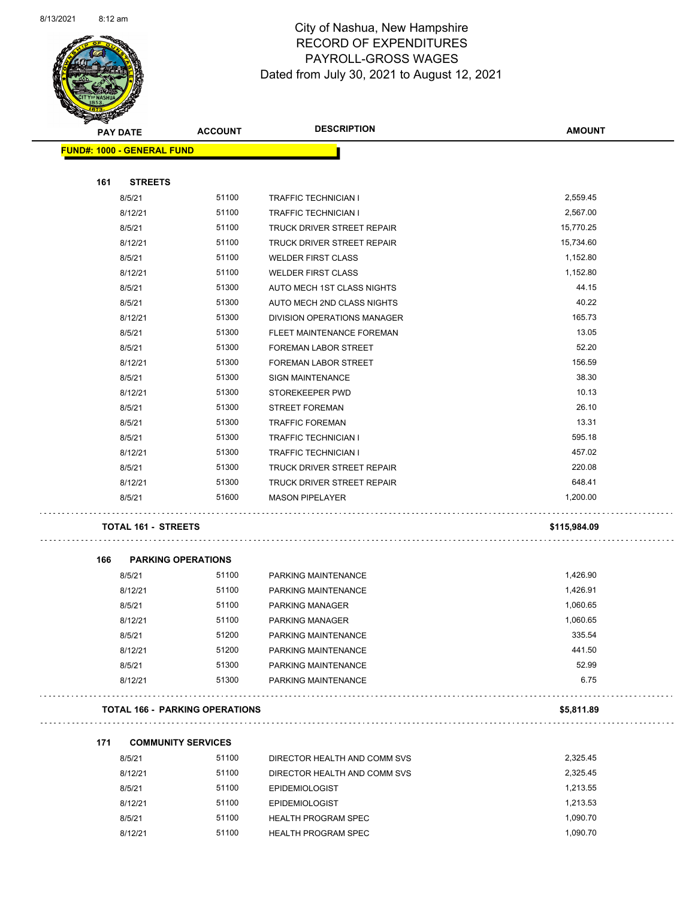

Page 52 of 90

| B.  | <b>PAY DATE</b>                   | <b>ACCOUNT</b>                        | <b>DESCRIPTION</b>           | <b>AMOUNT</b> |
|-----|-----------------------------------|---------------------------------------|------------------------------|---------------|
|     | <b>FUND#: 1000 - GENERAL FUND</b> |                                       |                              |               |
|     |                                   |                                       |                              |               |
| 161 | <b>STREETS</b>                    |                                       |                              |               |
|     | 8/5/21                            | 51100                                 | <b>TRAFFIC TECHNICIAN I</b>  | 2,559.45      |
|     | 8/12/21                           | 51100                                 | <b>TRAFFIC TECHNICIAN I</b>  | 2,567.00      |
|     | 8/5/21                            | 51100                                 | TRUCK DRIVER STREET REPAIR   | 15,770.25     |
|     | 8/12/21                           | 51100                                 | TRUCK DRIVER STREET REPAIR   | 15,734.60     |
|     | 8/5/21                            | 51100                                 | <b>WELDER FIRST CLASS</b>    | 1,152.80      |
|     | 8/12/21                           | 51100                                 | <b>WELDER FIRST CLASS</b>    | 1,152.80      |
|     | 8/5/21                            | 51300                                 | AUTO MECH 1ST CLASS NIGHTS   | 44.15         |
|     | 8/5/21                            | 51300                                 | AUTO MECH 2ND CLASS NIGHTS   | 40.22         |
|     | 8/12/21                           | 51300                                 | DIVISION OPERATIONS MANAGER  | 165.73        |
|     | 8/5/21                            | 51300                                 | FLEET MAINTENANCE FOREMAN    | 13.05         |
|     | 8/5/21                            | 51300                                 | FOREMAN LABOR STREET         | 52.20         |
|     | 8/12/21                           | 51300                                 | <b>FOREMAN LABOR STREET</b>  | 156.59        |
|     | 8/5/21                            | 51300                                 | <b>SIGN MAINTENANCE</b>      | 38.30         |
|     | 8/12/21                           | 51300                                 | STOREKEEPER PWD              | 10.13         |
|     | 8/5/21                            | 51300                                 | <b>STREET FOREMAN</b>        | 26.10         |
|     | 8/5/21                            | 51300                                 | <b>TRAFFIC FOREMAN</b>       | 13.31         |
|     | 8/5/21                            | 51300                                 | <b>TRAFFIC TECHNICIAN I</b>  | 595.18        |
|     | 8/12/21                           | 51300                                 | <b>TRAFFIC TECHNICIAN I</b>  | 457.02        |
|     | 8/5/21                            | 51300                                 | TRUCK DRIVER STREET REPAIR   | 220.08        |
|     | 8/12/21                           | 51300                                 | TRUCK DRIVER STREET REPAIR   | 648.41        |
|     | 8/5/21                            | 51600                                 | <b>MASON PIPELAYER</b>       | 1,200.00      |
|     | <b>TOTAL 161 - STREETS</b>        |                                       |                              | \$115,984.09  |
| 166 | <b>PARKING OPERATIONS</b>         |                                       |                              |               |
|     | 8/5/21                            | 51100                                 | PARKING MAINTENANCE          | 1,426.90      |
|     | 8/12/21                           | 51100                                 | PARKING MAINTENANCE          | 1,426.91      |
|     | 8/5/21                            | 51100                                 | PARKING MANAGER              | 1,060.65      |
|     | 8/12/21                           | 51100                                 | PARKING MANAGER              | 1,060.65      |
|     | 8/5/21                            | 51200                                 | PARKING MAINTENANCE          | 335.54        |
|     | 8/12/21                           | 51200                                 | PARKING MAINTENANCE          | 441.50        |
|     | 8/5/21                            | 51300                                 | PARKING MAINTENANCE          | 52.99         |
|     | 8/12/21                           | 51300                                 | PARKING MAINTENANCE          | 6.75          |
|     |                                   | <b>TOTAL 166 - PARKING OPERATIONS</b> |                              | \$5,811.89    |
| 171 | <b>COMMUNITY SERVICES</b>         |                                       |                              |               |
|     | 8/5/21                            | 51100                                 | DIRECTOR HEALTH AND COMM SVS | 2,325.45      |
|     | 8/12/21                           | 51100                                 | DIRECTOR HEALTH AND COMM SVS | 2,325.45      |
|     | 8/5/21                            | 51100                                 | <b>EPIDEMIOLOGIST</b>        | 1,213.55      |
|     | 8/12/21                           | 51100                                 | <b>EPIDEMIOLOGIST</b>        | 1,213.53      |

8/5/21 51100 HEALTH PROGRAM SPEC 1,090.70 8/12/21 51100 HEALTH PROGRAM SPEC 1,090.70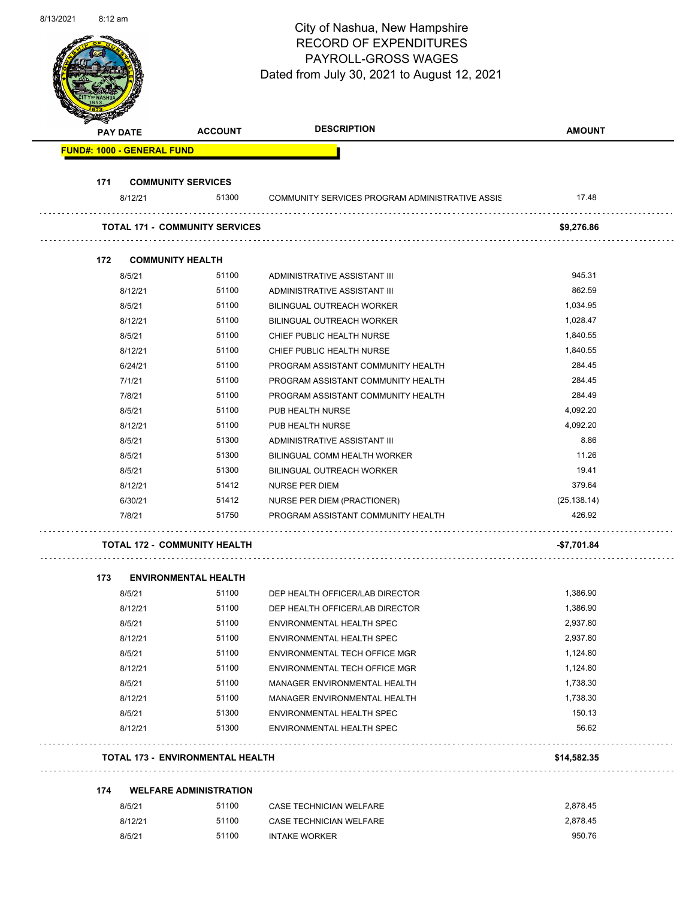| 8/13/2021 | $8:12$ am |          |                                       | City of Nashua, New Hampshire<br><b>RECORD OF EXPENDITURES</b><br>PAYROLL-GROSS WAGES<br>Dated from July 30, 2021 to August 12, 2021 | Page 53 of 90 |
|-----------|-----------|----------|---------------------------------------|--------------------------------------------------------------------------------------------------------------------------------------|---------------|
|           |           | PAY DATE | <b>ACCOUNT</b>                        | <b>DESCRIPTION</b>                                                                                                                   | <b>AMOUNT</b> |
|           |           |          | <b>FUND#: 1000 - GENERAL FUND</b>     |                                                                                                                                      |               |
|           | 171       |          | <b>COMMUNITY SERVICES</b>             |                                                                                                                                      |               |
|           |           | 8/12/21  | 51300                                 | COMMUNITY SERVICES PROGRAM ADMINISTRATIVE ASSIS                                                                                      | 17.48         |
|           |           |          | <b>TOTAL 171 - COMMUNITY SERVICES</b> |                                                                                                                                      | \$9,276.86    |
|           |           |          |                                       |                                                                                                                                      |               |
|           | 172       |          | <b>COMMUNITY HEALTH</b>               |                                                                                                                                      |               |
|           |           | 8/5/21   | 51100                                 | ADMINISTRATIVE ASSISTANT III                                                                                                         | 945.31        |
|           |           | 8/12/21  | 51100                                 | ADMINISTRATIVE ASSISTANT III                                                                                                         | 862.59        |
|           |           | 8/5/21   | 51100                                 | <b>BILINGUAL OUTREACH WORKER</b>                                                                                                     | 1,034.95      |
|           |           | 8/12/21  | 51100                                 | <b>BILINGUAL OUTREACH WORKER</b>                                                                                                     | 1,028.47      |
|           |           | 8/5/21   | 51100                                 | CHIEF PUBLIC HEALTH NURSE                                                                                                            | 1,840.55      |
|           |           | 8/12/21  | 51100                                 | CHIEF PUBLIC HEALTH NURSE                                                                                                            | 1,840.55      |
|           |           | 6/24/21  | 51100                                 | PROGRAM ASSISTANT COMMUNITY HEALTH                                                                                                   | 284.45        |
|           |           | 7/1/21   | 51100                                 | PROGRAM ASSISTANT COMMUNITY HEALTH                                                                                                   | 284.45        |
|           |           | 7/8/21   | 51100                                 | PROGRAM ASSISTANT COMMUNITY HEALTH                                                                                                   | 284.49        |
|           |           | 8/5/21   | 51100                                 | PUB HEALTH NURSE                                                                                                                     | 4,092.20      |
|           |           | 8/12/21  | 51100                                 | PUB HEALTH NURSE                                                                                                                     | 4,092.20      |
|           |           | 8/5/21   | 51300                                 | ADMINISTRATIVE ASSISTANT III                                                                                                         | 8.86          |
|           |           | 8/5/21   | 51300                                 | BILINGUAL COMM HEALTH WORKER                                                                                                         | 11.26         |
|           |           | 8/5/21   | 51300                                 | <b>BILINGUAL OUTREACH WORKER</b>                                                                                                     | 19.41         |
|           |           | 8/12/21  | 51412                                 | NURSE PER DIEM                                                                                                                       | 379.64        |
|           |           | 6/30/21  | 51412                                 | NURSE PER DIEM (PRACTIONER)                                                                                                          | (25, 138.14)  |
|           |           | 7/8/21   | 51750                                 | PROGRAM ASSISTANT COMMUNITY HEALTH                                                                                                   | 426.92        |
|           |           |          | <b>TOTAL 172 - COMMUNITY HEALTH</b>   |                                                                                                                                      | -\$7,701.84   |
|           |           |          |                                       |                                                                                                                                      |               |
|           | 173       | 8/5/21   | <b>ENVIRONMENTAL HEALTH</b><br>51100  | DEP HEALTH OFFICER/LAB DIRECTOR                                                                                                      | 1,386.90      |
|           |           | 8/12/21  | 51100                                 | DEP HEALTH OFFICER/LAB DIRECTOR                                                                                                      | 1,386.90      |
|           |           | 8/5/21   | 51100                                 | <b>ENVIRONMENTAL HEALTH SPEC</b>                                                                                                     | 2,937.80      |
|           |           | 8/12/21  | 51100                                 | ENVIRONMENTAL HEALTH SPEC                                                                                                            | 2,937.80      |
|           |           | 8/5/21   | 51100                                 | ENVIRONMENTAL TECH OFFICE MGR                                                                                                        | 1,124.80      |
|           |           | 8/12/21  | 51100                                 | ENVIRONMENTAL TECH OFFICE MGR                                                                                                        | 1,124.80      |
|           |           | 8/5/21   | 51100                                 | MANAGER ENVIRONMENTAL HEALTH                                                                                                         | 1,738.30      |
|           |           | 8/12/21  | 51100                                 | MANAGER ENVIRONMENTAL HEALTH                                                                                                         | 1,738.30      |
|           |           | 8/5/21   | 51300                                 | ENVIRONMENTAL HEALTH SPEC                                                                                                            | 150.13        |
|           |           | 8/12/21  | 51300                                 | ENVIRONMENTAL HEALTH SPEC                                                                                                            | 56.62         |
|           |           |          |                                       |                                                                                                                                      |               |

#### **TOTAL 173 - ENVIRONMENTAL HEALTH \$14,582.35**

#### **174 WELFARE ADMINISTRATION**

| 8/5/21  | 51100 | CASE TECHNICIAN WELFARE | 2.878.45 |
|---------|-------|-------------------------|----------|
| 8/12/21 | 51100 | CASE TECHNICIAN WELFARE | 2.878.45 |
| 8/5/21  | 51100 | <b>INTAKE WORKER</b>    | 950.76   |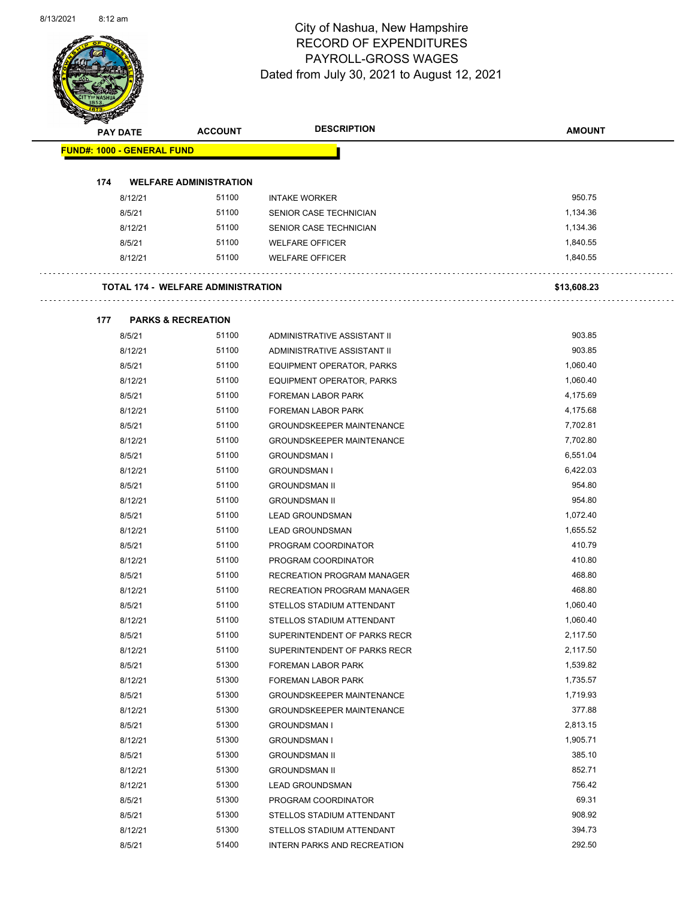

Page 54 of 90

| <b>PAY DATE</b>                   | <b>ACCOUNT</b>                            | <b>DESCRIPTION</b>               | <b>AMOUNT</b> |
|-----------------------------------|-------------------------------------------|----------------------------------|---------------|
| <b>FUND#: 1000 - GENERAL FUND</b> |                                           |                                  |               |
| 174                               | <b>WELFARE ADMINISTRATION</b>             |                                  |               |
| 8/12/21                           | 51100                                     | <b>INTAKE WORKER</b>             | 950.75        |
| 8/5/21                            | 51100                                     | SENIOR CASE TECHNICIAN           | 1,134.36      |
| 8/12/21                           | 51100                                     | SENIOR CASE TECHNICIAN           | 1,134.36      |
| 8/5/21                            | 51100                                     | <b>WELFARE OFFICER</b>           | 1,840.55      |
| 8/12/21                           | 51100                                     | <b>WELFARE OFFICER</b>           | 1,840.55      |
|                                   | <b>TOTAL 174 - WELFARE ADMINISTRATION</b> |                                  | \$13,608.23   |
| 177                               | <b>PARKS &amp; RECREATION</b>             |                                  |               |
| 8/5/21                            | 51100                                     | ADMINISTRATIVE ASSISTANT II      | 903.85        |
| 8/12/21                           | 51100                                     | ADMINISTRATIVE ASSISTANT II      | 903.85        |
| 8/5/21                            | 51100                                     | EQUIPMENT OPERATOR, PARKS        | 1,060.40      |
| 8/12/21                           | 51100                                     | EQUIPMENT OPERATOR, PARKS        | 1,060.40      |
| 8/5/21                            | 51100                                     | <b>FOREMAN LABOR PARK</b>        | 4,175.69      |
| 8/12/21                           | 51100                                     | <b>FOREMAN LABOR PARK</b>        | 4,175.68      |
| 8/5/21                            | 51100                                     | <b>GROUNDSKEEPER MAINTENANCE</b> | 7,702.81      |
| 8/12/21                           | 51100                                     | <b>GROUNDSKEEPER MAINTENANCE</b> | 7,702.80      |
| 8/5/21                            | 51100                                     | <b>GROUNDSMAN I</b>              | 6,551.04      |
| 8/12/21                           | 51100                                     | <b>GROUNDSMAN I</b>              | 6,422.03      |
| 8/5/21                            | 51100                                     | <b>GROUNDSMAN II</b>             | 954.80        |
| 8/12/21                           | 51100                                     | <b>GROUNDSMAN II</b>             | 954.80        |
| 8/5/21                            | 51100                                     | <b>LEAD GROUNDSMAN</b>           | 1,072.40      |
| 8/12/21                           | 51100                                     | <b>LEAD GROUNDSMAN</b>           | 1,655.52      |
| 8/5/21                            | 51100                                     | PROGRAM COORDINATOR              | 410.79        |
| 8/12/21                           | 51100                                     | PROGRAM COORDINATOR              | 410.80        |
| 8/5/21                            | 51100                                     | RECREATION PROGRAM MANAGER       | 468.80        |
| 8/12/21                           | 51100                                     | RECREATION PROGRAM MANAGER       | 468.80        |
| 8/5/21                            | 51100                                     | STELLOS STADIUM ATTENDANT        | 1,060.40      |
| 8/12/21                           | 51100                                     | STELLOS STADIUM ATTENDANT        | 1,060.40      |
| 8/5/21                            | 51100                                     | SUPERINTENDENT OF PARKS RECR     | 2,117.50      |
| 8/12/21                           | 51100                                     | SUPERINTENDENT OF PARKS RECR     | 2,117.50      |
| 8/5/21                            | 51300                                     | FOREMAN LABOR PARK               | 1,539.82      |
| 8/12/21                           | 51300                                     | FOREMAN LABOR PARK               | 1,735.57      |
| 8/5/21                            | 51300                                     | <b>GROUNDSKEEPER MAINTENANCE</b> | 1,719.93      |
| 8/12/21                           | 51300                                     | <b>GROUNDSKEEPER MAINTENANCE</b> | 377.88        |
| 8/5/21                            | 51300                                     | <b>GROUNDSMAN I</b>              | 2,813.15      |
| 8/12/21                           | 51300                                     | <b>GROUNDSMAN I</b>              | 1,905.71      |
| 8/5/21                            | 51300                                     | <b>GROUNDSMAN II</b>             | 385.10        |
| 8/12/21                           | 51300                                     | <b>GROUNDSMAN II</b>             | 852.71        |
| 8/12/21                           | 51300                                     | <b>LEAD GROUNDSMAN</b>           | 756.42        |
| 8/5/21                            | 51300                                     | PROGRAM COORDINATOR              | 69.31         |
| 8/5/21                            | 51300                                     | STELLOS STADIUM ATTENDANT        | 908.92        |
| 8/12/21                           | 51300                                     | STELLOS STADIUM ATTENDANT        | 394.73        |
|                                   |                                           |                                  |               |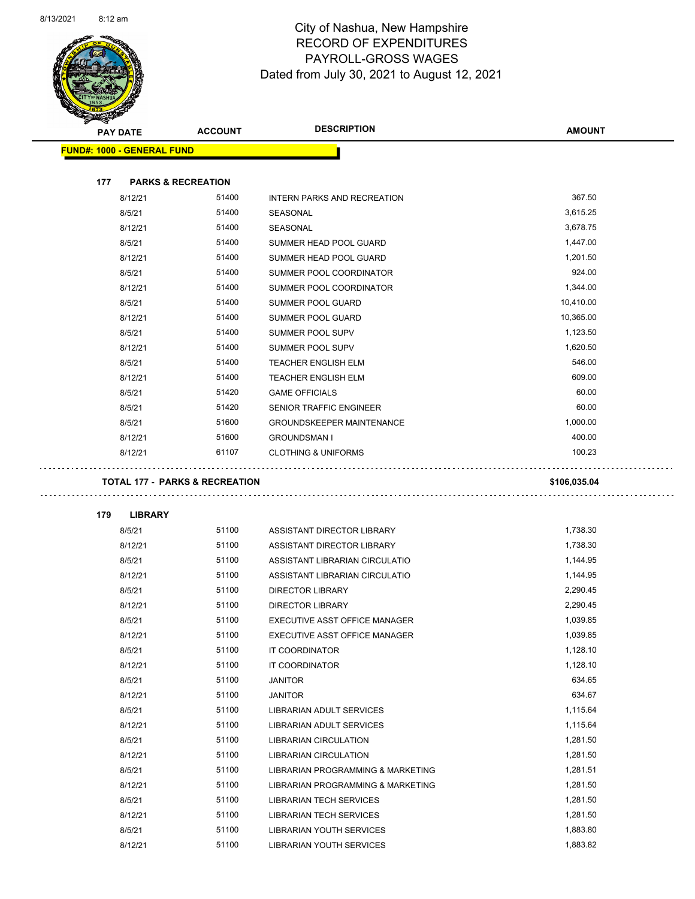

Page 55 of 90

|     |                                   |                               | <b>DESCRIPTION</b>                | <b>AMOUNT</b> |
|-----|-----------------------------------|-------------------------------|-----------------------------------|---------------|
|     | <b>PAY DATE</b>                   | <b>ACCOUNT</b>                |                                   |               |
|     | <b>FUND#: 1000 - GENERAL FUND</b> |                               |                                   |               |
| 177 |                                   | <b>PARKS &amp; RECREATION</b> |                                   |               |
|     | 8/12/21                           | 51400                         | INTERN PARKS AND RECREATION       | 367.50        |
|     | 8/5/21                            | 51400                         | SEASONAL                          | 3,615.25      |
|     | 8/12/21                           | 51400                         | SEASONAL                          | 3,678.75      |
|     | 8/5/21                            | 51400                         | SUMMER HEAD POOL GUARD            | 1,447.00      |
|     | 8/12/21                           | 51400                         | SUMMER HEAD POOL GUARD            | 1,201.50      |
|     | 8/5/21                            | 51400                         | SUMMER POOL COORDINATOR           | 924.00        |
|     | 8/12/21                           | 51400                         | SUMMER POOL COORDINATOR           | 1,344.00      |
|     | 8/5/21                            | 51400                         | SUMMER POOL GUARD                 | 10,410.00     |
|     | 8/12/21                           | 51400                         | SUMMER POOL GUARD                 | 10,365.00     |
|     | 8/5/21                            | 51400                         | SUMMER POOL SUPV                  | 1,123.50      |
|     | 8/12/21                           | 51400                         | SUMMER POOL SUPV                  | 1,620.50      |
|     | 8/5/21                            | 51400                         | <b>TEACHER ENGLISH ELM</b>        | 546.00        |
|     | 8/12/21                           | 51400                         | <b>TEACHER ENGLISH ELM</b>        | 609.00        |
|     | 8/5/21                            | 51420                         | <b>GAME OFFICIALS</b>             | 60.00         |
|     | 8/5/21                            | 51420                         | SENIOR TRAFFIC ENGINEER           | 60.00         |
|     | 8/5/21                            | 51600                         | <b>GROUNDSKEEPER MAINTENANCE</b>  | 1,000.00      |
|     | 8/12/21                           | 51600                         | <b>GROUNDSMAN I</b>               | 400.00        |
|     | 8/12/21                           | 61107                         | <b>CLOTHING &amp; UNIFORMS</b>    | 100.23        |
| 179 | <b>LIBRARY</b>                    |                               |                                   |               |
|     | 8/5/21                            | 51100                         | ASSISTANT DIRECTOR LIBRARY        | 1,738.30      |
|     | 8/12/21                           | 51100                         | ASSISTANT DIRECTOR LIBRARY        | 1,738.30      |
|     | 8/5/21                            | 51100                         | ASSISTANT LIBRARIAN CIRCULATIO    | 1,144.95      |
|     | 8/12/21                           | 51100                         | ASSISTANT LIBRARIAN CIRCULATIO    | 1,144.95      |
|     | 8/5/21                            | 51100                         | <b>DIRECTOR LIBRARY</b>           | 2,290.45      |
|     | 8/12/21                           | 51100                         | <b>DIRECTOR LIBRARY</b>           | 2,290.45      |
|     | 8/5/21                            | 51100                         | EXECUTIVE ASST OFFICE MANAGER     | 1,039.85      |
|     | 8/12/21                           | 51100                         | EXECUTIVE ASST OFFICE MANAGER     | 1,039.85      |
|     | 8/5/21                            | 51100                         | IT COORDINATOR                    | 1,128.10      |
|     | 8/12/21                           | 51100                         | IT COORDINATOR                    | 1,128.10      |
|     | 8/5/21                            | 51100                         | JANITOR                           | 634.65        |
|     | 8/12/21                           | 51100                         | <b>JANITOR</b>                    | 634.67        |
|     | 8/5/21                            | 51100                         | LIBRARIAN ADULT SERVICES          | 1,115.64      |
|     | 8/12/21                           | 51100                         | <b>LIBRARIAN ADULT SERVICES</b>   | 1,115.64      |
|     | 8/5/21                            | 51100                         | <b>LIBRARIAN CIRCULATION</b>      | 1,281.50      |
|     | 8/12/21                           | 51100                         | LIBRARIAN CIRCULATION             | 1,281.50      |
|     | 8/5/21                            | 51100                         | LIBRARIAN PROGRAMMING & MARKETING | 1,281.51      |
|     | 8/12/21                           | 51100                         | LIBRARIAN PROGRAMMING & MARKETING | 1,281.50      |
|     | 8/5/21                            | 51100                         | LIBRARIAN TECH SERVICES           | 1,281.50      |
|     | 8/12/21                           | 51100                         | <b>LIBRARIAN TECH SERVICES</b>    | 1,281.50      |
|     | 8/5/21                            | 51100                         | <b>LIBRARIAN YOUTH SERVICES</b>   | 1,883.80      |
|     |                                   |                               |                                   |               |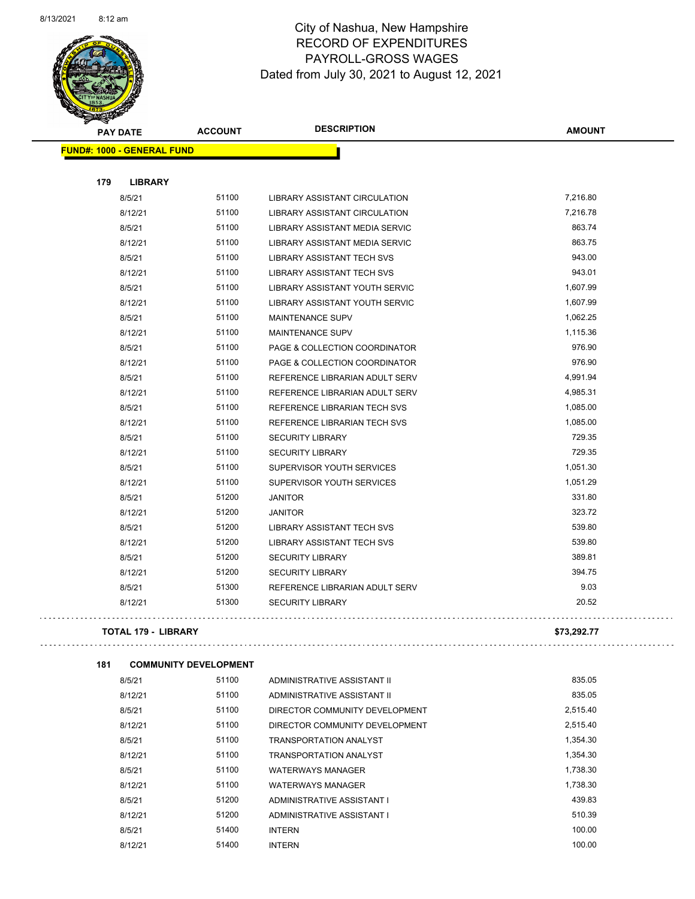

Page 56 of 90

|     | <b>PAY DATE</b>                   | <b>ACCOUNT</b> | <b>DESCRIPTION</b>                    | <b>AMOUNT</b> |
|-----|-----------------------------------|----------------|---------------------------------------|---------------|
|     | <b>FUND#: 1000 - GENERAL FUND</b> |                |                                       |               |
|     |                                   |                |                                       |               |
| 179 | <b>LIBRARY</b>                    |                |                                       |               |
|     | 8/5/21                            | 51100          | <b>LIBRARY ASSISTANT CIRCULATION</b>  | 7,216.80      |
|     | 8/12/21                           | 51100          | LIBRARY ASSISTANT CIRCULATION         | 7,216.78      |
|     | 8/5/21                            | 51100          | <b>LIBRARY ASSISTANT MEDIA SERVIC</b> | 863.74        |
|     | 8/12/21                           | 51100          | LIBRARY ASSISTANT MEDIA SERVIC        | 863.75        |
|     | 8/5/21                            | 51100          | <b>LIBRARY ASSISTANT TECH SVS</b>     | 943.00        |
|     | 8/12/21                           | 51100          | <b>LIBRARY ASSISTANT TECH SVS</b>     | 943.01        |
|     | 8/5/21                            | 51100          | LIBRARY ASSISTANT YOUTH SERVIC        | 1,607.99      |
|     | 8/12/21                           | 51100          | LIBRARY ASSISTANT YOUTH SERVIC        | 1,607.99      |
|     | 8/5/21                            | 51100          | <b>MAINTENANCE SUPV</b>               | 1,062.25      |
|     | 8/12/21                           | 51100          | <b>MAINTENANCE SUPV</b>               | 1,115.36      |
|     | 8/5/21                            | 51100          | PAGE & COLLECTION COORDINATOR         | 976.90        |
|     | 8/12/21                           | 51100          | PAGE & COLLECTION COORDINATOR         | 976.90        |
|     | 8/5/21                            | 51100          | REFERENCE LIBRARIAN ADULT SERV        | 4,991.94      |
|     | 8/12/21                           | 51100          | REFERENCE LIBRARIAN ADULT SERV        | 4,985.31      |
|     | 8/5/21                            | 51100          | REFERENCE LIBRARIAN TECH SVS          | 1,085.00      |
|     | 8/12/21                           | 51100          | REFERENCE LIBRARIAN TECH SVS          | 1,085.00      |
|     | 8/5/21                            | 51100          | <b>SECURITY LIBRARY</b>               | 729.35        |
|     | 8/12/21                           | 51100          | <b>SECURITY LIBRARY</b>               | 729.35        |
|     | 8/5/21                            | 51100          | SUPERVISOR YOUTH SERVICES             | 1,051.30      |
|     | 8/12/21                           | 51100          | SUPERVISOR YOUTH SERVICES             | 1,051.29      |
|     | 8/5/21                            | 51200          | <b>JANITOR</b>                        | 331.80        |
|     | 8/12/21                           | 51200          | <b>JANITOR</b>                        | 323.72        |
|     | 8/5/21                            | 51200          | <b>LIBRARY ASSISTANT TECH SVS</b>     | 539.80        |
|     | 8/12/21                           | 51200          | LIBRARY ASSISTANT TECH SVS            | 539.80        |
|     | 8/5/21                            | 51200          | <b>SECURITY LIBRARY</b>               | 389.81        |
|     | 8/12/21                           | 51200          | <b>SECURITY LIBRARY</b>               | 394.75        |
|     | 8/5/21                            | 51300          | REFERENCE LIBRARIAN ADULT SERV        | 9.03          |
|     | 8/12/21                           | 51300          | <b>SECURITY LIBRARY</b>               | 20.52         |
|     |                                   |                |                                       |               |

#### **TOTAL 179 - LIBRARY \$73,292.77**

 $\hat{\mathcal{L}}$  .

```
181 COMMUNITY DEVELOPMENT
```

| 8/5/21  | 51100 | ADMINISTRATIVE ASSISTANT II    | 835.05   |
|---------|-------|--------------------------------|----------|
| 8/12/21 | 51100 | ADMINISTRATIVE ASSISTANT II    | 835.05   |
| 8/5/21  | 51100 | DIRECTOR COMMUNITY DEVELOPMENT | 2,515.40 |
| 8/12/21 | 51100 | DIRECTOR COMMUNITY DEVELOPMENT | 2,515.40 |
| 8/5/21  | 51100 | TRANSPORTATION ANALYST         | 1.354.30 |
| 8/12/21 | 51100 | TRANSPORTATION ANALYST         | 1.354.30 |
| 8/5/21  | 51100 | <b>WATERWAYS MANAGER</b>       | 1.738.30 |
| 8/12/21 | 51100 | <b>WATERWAYS MANAGER</b>       | 1.738.30 |
| 8/5/21  | 51200 | ADMINISTRATIVE ASSISTANT I     | 439.83   |
| 8/12/21 | 51200 | ADMINISTRATIVE ASSISTANT I     | 510.39   |
| 8/5/21  | 51400 | <b>INTERN</b>                  | 100.00   |
| 8/12/21 | 51400 | <b>INTERN</b>                  | 100.00   |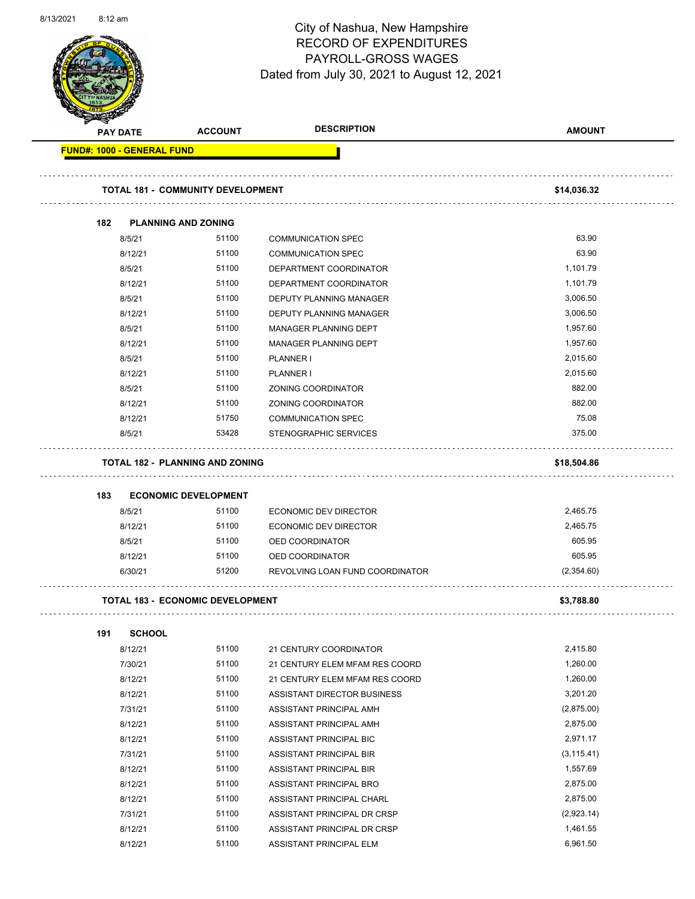| 8/13/2021 | $8:12 \text{ am}$ |
|-----------|-------------------|
|-----------|-------------------|



Page 57 of 90

|                                   | <b>PAY DATE</b> | <b>ACCOUNT</b>                           | <b>DESCRIPTION</b>              | <b>AMOUNT</b> |
|-----------------------------------|-----------------|------------------------------------------|---------------------------------|---------------|
| <b>FUND#: 1000 - GENERAL FUND</b> |                 |                                          |                                 |               |
|                                   |                 | <b>TOTAL 181 - COMMUNITY DEVELOPMENT</b> |                                 | \$14,036.32   |
| 182                               |                 | <b>PLANNING AND ZONING</b>               |                                 |               |
|                                   | 8/5/21          | 51100                                    | <b>COMMUNICATION SPEC</b>       | 63.90         |
|                                   | 8/12/21         | 51100                                    | <b>COMMUNICATION SPEC</b>       | 63.90         |
|                                   | 8/5/21          | 51100                                    | DEPARTMENT COORDINATOR          | 1,101.79      |
|                                   | 8/12/21         | 51100                                    | DEPARTMENT COORDINATOR          | 1,101.79      |
|                                   | 8/5/21          | 51100                                    | DEPUTY PLANNING MANAGER         | 3,006.50      |
|                                   | 8/12/21         | 51100                                    | DEPUTY PLANNING MANAGER         | 3,006.50      |
|                                   | 8/5/21          | 51100                                    | <b>MANAGER PLANNING DEPT</b>    | 1,957.60      |
|                                   | 8/12/21         | 51100                                    | MANAGER PLANNING DEPT           | 1,957.60      |
|                                   | 8/5/21          | 51100                                    | PLANNER I                       | 2,015.60      |
|                                   | 8/12/21         | 51100                                    | <b>PLANNER I</b>                | 2,015.60      |
|                                   | 8/5/21          | 51100                                    | ZONING COORDINATOR              | 882.00        |
|                                   | 8/12/21         | 51100                                    | ZONING COORDINATOR              | 882.00        |
|                                   | 8/12/21         | 51750                                    | <b>COMMUNICATION SPEC</b>       | 75.08         |
|                                   | 8/5/21          | 53428                                    | STENOGRAPHIC SERVICES           | 375.00        |
|                                   |                 | <b>TOTAL 182 - PLANNING AND ZONING</b>   |                                 | \$18,504.86   |
| 183                               |                 | <b>ECONOMIC DEVELOPMENT</b>              |                                 |               |
|                                   | 8/5/21          | 51100                                    | ECONOMIC DEV DIRECTOR           | 2,465.75      |
|                                   | 8/12/21         | 51100                                    | <b>ECONOMIC DEV DIRECTOR</b>    | 2,465.75      |
|                                   | 8/5/21          | 51100                                    | OED COORDINATOR                 | 605.95        |
|                                   | 8/12/21         | 51100                                    | OED COORDINATOR                 | 605.95        |
|                                   | 6/30/21         | 51200                                    | REVOLVING LOAN FUND COORDINATOR | (2,354.60)    |
|                                   |                 | <b>TOTAL 183 - ECONOMIC DEVELOPMENT</b>  |                                 | \$3,788.80    |
| 191                               | <b>SCHOOL</b>   |                                          |                                 |               |
|                                   | 8/12/21         | 51100                                    | 21 CENTURY COORDINATOR          | 2,415.80      |
|                                   | 7/30/21         | 51100                                    | 21 CENTURY ELEM MFAM RES COORD  | 1,260.00      |
|                                   | 8/12/21         | 51100                                    | 21 CENTURY ELEM MFAM RES COORD  | 1,260.00      |
|                                   | 8/12/21         | 51100                                    | ASSISTANT DIRECTOR BUSINESS     | 3,201.20      |
|                                   | 7/31/21         | 51100                                    | ASSISTANT PRINCIPAL AMH         | (2,875.00)    |
|                                   | 8/12/21         | 51100                                    | ASSISTANT PRINCIPAL AMH         | 2,875.00      |
|                                   | 8/12/21         | 51100                                    | ASSISTANT PRINCIPAL BIC         | 2,971.17      |
|                                   | 7/31/21         | 51100                                    | ASSISTANT PRINCIPAL BIR         | (3, 115.41)   |
|                                   | 8/12/21         | 51100                                    | ASSISTANT PRINCIPAL BIR         | 1,557.69      |
|                                   | 8/12/21         | 51100                                    | ASSISTANT PRINCIPAL BRO         | 2,875.00      |
|                                   | 8/12/21         | 51100                                    | ASSISTANT PRINCIPAL CHARL       | 2,875.00      |
|                                   | 7/31/21         | 51100                                    | ASSISTANT PRINCIPAL DR CRSP     | (2,923.14)    |
|                                   | 8/12/21         | 51100                                    | ASSISTANT PRINCIPAL DR CRSP     | 1,461.55      |

8/12/21 51100 ASSISTANT PRINCIPAL ELM 6,961.50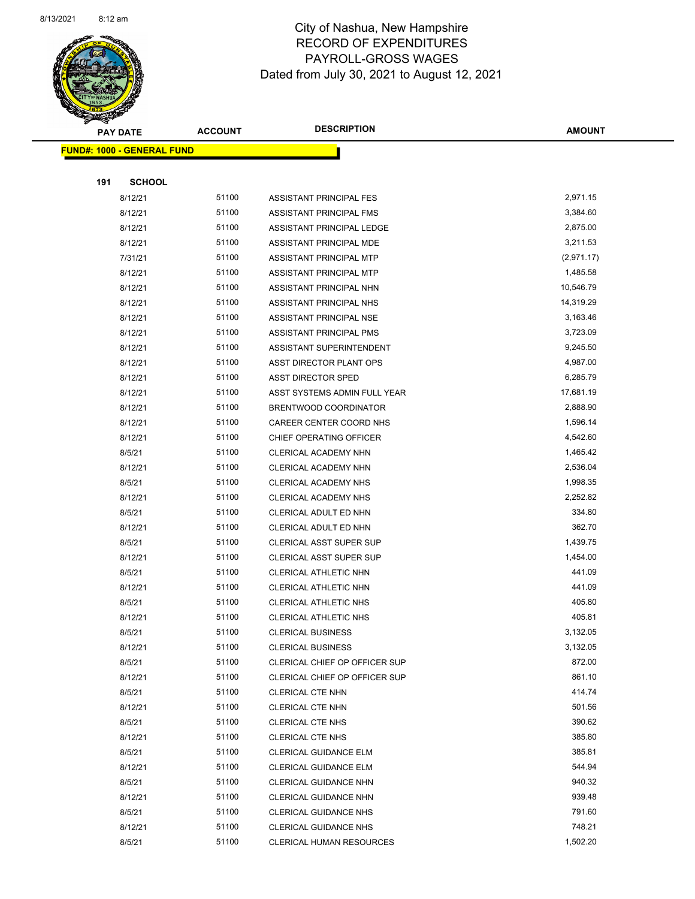

Page 58 of 90

| <b>PAY DATE</b>            | <b>ACCOUNT</b> | <b>DESCRIPTION</b>              | <b>AMOUNT</b> |
|----------------------------|----------------|---------------------------------|---------------|
| FUND#: 1000 - GENERAL FUND |                |                                 |               |
|                            |                |                                 |               |
| 191<br><b>SCHOOL</b>       |                |                                 |               |
| 8/12/21                    | 51100          | ASSISTANT PRINCIPAL FES         | 2,971.15      |
| 8/12/21                    | 51100          | ASSISTANT PRINCIPAL FMS         | 3,384.60      |
| 8/12/21                    | 51100          | ASSISTANT PRINCIPAL LEDGE       | 2,875.00      |
| 8/12/21                    | 51100          | ASSISTANT PRINCIPAL MDE         | 3,211.53      |
| 7/31/21                    | 51100          | ASSISTANT PRINCIPAL MTP         | (2,971.17)    |
| 8/12/21                    | 51100          | ASSISTANT PRINCIPAL MTP         | 1,485.58      |
| 8/12/21                    | 51100          | ASSISTANT PRINCIPAL NHN         | 10,546.79     |
| 8/12/21                    | 51100          | ASSISTANT PRINCIPAL NHS         | 14,319.29     |
| 8/12/21                    | 51100          | ASSISTANT PRINCIPAL NSE         | 3,163.46      |
| 8/12/21                    | 51100          | ASSISTANT PRINCIPAL PMS         | 3,723.09      |
| 8/12/21                    | 51100          | ASSISTANT SUPERINTENDENT        | 9,245.50      |
| 8/12/21                    | 51100          | ASST DIRECTOR PLANT OPS         | 4,987.00      |
| 8/12/21                    | 51100          | <b>ASST DIRECTOR SPED</b>       | 6,285.79      |
| 8/12/21                    | 51100          | ASST SYSTEMS ADMIN FULL YEAR    | 17,681.19     |
| 8/12/21                    | 51100          | BRENTWOOD COORDINATOR           | 2,888.90      |
| 8/12/21                    | 51100          | CAREER CENTER COORD NHS         | 1,596.14      |
| 8/12/21                    | 51100          | CHIEF OPERATING OFFICER         | 4,542.60      |
| 8/5/21                     | 51100          | CLERICAL ACADEMY NHN            | 1,465.42      |
| 8/12/21                    | 51100          | CLERICAL ACADEMY NHN            | 2,536.04      |
| 8/5/21                     | 51100          | <b>CLERICAL ACADEMY NHS</b>     | 1,998.35      |
| 8/12/21                    | 51100          | CLERICAL ACADEMY NHS            | 2,252.82      |
| 8/5/21                     | 51100          | CLERICAL ADULT ED NHN           | 334.80        |
| 8/12/21                    | 51100          | CLERICAL ADULT ED NHN           | 362.70        |
| 8/5/21                     | 51100          | <b>CLERICAL ASST SUPER SUP</b>  | 1,439.75      |
| 8/12/21                    | 51100          | <b>CLERICAL ASST SUPER SUP</b>  | 1,454.00      |
| 8/5/21                     | 51100          | CLERICAL ATHLETIC NHN           | 441.09        |
| 8/12/21                    | 51100          | CLERICAL ATHLETIC NHN           | 441.09        |
| 8/5/21                     | 51100          | <b>CLERICAL ATHLETIC NHS</b>    | 405.80        |
| 8/12/21                    | 51100          | CLERICAL ATHLETIC NHS           | 405.81        |
| 8/5/21                     | 51100          | <b>CLERICAL BUSINESS</b>        | 3,132.05      |
| 8/12/21                    | 51100          | <b>CLERICAL BUSINESS</b>        | 3,132.05      |
| 8/5/21                     | 51100          | CLERICAL CHIEF OP OFFICER SUP   | 872.00        |
| 8/12/21                    | 51100          | CLERICAL CHIEF OP OFFICER SUP   | 861.10        |
| 8/5/21                     | 51100          | CLERICAL CTE NHN                | 414.74        |
| 8/12/21                    | 51100          | CLERICAL CTE NHN                | 501.56        |
| 8/5/21                     | 51100          | CLERICAL CTE NHS                | 390.62        |
| 8/12/21                    | 51100          | CLERICAL CTE NHS                | 385.80        |
| 8/5/21                     | 51100          | <b>CLERICAL GUIDANCE ELM</b>    | 385.81        |
| 8/12/21                    | 51100          | <b>CLERICAL GUIDANCE ELM</b>    | 544.94        |
| 8/5/21                     | 51100          | <b>CLERICAL GUIDANCE NHN</b>    | 940.32        |
| 8/12/21                    | 51100          | CLERICAL GUIDANCE NHN           | 939.48        |
| 8/5/21                     | 51100          | <b>CLERICAL GUIDANCE NHS</b>    | 791.60        |
| 8/12/21                    | 51100          | <b>CLERICAL GUIDANCE NHS</b>    | 748.21        |
| 8/5/21                     | 51100          | <b>CLERICAL HUMAN RESOURCES</b> | 1,502.20      |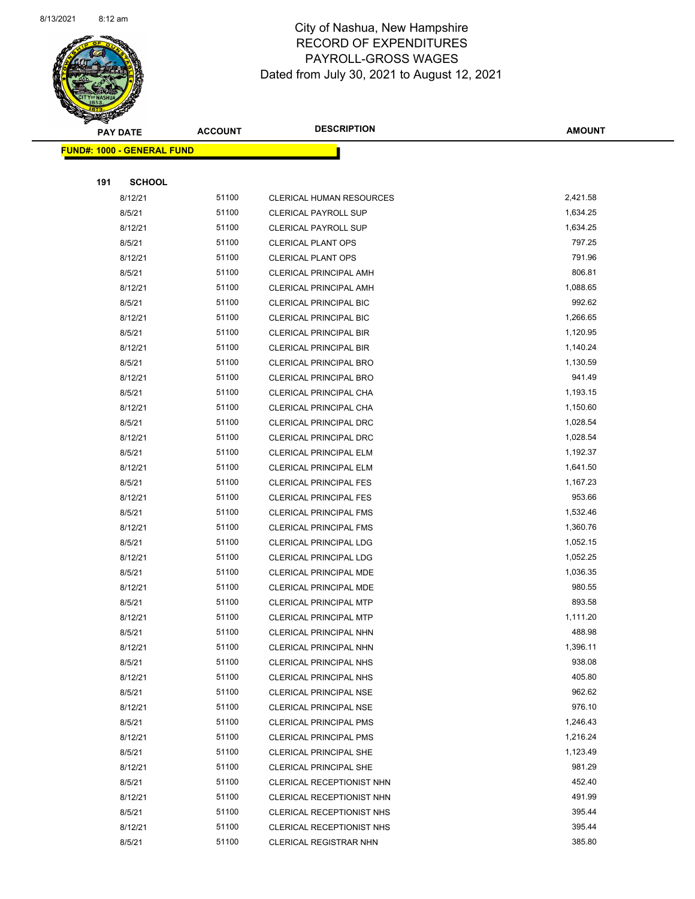

Page 59 of 90

|     | <b>PAY DATE</b>                   | <b>ACCOUNT</b> | <b>DESCRIPTION</b>                               | <b>AMOUNT</b>      |
|-----|-----------------------------------|----------------|--------------------------------------------------|--------------------|
|     | <b>FUND#: 1000 - GENERAL FUND</b> |                |                                                  |                    |
|     |                                   |                |                                                  |                    |
| 191 | <b>SCHOOL</b>                     |                |                                                  |                    |
|     | 8/12/21                           | 51100          | CLERICAL HUMAN RESOURCES                         | 2,421.58           |
|     | 8/5/21                            | 51100          | <b>CLERICAL PAYROLL SUP</b>                      | 1,634.25           |
|     | 8/12/21                           | 51100          | <b>CLERICAL PAYROLL SUP</b>                      | 1,634.25           |
|     | 8/5/21                            | 51100          | <b>CLERICAL PLANT OPS</b>                        | 797.25             |
|     | 8/12/21                           | 51100          | <b>CLERICAL PLANT OPS</b>                        | 791.96             |
|     | 8/5/21                            | 51100          | <b>CLERICAL PRINCIPAL AMH</b>                    | 806.81             |
|     | 8/12/21                           | 51100          | <b>CLERICAL PRINCIPAL AMH</b>                    | 1,088.65           |
|     | 8/5/21                            | 51100          | CLERICAL PRINCIPAL BIC                           | 992.62             |
|     | 8/12/21                           | 51100          | <b>CLERICAL PRINCIPAL BIC</b>                    | 1,266.65           |
|     | 8/5/21                            | 51100          | CLERICAL PRINCIPAL BIR                           | 1,120.95           |
|     | 8/12/21                           | 51100          | <b>CLERICAL PRINCIPAL BIR</b>                    | 1,140.24           |
|     | 8/5/21                            | 51100          | CLERICAL PRINCIPAL BRO                           | 1,130.59           |
|     | 8/12/21                           | 51100          | CLERICAL PRINCIPAL BRO                           | 941.49             |
|     | 8/5/21                            | 51100          | CLERICAL PRINCIPAL CHA                           | 1,193.15           |
|     | 8/12/21                           | 51100          | CLERICAL PRINCIPAL CHA                           | 1,150.60           |
|     | 8/5/21                            | 51100          | CLERICAL PRINCIPAL DRC                           | 1,028.54           |
|     | 8/12/21                           | 51100          | CLERICAL PRINCIPAL DRC                           | 1,028.54           |
|     | 8/5/21                            | 51100          | CLERICAL PRINCIPAL ELM                           | 1,192.37           |
|     | 8/12/21                           | 51100          | <b>CLERICAL PRINCIPAL ELM</b>                    | 1,641.50           |
|     | 8/5/21                            | 51100          | <b>CLERICAL PRINCIPAL FES</b>                    | 1,167.23           |
|     | 8/12/21                           | 51100          | <b>CLERICAL PRINCIPAL FES</b>                    | 953.66             |
|     | 8/5/21                            | 51100          | CLERICAL PRINCIPAL FMS                           | 1,532.46           |
|     | 8/12/21                           | 51100          | <b>CLERICAL PRINCIPAL FMS</b>                    | 1,360.76           |
|     | 8/5/21                            | 51100          | <b>CLERICAL PRINCIPAL LDG</b>                    | 1,052.15           |
|     | 8/12/21                           | 51100          | CLERICAL PRINCIPAL LDG                           | 1,052.25           |
|     | 8/5/21                            | 51100          | CLERICAL PRINCIPAL MDE                           | 1,036.35           |
|     | 8/12/21                           | 51100          | CLERICAL PRINCIPAL MDE                           | 980.55             |
|     | 8/5/21                            | 51100          | <b>CLERICAL PRINCIPAL MTP</b>                    | 893.58             |
|     | 8/12/21                           | 51100<br>51100 | <b>CLERICAL PRINCIPAL MTP</b>                    | 1,111.20<br>488.98 |
|     | 8/5/21                            | 51100          | CLERICAL PRINCIPAL NHN<br>CLERICAL PRINCIPAL NHN | 1,396.11           |
|     | 8/12/21<br>8/5/21                 | 51100          | CLERICAL PRINCIPAL NHS                           | 938.08             |
|     | 8/12/21                           | 51100          | <b>CLERICAL PRINCIPAL NHS</b>                    | 405.80             |
|     | 8/5/21                            | 51100          | <b>CLERICAL PRINCIPAL NSE</b>                    | 962.62             |
|     | 8/12/21                           | 51100          | <b>CLERICAL PRINCIPAL NSE</b>                    | 976.10             |
|     | 8/5/21                            | 51100          | <b>CLERICAL PRINCIPAL PMS</b>                    | 1,246.43           |
|     | 8/12/21                           | 51100          | <b>CLERICAL PRINCIPAL PMS</b>                    | 1,216.24           |
|     | 8/5/21                            | 51100          | CLERICAL PRINCIPAL SHE                           | 1,123.49           |
|     | 8/12/21                           | 51100          | <b>CLERICAL PRINCIPAL SHE</b>                    | 981.29             |
|     | 8/5/21                            | 51100          | CLERICAL RECEPTIONIST NHN                        | 452.40             |
|     | 8/12/21                           | 51100          | CLERICAL RECEPTIONIST NHN                        | 491.99             |
|     | 8/5/21                            | 51100          | CLERICAL RECEPTIONIST NHS                        | 395.44             |
|     | 8/12/21                           | 51100          | <b>CLERICAL RECEPTIONIST NHS</b>                 | 395.44             |
|     | 8/5/21                            | 51100          | <b>CLERICAL REGISTRAR NHN</b>                    | 385.80             |
|     |                                   |                |                                                  |                    |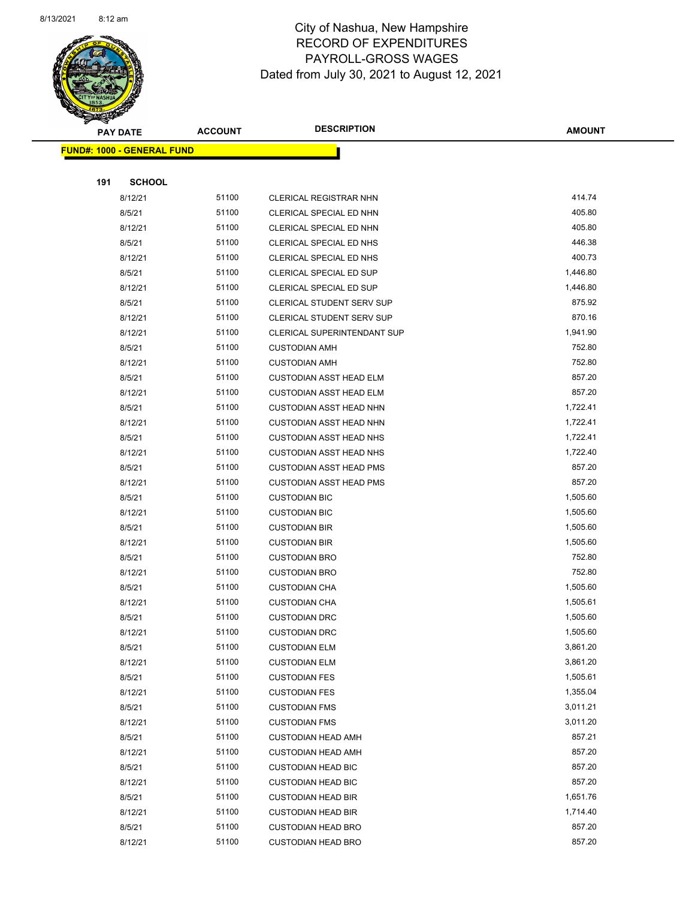

Page 60 of 90

|     | <b>PAY DATE</b>                   | <b>ACCOUNT</b> | <b>DESCRIPTION</b>                           | <b>AMOUNT</b>        |
|-----|-----------------------------------|----------------|----------------------------------------------|----------------------|
|     | <b>FUND#: 1000 - GENERAL FUND</b> |                |                                              |                      |
|     |                                   |                |                                              |                      |
| 191 | <b>SCHOOL</b>                     |                |                                              |                      |
|     | 8/12/21                           | 51100          | <b>CLERICAL REGISTRAR NHN</b>                | 414.74               |
|     | 8/5/21                            | 51100          | CLERICAL SPECIAL ED NHN                      | 405.80               |
|     | 8/12/21                           | 51100          | CLERICAL SPECIAL ED NHN                      | 405.80               |
|     | 8/5/21                            | 51100          | CLERICAL SPECIAL ED NHS                      | 446.38               |
|     | 8/12/21                           | 51100          | CLERICAL SPECIAL ED NHS                      | 400.73               |
|     | 8/5/21                            | 51100          | CLERICAL SPECIAL ED SUP                      | 1,446.80             |
|     | 8/12/21                           | 51100          | CLERICAL SPECIAL ED SUP                      | 1,446.80             |
|     | 8/5/21                            | 51100          | <b>CLERICAL STUDENT SERV SUP</b>             | 875.92               |
|     | 8/12/21                           | 51100          | CLERICAL STUDENT SERV SUP                    | 870.16               |
|     | 8/12/21                           | 51100          | CLERICAL SUPERINTENDANT SUP                  | 1,941.90             |
|     | 8/5/21                            | 51100          | <b>CUSTODIAN AMH</b>                         | 752.80               |
|     | 8/12/21                           | 51100          | <b>CUSTODIAN AMH</b>                         | 752.80               |
|     | 8/5/21                            | 51100          | <b>CUSTODIAN ASST HEAD ELM</b>               | 857.20               |
|     | 8/12/21                           | 51100          | <b>CUSTODIAN ASST HEAD ELM</b>               | 857.20               |
|     | 8/5/21                            | 51100          | <b>CUSTODIAN ASST HEAD NHN</b>               | 1,722.41             |
|     | 8/12/21                           | 51100          | <b>CUSTODIAN ASST HEAD NHN</b>               | 1,722.41             |
|     | 8/5/21                            | 51100          | <b>CUSTODIAN ASST HEAD NHS</b>               | 1,722.41             |
|     | 8/12/21                           | 51100          | <b>CUSTODIAN ASST HEAD NHS</b>               | 1,722.40             |
|     | 8/5/21                            | 51100          | <b>CUSTODIAN ASST HEAD PMS</b>               | 857.20               |
|     | 8/12/21                           | 51100          | <b>CUSTODIAN ASST HEAD PMS</b>               | 857.20               |
|     | 8/5/21                            | 51100          | <b>CUSTODIAN BIC</b>                         | 1,505.60             |
|     | 8/12/21                           | 51100          | <b>CUSTODIAN BIC</b>                         | 1,505.60             |
|     | 8/5/21                            | 51100          | <b>CUSTODIAN BIR</b>                         | 1,505.60             |
|     | 8/12/21                           | 51100          | <b>CUSTODIAN BIR</b>                         | 1,505.60             |
|     | 8/5/21                            | 51100          | <b>CUSTODIAN BRO</b>                         | 752.80               |
|     | 8/12/21                           | 51100          | <b>CUSTODIAN BRO</b>                         | 752.80               |
|     | 8/5/21                            | 51100          | <b>CUSTODIAN CHA</b>                         | 1,505.60             |
|     | 8/12/21                           | 51100          | <b>CUSTODIAN CHA</b>                         | 1,505.61             |
|     | 8/5/21                            | 51100<br>51100 | <b>CUSTODIAN DRC</b>                         | 1,505.60             |
|     | 8/12/21                           | 51100          | <b>CUSTODIAN DRC</b>                         | 1,505.60<br>3,861.20 |
|     | 8/5/21<br>8/12/21                 | 51100          | <b>CUSTODIAN ELM</b><br><b>CUSTODIAN ELM</b> | 3,861.20             |
|     | 8/5/21                            | 51100          | <b>CUSTODIAN FES</b>                         | 1,505.61             |
|     | 8/12/21                           | 51100          | <b>CUSTODIAN FES</b>                         | 1,355.04             |
|     | 8/5/21                            | 51100          | <b>CUSTODIAN FMS</b>                         | 3,011.21             |
|     | 8/12/21                           | 51100          | <b>CUSTODIAN FMS</b>                         | 3,011.20             |
|     | 8/5/21                            | 51100          | <b>CUSTODIAN HEAD AMH</b>                    | 857.21               |
|     | 8/12/21                           | 51100          | <b>CUSTODIAN HEAD AMH</b>                    | 857.20               |
|     | 8/5/21                            | 51100          | <b>CUSTODIAN HEAD BIC</b>                    | 857.20               |
|     | 8/12/21                           | 51100          | <b>CUSTODIAN HEAD BIC</b>                    | 857.20               |
|     | 8/5/21                            | 51100          | <b>CUSTODIAN HEAD BIR</b>                    | 1,651.76             |
|     | 8/12/21                           | 51100          | <b>CUSTODIAN HEAD BIR</b>                    | 1,714.40             |
|     | 8/5/21                            | 51100          | <b>CUSTODIAN HEAD BRO</b>                    | 857.20               |
|     | 8/12/21                           | 51100          | <b>CUSTODIAN HEAD BRO</b>                    | 857.20               |
|     |                                   |                |                                              |                      |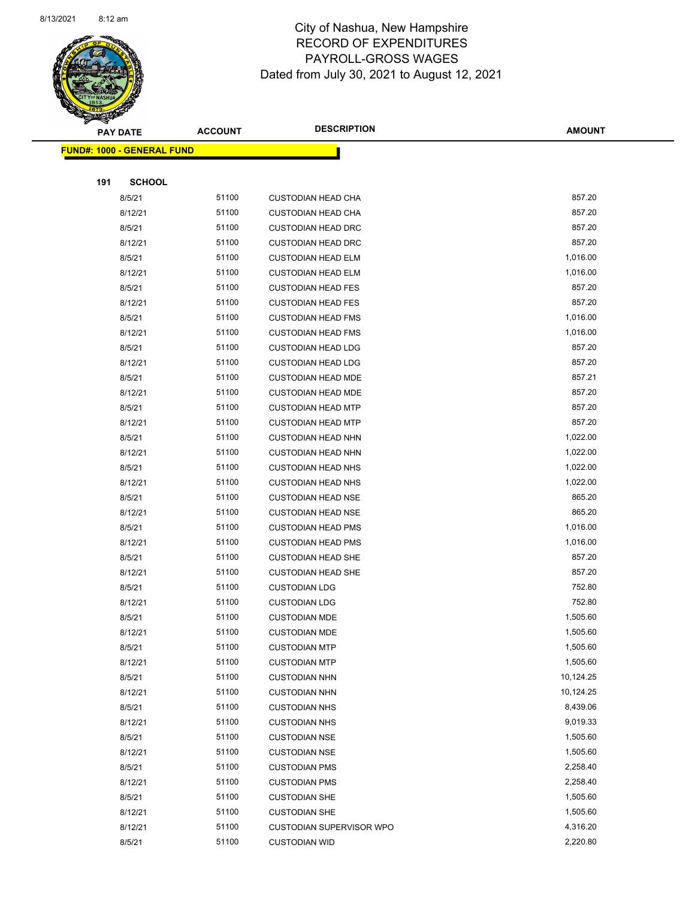

Page 61 of 90

|     | <b>PAY DATE</b>                   | <b>ACCOUNT</b> | <b>DESCRIPTION</b>        | <b>AMOUNT</b> |
|-----|-----------------------------------|----------------|---------------------------|---------------|
|     | <b>FUND#: 1000 - GENERAL FUND</b> |                |                           |               |
|     |                                   |                |                           |               |
| 191 | <b>SCHOOL</b>                     |                |                           |               |
|     | 8/5/21                            | 51100          | <b>CUSTODIAN HEAD CHA</b> | 857.20        |
|     | 8/12/21                           | 51100          | <b>CUSTODIAN HEAD CHA</b> | 857.20        |
|     | 8/5/21                            | 51100          | <b>CUSTODIAN HEAD DRC</b> | 857.20        |
|     | 8/12/21                           | 51100          | <b>CUSTODIAN HEAD DRC</b> | 857.20        |
|     | 8/5/21                            | 51100          | <b>CUSTODIAN HEAD ELM</b> | 1,016.00      |
|     | 8/12/21                           | 51100          | <b>CUSTODIAN HEAD ELM</b> | 1,016.00      |
|     | 8/5/21                            | 51100          | <b>CUSTODIAN HEAD FES</b> | 857.20        |
|     | 8/12/21                           | 51100          | <b>CUSTODIAN HEAD FES</b> | 857.20        |
|     | 8/5/21                            | 51100          | <b>CUSTODIAN HEAD FMS</b> | 1,016.00      |
|     | 8/12/21                           | 51100          | <b>CUSTODIAN HEAD FMS</b> | 1,016.00      |
|     | 8/5/21                            | 51100          | <b>CUSTODIAN HEAD LDG</b> | 857.20        |
|     | 8/12/21                           | 51100          | <b>CUSTODIAN HEAD LDG</b> | 857.20        |
|     | 8/5/21                            | 51100          | <b>CUSTODIAN HEAD MDE</b> | 857.21        |
|     | 8/12/21                           | 51100          | <b>CUSTODIAN HEAD MDE</b> | 857.20        |
|     | 8/5/21                            | 51100          | <b>CUSTODIAN HEAD MTP</b> | 857.20        |
|     | 8/12/21                           | 51100          | <b>CUSTODIAN HEAD MTP</b> | 857.20        |
|     | 8/5/21                            | 51100          | <b>CUSTODIAN HEAD NHN</b> | 1,022.00      |
|     | 8/12/21                           | 51100          | <b>CUSTODIAN HEAD NHN</b> | 1,022.00      |
|     | 8/5/21                            | 51100          | <b>CUSTODIAN HEAD NHS</b> | 1,022.00      |
|     | 8/12/21                           | 51100          | <b>CUSTODIAN HEAD NHS</b> | 1,022.00      |
|     | 8/5/21                            | 51100          | <b>CUSTODIAN HEAD NSE</b> | 865.20        |
|     | 8/12/21                           | 51100          | <b>CUSTODIAN HEAD NSE</b> | 865.20        |
|     | 8/5/21                            | 51100          | <b>CUSTODIAN HEAD PMS</b> | 1,016.00      |
|     | 8/12/21                           | 51100          | <b>CUSTODIAN HEAD PMS</b> | 1,016.00      |
|     | 8/5/21                            | 51100          | <b>CUSTODIAN HEAD SHE</b> | 857.20        |
|     | 8/12/21                           | 51100          | <b>CUSTODIAN HEAD SHE</b> | 857.20        |
|     | 8/5/21                            | 51100          | <b>CUSTODIAN LDG</b>      | 752.80        |
|     | 8/12/21                           | 51100          | <b>CUSTODIAN LDG</b>      | 752.80        |
|     | 8/5/21                            | 51100          | <b>CUSTODIAN MDE</b>      | 1,505.60      |
|     | 8/12/21                           | 51100          | <b>CUSTODIAN MDE</b>      | 1,505.60      |
|     | 8/5/21                            | 51100          | <b>CUSTODIAN MTP</b>      | 1,505.60      |
|     | 8/12/21                           | 51100          | <b>CUSTODIAN MTP</b>      | 1,505.60      |
|     | 8/5/21                            | 51100          | <b>CUSTODIAN NHN</b>      | 10,124.25     |
|     | 8/12/21                           | 51100          | <b>CUSTODIAN NHN</b>      | 10,124.25     |
|     | 8/5/21                            | 51100          | <b>CUSTODIAN NHS</b>      | 8,439.06      |
|     | 8/12/21                           | 51100          | <b>CUSTODIAN NHS</b>      | 9,019.33      |
|     | 8/5/21                            | 51100          | <b>CUSTODIAN NSE</b>      | 1,505.60      |
|     | 8/12/21                           | 51100          | <b>CUSTODIAN NSE</b>      | 1,505.60      |
|     | 8/5/21                            | 51100          | <b>CUSTODIAN PMS</b>      | 2,258.40      |
|     | 8/12/21                           | 51100          | <b>CUSTODIAN PMS</b>      | 2,258.40      |
|     | 8/5/21                            | 51100          | <b>CUSTODIAN SHE</b>      | 1,505.60      |
|     | 8/12/21                           | 51100          | <b>CUSTODIAN SHE</b>      | 1,505.60      |
|     | 8/12/21                           | 51100          | CUSTODIAN SUPERVISOR WPO  | 4,316.20      |
|     | 8/5/21                            | 51100          | <b>CUSTODIAN WID</b>      | 2,220.80      |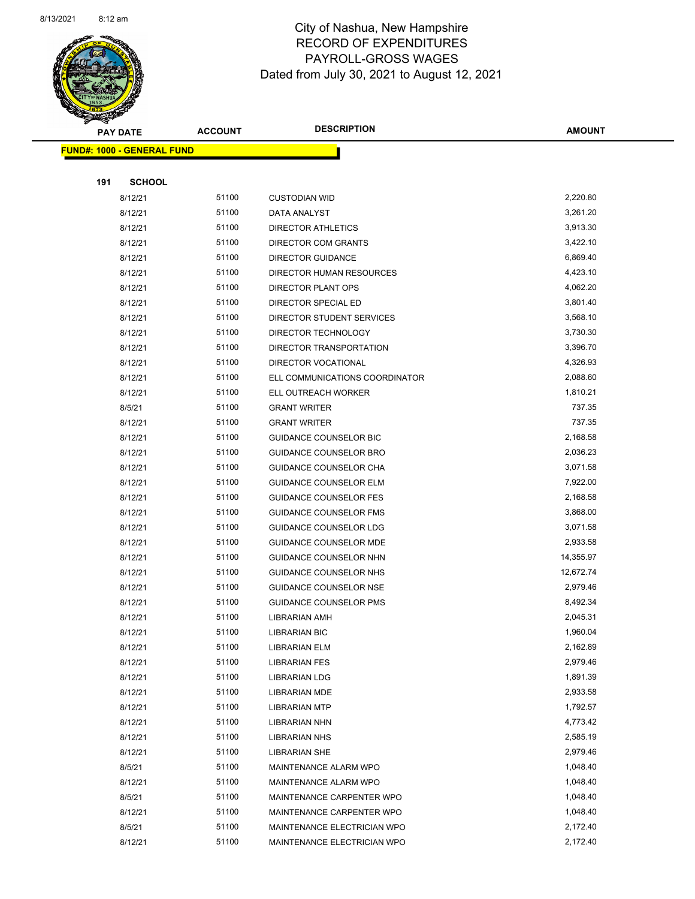

Page 62 of 90

| <b>PAY DATE</b>                   | <b>ACCOUNT</b> | <b>DESCRIPTION</b>             | <b>AMOUNT</b> |
|-----------------------------------|----------------|--------------------------------|---------------|
| <b>FUND#: 1000 - GENERAL FUND</b> |                |                                |               |
|                                   |                |                                |               |
| 191                               | <b>SCHOOL</b>  |                                |               |
| 8/12/21                           | 51100          | <b>CUSTODIAN WID</b>           | 2,220.80      |
| 8/12/21                           | 51100          | DATA ANALYST                   | 3,261.20      |
| 8/12/21                           | 51100          | DIRECTOR ATHLETICS             | 3,913.30      |
| 8/12/21                           | 51100          | DIRECTOR COM GRANTS            | 3,422.10      |
| 8/12/21                           | 51100          | <b>DIRECTOR GUIDANCE</b>       | 6,869.40      |
| 8/12/21                           | 51100          | DIRECTOR HUMAN RESOURCES       | 4,423.10      |
| 8/12/21                           | 51100          | DIRECTOR PLANT OPS             | 4,062.20      |
| 8/12/21                           | 51100          | DIRECTOR SPECIAL ED            | 3,801.40      |
| 8/12/21                           | 51100          | DIRECTOR STUDENT SERVICES      | 3,568.10      |
| 8/12/21                           | 51100          | DIRECTOR TECHNOLOGY            | 3,730.30      |
| 8/12/21                           | 51100          | DIRECTOR TRANSPORTATION        | 3,396.70      |
| 8/12/21                           | 51100          | <b>DIRECTOR VOCATIONAL</b>     | 4,326.93      |
| 8/12/21                           | 51100          | ELL COMMUNICATIONS COORDINATOR | 2,088.60      |
| 8/12/21                           | 51100          | ELL OUTREACH WORKER            | 1,810.21      |
| 8/5/21                            | 51100          | <b>GRANT WRITER</b>            | 737.35        |
| 8/12/21                           | 51100          | <b>GRANT WRITER</b>            | 737.35        |
| 8/12/21                           | 51100          | GUIDANCE COUNSELOR BIC         | 2,168.58      |
| 8/12/21                           | 51100          | GUIDANCE COUNSELOR BRO         | 2,036.23      |
| 8/12/21                           | 51100          | GUIDANCE COUNSELOR CHA         | 3,071.58      |
| 8/12/21                           | 51100          | GUIDANCE COUNSELOR ELM         | 7,922.00      |
| 8/12/21                           | 51100          | <b>GUIDANCE COUNSELOR FES</b>  | 2,168.58      |
| 8/12/21                           | 51100          | <b>GUIDANCE COUNSELOR FMS</b>  | 3,868.00      |
| 8/12/21                           | 51100          | <b>GUIDANCE COUNSELOR LDG</b>  | 3,071.58      |
| 8/12/21                           | 51100          | <b>GUIDANCE COUNSELOR MDE</b>  | 2,933.58      |
| 8/12/21                           | 51100          | <b>GUIDANCE COUNSELOR NHN</b>  | 14,355.97     |
| 8/12/21                           | 51100          | GUIDANCE COUNSELOR NHS         | 12,672.74     |
| 8/12/21                           | 51100          | <b>GUIDANCE COUNSELOR NSE</b>  | 2,979.46      |
| 8/12/21                           | 51100          | <b>GUIDANCE COUNSELOR PMS</b>  | 8,492.34      |
| 8/12/21                           | 51100          | <b>LIBRARIAN AMH</b>           | 2,045.31      |
| 8/12/21                           | 51100          | <b>LIBRARIAN BIC</b>           | 1,960.04      |
| 8/12/21                           | 51100          | <b>LIBRARIAN ELM</b>           | 2,162.89      |
| 8/12/21                           | 51100          | <b>LIBRARIAN FES</b>           | 2,979.46      |
| 8/12/21                           | 51100          | <b>LIBRARIAN LDG</b>           | 1,891.39      |
| 8/12/21                           | 51100          | LIBRARIAN MDE                  | 2,933.58      |
| 8/12/21                           | 51100          | <b>LIBRARIAN MTP</b>           | 1,792.57      |
| 8/12/21                           | 51100          | LIBRARIAN NHN                  | 4,773.42      |
| 8/12/21                           | 51100          | <b>LIBRARIAN NHS</b>           | 2,585.19      |
| 8/12/21                           | 51100          | <b>LIBRARIAN SHE</b>           | 2,979.46      |
| 8/5/21                            | 51100          | MAINTENANCE ALARM WPO          | 1,048.40      |
| 8/12/21                           | 51100          | MAINTENANCE ALARM WPO          | 1,048.40      |
| 8/5/21                            | 51100          | MAINTENANCE CARPENTER WPO      | 1,048.40      |
| 8/12/21                           | 51100          | MAINTENANCE CARPENTER WPO      | 1,048.40      |
| 8/5/21                            | 51100          | MAINTENANCE ELECTRICIAN WPO    | 2,172.40      |
| 8/12/21                           | 51100          | MAINTENANCE ELECTRICIAN WPO    | 2,172.40      |
|                                   |                |                                |               |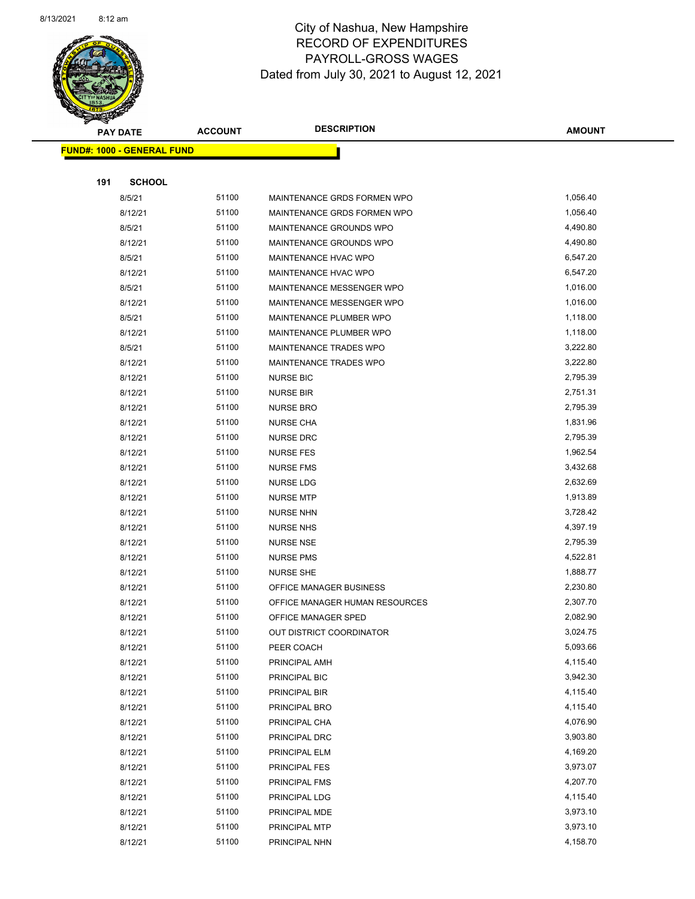

|     | <b>PAY DATE</b>                   | <b>ACCOUNT</b> | <b>DESCRIPTION</b>             | <b>AMOUNT</b> |
|-----|-----------------------------------|----------------|--------------------------------|---------------|
|     | <b>FUND#: 1000 - GENERAL FUND</b> |                |                                |               |
|     |                                   |                |                                |               |
| 191 | <b>SCHOOL</b>                     |                |                                |               |
|     | 8/5/21                            | 51100          | MAINTENANCE GRDS FORMEN WPO    | 1,056.40      |
|     | 8/12/21                           | 51100          | MAINTENANCE GRDS FORMEN WPO    | 1,056.40      |
|     | 8/5/21                            | 51100          | MAINTENANCE GROUNDS WPO        | 4,490.80      |
|     | 8/12/21                           | 51100          | MAINTENANCE GROUNDS WPO        | 4,490.80      |
|     | 8/5/21                            | 51100          | MAINTENANCE HVAC WPO           | 6,547.20      |
|     | 8/12/21                           | 51100          | MAINTENANCE HVAC WPO           | 6,547.20      |
|     | 8/5/21                            | 51100          | MAINTENANCE MESSENGER WPO      | 1,016.00      |
|     | 8/12/21                           | 51100          | MAINTENANCE MESSENGER WPO      | 1,016.00      |
|     | 8/5/21                            | 51100          | MAINTENANCE PLUMBER WPO        | 1,118.00      |
|     | 8/12/21                           | 51100          | MAINTENANCE PLUMBER WPO        | 1,118.00      |
|     | 8/5/21                            | 51100          | MAINTENANCE TRADES WPO         | 3,222.80      |
|     | 8/12/21                           | 51100          | MAINTENANCE TRADES WPO         | 3,222.80      |
|     | 8/12/21                           | 51100          | <b>NURSE BIC</b>               | 2,795.39      |
|     | 8/12/21                           | 51100          | <b>NURSE BIR</b>               | 2,751.31      |
|     | 8/12/21                           | 51100          | <b>NURSE BRO</b>               | 2,795.39      |
|     | 8/12/21                           | 51100          | <b>NURSE CHA</b>               | 1,831.96      |
|     | 8/12/21                           | 51100          | <b>NURSE DRC</b>               | 2,795.39      |
|     | 8/12/21                           | 51100          | <b>NURSE FES</b>               | 1,962.54      |
|     | 8/12/21                           | 51100          | <b>NURSE FMS</b>               | 3,432.68      |
|     | 8/12/21                           | 51100          | <b>NURSE LDG</b>               | 2,632.69      |
|     | 8/12/21                           | 51100          | <b>NURSE MTP</b>               | 1,913.89      |
|     | 8/12/21                           | 51100          | <b>NURSE NHN</b>               | 3,728.42      |
|     | 8/12/21                           | 51100          | <b>NURSE NHS</b>               | 4,397.19      |
|     | 8/12/21                           | 51100          | <b>NURSE NSE</b>               | 2,795.39      |
|     | 8/12/21                           | 51100          | <b>NURSE PMS</b>               | 4,522.81      |
|     | 8/12/21                           | 51100          | <b>NURSE SHE</b>               | 1,888.77      |
|     | 8/12/21                           | 51100          | OFFICE MANAGER BUSINESS        | 2,230.80      |
|     | 8/12/21                           | 51100          | OFFICE MANAGER HUMAN RESOURCES | 2,307.70      |
|     | 8/12/21                           | 51100          | OFFICE MANAGER SPED            | 2,082.90      |
|     | 8/12/21                           | 51100          | OUT DISTRICT COORDINATOR       | 3,024.75      |
|     | 8/12/21                           | 51100          | PEER COACH                     | 5,093.66      |
|     | 8/12/21                           | 51100          | PRINCIPAL AMH                  | 4,115.40      |
|     | 8/12/21                           | 51100          | PRINCIPAL BIC                  | 3,942.30      |
|     | 8/12/21                           | 51100          | PRINCIPAL BIR                  | 4,115.40      |
|     | 8/12/21                           | 51100          | PRINCIPAL BRO                  | 4,115.40      |
|     | 8/12/21                           | 51100          | PRINCIPAL CHA                  | 4,076.90      |
|     | 8/12/21                           | 51100          | PRINCIPAL DRC                  | 3,903.80      |
|     | 8/12/21                           | 51100          | PRINCIPAL ELM                  | 4,169.20      |
|     | 8/12/21                           | 51100          | PRINCIPAL FES                  | 3,973.07      |
|     | 8/12/21                           | 51100          | PRINCIPAL FMS                  | 4,207.70      |
|     | 8/12/21                           | 51100          | PRINCIPAL LDG                  | 4,115.40      |
|     | 8/12/21                           | 51100          | PRINCIPAL MDE                  | 3,973.10      |
|     | 8/12/21                           | 51100          | PRINCIPAL MTP                  | 3,973.10      |
|     | 8/12/21                           | 51100          | PRINCIPAL NHN                  | 4,158.70      |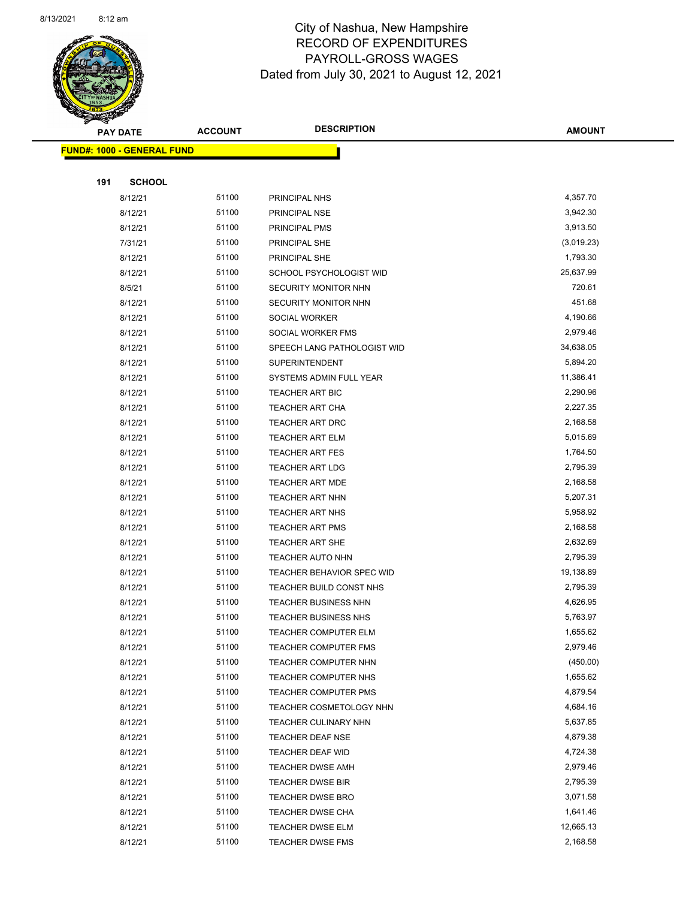

Page 64 of 90

|     | <b>PAY DATE</b>                   | <b>ACCOUNT</b> | <b>DESCRIPTION</b>                           | <b>AMOUNT</b>        |
|-----|-----------------------------------|----------------|----------------------------------------------|----------------------|
|     | <b>FUND#: 1000 - GENERAL FUND</b> |                |                                              |                      |
|     |                                   |                |                                              |                      |
| 191 | <b>SCHOOL</b>                     |                |                                              |                      |
|     | 8/12/21                           | 51100          | PRINCIPAL NHS                                | 4,357.70             |
|     | 8/12/21                           | 51100          | PRINCIPAL NSE                                | 3,942.30             |
|     | 8/12/21                           | 51100          | PRINCIPAL PMS                                | 3,913.50             |
|     | 7/31/21                           | 51100          | PRINCIPAL SHE                                | (3,019.23)           |
|     | 8/12/21                           | 51100          | PRINCIPAL SHE                                | 1,793.30             |
|     | 8/12/21                           | 51100          | SCHOOL PSYCHOLOGIST WID                      | 25,637.99            |
|     | 8/5/21                            | 51100          | SECURITY MONITOR NHN                         | 720.61               |
|     | 8/12/21                           | 51100          | SECURITY MONITOR NHN                         | 451.68               |
|     | 8/12/21                           | 51100          | SOCIAL WORKER                                | 4,190.66             |
|     | 8/12/21                           | 51100          | SOCIAL WORKER FMS                            | 2,979.46             |
|     | 8/12/21                           | 51100          | SPEECH LANG PATHOLOGIST WID                  | 34,638.05            |
|     | 8/12/21                           | 51100          | <b>SUPERINTENDENT</b>                        | 5,894.20             |
|     | 8/12/21                           | 51100          | SYSTEMS ADMIN FULL YEAR                      | 11,386.41            |
|     | 8/12/21                           | 51100          | <b>TEACHER ART BIC</b>                       | 2,290.96             |
|     | 8/12/21                           | 51100          | <b>TEACHER ART CHA</b>                       | 2,227.35             |
|     | 8/12/21                           | 51100          | <b>TEACHER ART DRC</b>                       | 2,168.58             |
|     | 8/12/21                           | 51100          | <b>TEACHER ART ELM</b>                       | 5,015.69             |
|     | 8/12/21                           | 51100          | <b>TEACHER ART FES</b>                       | 1,764.50             |
|     | 8/12/21                           | 51100          | <b>TEACHER ART LDG</b>                       | 2,795.39             |
|     | 8/12/21                           | 51100          | <b>TEACHER ART MDE</b>                       | 2,168.58             |
|     | 8/12/21                           | 51100          | <b>TEACHER ART NHN</b>                       | 5,207.31             |
|     | 8/12/21                           | 51100          | <b>TEACHER ART NHS</b>                       | 5,958.92             |
|     | 8/12/21                           | 51100          | <b>TEACHER ART PMS</b>                       | 2,168.58             |
|     | 8/12/21                           | 51100          | <b>TEACHER ART SHE</b>                       | 2,632.69             |
|     | 8/12/21                           | 51100          | TEACHER AUTO NHN                             | 2,795.39             |
|     | 8/12/21                           | 51100          | TEACHER BEHAVIOR SPEC WID                    | 19,138.89            |
|     | 8/12/21                           | 51100          | TEACHER BUILD CONST NHS                      | 2,795.39             |
|     | 8/12/21                           | 51100          | TEACHER BUSINESS NHN                         | 4,626.95             |
|     | 8/12/21                           | 51100          | TEACHER BUSINESS NHS                         | 5,763.97             |
|     | 8/12/21                           | 51100          | TEACHER COMPUTER ELM                         | 1,655.62             |
|     | 8/12/21                           | 51100          | <b>TEACHER COMPUTER FMS</b>                  | 2,979.46<br>(450.00) |
|     | 8/12/21                           | 51100          | TEACHER COMPUTER NHN<br>TEACHER COMPUTER NHS | 1,655.62             |
|     | 8/12/21<br>8/12/21                | 51100<br>51100 | <b>TEACHER COMPUTER PMS</b>                  | 4,879.54             |
|     | 8/12/21                           | 51100          | TEACHER COSMETOLOGY NHN                      | 4,684.16             |
|     | 8/12/21                           | 51100          | TEACHER CULINARY NHN                         | 5,637.85             |
|     | 8/12/21                           | 51100          | TEACHER DEAF NSE                             | 4,879.38             |
|     | 8/12/21                           | 51100          | TEACHER DEAF WID                             | 4,724.38             |
|     | 8/12/21                           | 51100          | <b>TEACHER DWSE AMH</b>                      | 2,979.46             |
|     | 8/12/21                           | 51100          | <b>TEACHER DWSE BIR</b>                      | 2,795.39             |
|     | 8/12/21                           | 51100          | <b>TEACHER DWSE BRO</b>                      | 3,071.58             |
|     | 8/12/21                           | 51100          | <b>TEACHER DWSE CHA</b>                      | 1,641.46             |
|     | 8/12/21                           | 51100          | <b>TEACHER DWSE ELM</b>                      | 12,665.13            |
|     | 8/12/21                           | 51100          | <b>TEACHER DWSE FMS</b>                      | 2,168.58             |
|     |                                   |                |                                              |                      |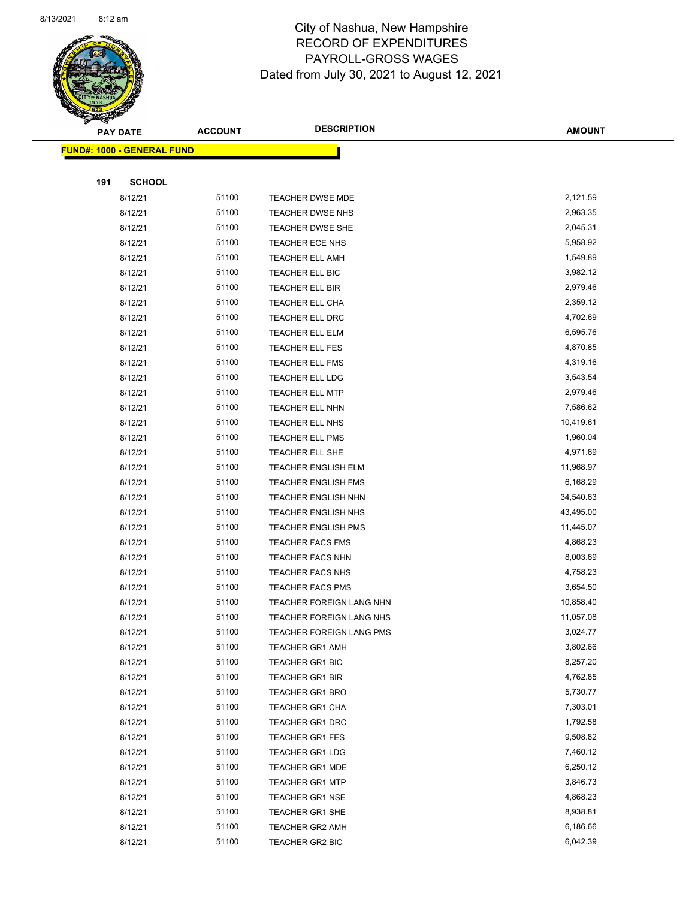

Page 65 of 90

|     | <b>PAY DATE</b>                   | <b>ACCOUNT</b> | <b>DESCRIPTION</b>                               | <b>AMOUNT</b>        |
|-----|-----------------------------------|----------------|--------------------------------------------------|----------------------|
|     | <b>FUND#: 1000 - GENERAL FUND</b> |                |                                                  |                      |
|     |                                   |                |                                                  |                      |
| 191 | <b>SCHOOL</b>                     |                |                                                  |                      |
|     | 8/12/21                           | 51100          | TEACHER DWSE MDE                                 | 2,121.59             |
|     | 8/12/21                           | 51100          | <b>TEACHER DWSE NHS</b>                          | 2,963.35             |
|     | 8/12/21                           | 51100          | <b>TEACHER DWSE SHE</b>                          | 2,045.31             |
|     | 8/12/21                           | 51100          | <b>TEACHER ECE NHS</b>                           | 5,958.92             |
|     | 8/12/21                           | 51100          | <b>TEACHER ELL AMH</b>                           | 1,549.89             |
|     | 8/12/21                           | 51100          | TEACHER ELL BIC                                  | 3,982.12             |
|     | 8/12/21                           | 51100          | <b>TEACHER ELL BIR</b>                           | 2,979.46             |
|     | 8/12/21                           | 51100          | TEACHER ELL CHA                                  | 2,359.12             |
|     | 8/12/21                           | 51100          | TEACHER ELL DRC                                  | 4,702.69             |
|     | 8/12/21                           | 51100          | <b>TEACHER ELL ELM</b>                           | 6,595.76             |
|     | 8/12/21                           | 51100          | <b>TEACHER ELL FES</b>                           | 4,870.85             |
|     | 8/12/21                           | 51100          | TEACHER ELL FMS                                  | 4,319.16             |
|     | 8/12/21                           | 51100          | TEACHER ELL LDG                                  | 3,543.54             |
|     | 8/12/21                           | 51100          | <b>TEACHER ELL MTP</b>                           | 2,979.46             |
|     | 8/12/21                           | 51100          | TEACHER ELL NHN                                  | 7,586.62             |
|     | 8/12/21                           | 51100          | TEACHER ELL NHS                                  | 10,419.61            |
|     | 8/12/21                           | 51100          | <b>TEACHER ELL PMS</b>                           | 1,960.04             |
|     | 8/12/21                           | 51100          | TEACHER ELL SHE                                  | 4,971.69             |
|     | 8/12/21                           | 51100          | <b>TEACHER ENGLISH ELM</b>                       | 11,968.97            |
|     | 8/12/21                           | 51100          | <b>TEACHER ENGLISH FMS</b>                       | 6,168.29             |
|     | 8/12/21                           | 51100          | TEACHER ENGLISH NHN                              | 34,540.63            |
|     | 8/12/21                           | 51100          | <b>TEACHER ENGLISH NHS</b>                       | 43,495.00            |
|     | 8/12/21                           | 51100          | <b>TEACHER ENGLISH PMS</b>                       | 11,445.07            |
|     | 8/12/21                           | 51100          | <b>TEACHER FACS FMS</b>                          | 4,868.23             |
|     | 8/12/21                           | 51100          | <b>TEACHER FACS NHN</b>                          | 8,003.69             |
|     | 8/12/21                           | 51100          | TEACHER FACS NHS                                 | 4,758.23             |
|     | 8/12/21                           | 51100          | <b>TEACHER FACS PMS</b>                          | 3,654.50             |
|     | 8/12/21                           | 51100          | TEACHER FOREIGN LANG NHN                         | 10,858.40            |
|     | 8/12/21                           | 51100          | TEACHER FOREIGN LANG NHS                         | 11,057.08            |
|     | 8/12/21                           | 51100<br>51100 | TEACHER FOREIGN LANG PMS                         | 3,024.77<br>3,802.66 |
|     | 8/12/21<br>8/12/21                | 51100          | <b>TEACHER GR1 AMH</b><br><b>TEACHER GR1 BIC</b> | 8,257.20             |
|     | 8/12/21                           | 51100          | <b>TEACHER GR1 BIR</b>                           | 4,762.85             |
|     | 8/12/21                           | 51100          | <b>TEACHER GR1 BRO</b>                           | 5,730.77             |
|     | 8/12/21                           | 51100          | <b>TEACHER GR1 CHA</b>                           | 7,303.01             |
|     | 8/12/21                           | 51100          | <b>TEACHER GR1 DRC</b>                           | 1,792.58             |
|     | 8/12/21                           | 51100          | <b>TEACHER GR1 FES</b>                           | 9,508.82             |
|     | 8/12/21                           | 51100          | <b>TEACHER GR1 LDG</b>                           | 7,460.12             |
|     | 8/12/21                           | 51100          | <b>TEACHER GR1 MDE</b>                           | 6,250.12             |
|     | 8/12/21                           | 51100          | <b>TEACHER GR1 MTP</b>                           | 3,846.73             |
|     | 8/12/21                           | 51100          | <b>TEACHER GR1 NSE</b>                           | 4,868.23             |
|     | 8/12/21                           | 51100          | <b>TEACHER GR1 SHE</b>                           | 8,938.81             |
|     | 8/12/21                           | 51100          | <b>TEACHER GR2 AMH</b>                           | 6,186.66             |
|     | 8/12/21                           | 51100          | TEACHER GR2 BIC                                  | 6,042.39             |
|     |                                   |                |                                                  |                      |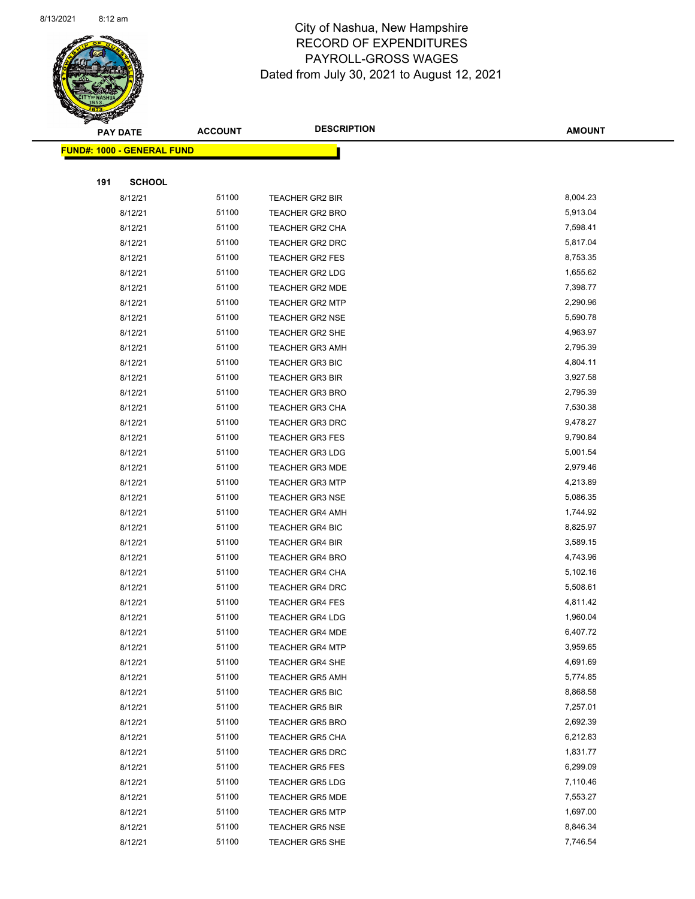

Page 66 of 90

|     | <b>PAY DATE</b>                   | <b>ACCOUNT</b> | <b>DESCRIPTION</b>     | <b>AMOUNT</b> |
|-----|-----------------------------------|----------------|------------------------|---------------|
|     | <b>FUND#: 1000 - GENERAL FUND</b> |                |                        |               |
|     |                                   |                |                        |               |
| 191 | <b>SCHOOL</b>                     |                |                        |               |
|     | 8/12/21                           | 51100          | <b>TEACHER GR2 BIR</b> | 8,004.23      |
|     | 8/12/21                           | 51100          | <b>TEACHER GR2 BRO</b> | 5,913.04      |
|     | 8/12/21                           | 51100          | <b>TEACHER GR2 CHA</b> | 7,598.41      |
|     | 8/12/21                           | 51100          | TEACHER GR2 DRC        | 5,817.04      |
|     | 8/12/21                           | 51100          | TEACHER GR2 FES        | 8,753.35      |
|     | 8/12/21                           | 51100          | TEACHER GR2 LDG        | 1,655.62      |
|     | 8/12/21                           | 51100          | <b>TEACHER GR2 MDE</b> | 7,398.77      |
|     | 8/12/21                           | 51100          | <b>TEACHER GR2 MTP</b> | 2,290.96      |
|     | 8/12/21                           | 51100          | <b>TEACHER GR2 NSE</b> | 5,590.78      |
|     | 8/12/21                           | 51100          | TEACHER GR2 SHE        | 4,963.97      |
|     | 8/12/21                           | 51100          | <b>TEACHER GR3 AMH</b> | 2,795.39      |
|     | 8/12/21                           | 51100          | <b>TEACHER GR3 BIC</b> | 4,804.11      |
|     | 8/12/21                           | 51100          | <b>TEACHER GR3 BIR</b> | 3,927.58      |
|     | 8/12/21                           | 51100          | <b>TEACHER GR3 BRO</b> | 2,795.39      |
|     | 8/12/21                           | 51100          | <b>TEACHER GR3 CHA</b> | 7,530.38      |
|     | 8/12/21                           | 51100          | <b>TEACHER GR3 DRC</b> | 9,478.27      |
|     | 8/12/21                           | 51100          | <b>TEACHER GR3 FES</b> | 9,790.84      |
|     | 8/12/21                           | 51100          | <b>TEACHER GR3 LDG</b> | 5,001.54      |
|     | 8/12/21                           | 51100          | <b>TEACHER GR3 MDE</b> | 2,979.46      |
|     | 8/12/21                           | 51100          | <b>TEACHER GR3 MTP</b> | 4,213.89      |
|     | 8/12/21                           | 51100          | <b>TEACHER GR3 NSE</b> | 5,086.35      |
|     | 8/12/21                           | 51100          | <b>TEACHER GR4 AMH</b> | 1,744.92      |
|     | 8/12/21                           | 51100          | <b>TEACHER GR4 BIC</b> | 8,825.97      |
|     | 8/12/21                           | 51100          | <b>TEACHER GR4 BIR</b> | 3,589.15      |
|     | 8/12/21                           | 51100          | <b>TEACHER GR4 BRO</b> | 4,743.96      |
|     | 8/12/21                           | 51100          | <b>TEACHER GR4 CHA</b> | 5,102.16      |
|     | 8/12/21                           | 51100          | TEACHER GR4 DRC        | 5,508.61      |
|     | 8/12/21                           | 51100          | <b>TEACHER GR4 FES</b> | 4,811.42      |
|     | 8/12/21                           | 51100          | <b>TEACHER GR4 LDG</b> | 1,960.04      |
|     | 8/12/21                           | 51100          | <b>TEACHER GR4 MDE</b> | 6,407.72      |
|     | 8/12/21                           | 51100          | <b>TEACHER GR4 MTP</b> | 3,959.65      |
|     | 8/12/21                           | 51100          | <b>TEACHER GR4 SHE</b> | 4,691.69      |
|     | 8/12/21                           | 51100          | <b>TEACHER GR5 AMH</b> | 5,774.85      |
|     | 8/12/21                           | 51100          | <b>TEACHER GR5 BIC</b> | 8,868.58      |
|     | 8/12/21                           | 51100          | <b>TEACHER GR5 BIR</b> | 7,257.01      |
|     | 8/12/21                           | 51100          | TEACHER GR5 BRO        | 2,692.39      |
|     | 8/12/21                           | 51100          | <b>TEACHER GR5 CHA</b> | 6,212.83      |
|     | 8/12/21                           | 51100          | <b>TEACHER GR5 DRC</b> | 1,831.77      |
|     | 8/12/21                           | 51100          | <b>TEACHER GR5 FES</b> | 6,299.09      |
|     | 8/12/21                           | 51100          | <b>TEACHER GR5 LDG</b> | 7,110.46      |
|     | 8/12/21                           | 51100          | <b>TEACHER GR5 MDE</b> | 7,553.27      |
|     | 8/12/21                           | 51100          | <b>TEACHER GR5 MTP</b> | 1,697.00      |
|     | 8/12/21                           | 51100          | <b>TEACHER GR5 NSE</b> | 8,846.34      |
|     | 8/12/21                           | 51100          | TEACHER GR5 SHE        | 7,746.54      |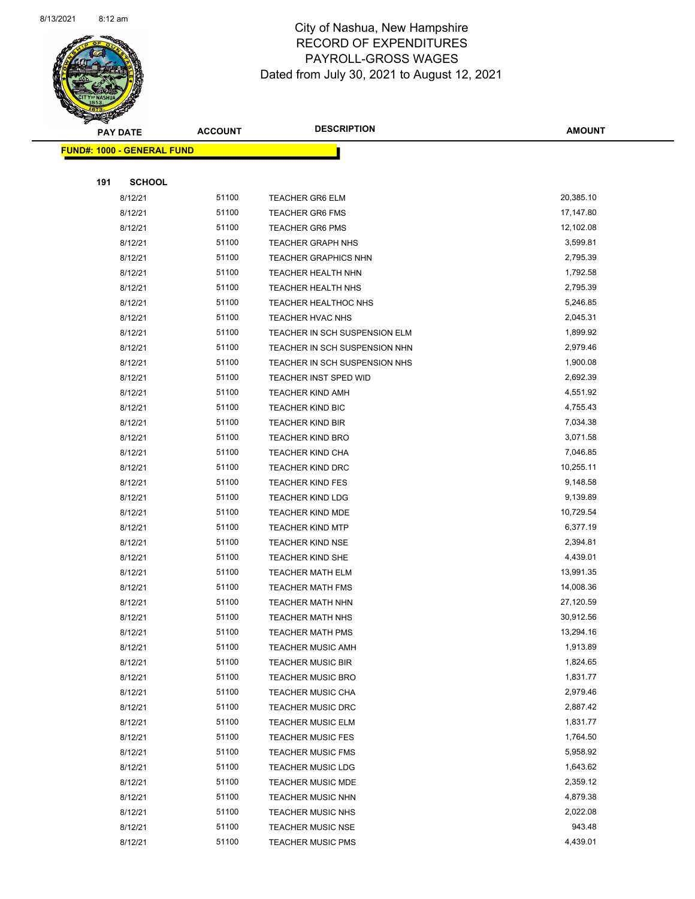

Page 67 of 90

|     | <b>PAY DATE</b>                   | <b>ACCOUNT</b> | <b>DESCRIPTION</b>            | <b>AMOUNT</b> |
|-----|-----------------------------------|----------------|-------------------------------|---------------|
|     | <b>FUND#: 1000 - GENERAL FUND</b> |                |                               |               |
|     |                                   |                |                               |               |
| 191 | <b>SCHOOL</b>                     |                |                               |               |
|     | 8/12/21                           | 51100          | <b>TEACHER GR6 ELM</b>        | 20,385.10     |
|     | 8/12/21                           | 51100          | <b>TEACHER GR6 FMS</b>        | 17,147.80     |
|     | 8/12/21                           | 51100          | <b>TEACHER GR6 PMS</b>        | 12,102.08     |
|     | 8/12/21                           | 51100          | <b>TEACHER GRAPH NHS</b>      | 3,599.81      |
|     | 8/12/21                           | 51100          | <b>TEACHER GRAPHICS NHN</b>   | 2,795.39      |
|     | 8/12/21                           | 51100          | TEACHER HEALTH NHN            | 1,792.58      |
|     | 8/12/21                           | 51100          | <b>TEACHER HEALTH NHS</b>     | 2,795.39      |
|     | 8/12/21                           | 51100          | TEACHER HEALTHOC NHS          | 5,246.85      |
|     | 8/12/21                           | 51100          | TEACHER HVAC NHS              | 2,045.31      |
|     | 8/12/21                           | 51100          | TEACHER IN SCH SUSPENSION ELM | 1,899.92      |
|     | 8/12/21                           | 51100          | TEACHER IN SCH SUSPENSION NHN | 2,979.46      |
|     | 8/12/21                           | 51100          | TEACHER IN SCH SUSPENSION NHS | 1,900.08      |
|     | 8/12/21                           | 51100          | TEACHER INST SPED WID         | 2,692.39      |
|     | 8/12/21                           | 51100          | <b>TEACHER KIND AMH</b>       | 4,551.92      |
|     | 8/12/21                           | 51100          | <b>TEACHER KIND BIC</b>       | 4,755.43      |
|     | 8/12/21                           | 51100          | <b>TEACHER KIND BIR</b>       | 7,034.38      |
|     | 8/12/21                           | 51100          | <b>TEACHER KIND BRO</b>       | 3,071.58      |
|     | 8/12/21                           | 51100          | <b>TEACHER KIND CHA</b>       | 7,046.85      |
|     | 8/12/21                           | 51100          | <b>TEACHER KIND DRC</b>       | 10,255.11     |
|     | 8/12/21                           | 51100          | <b>TEACHER KIND FES</b>       | 9,148.58      |
|     | 8/12/21                           | 51100          | <b>TEACHER KIND LDG</b>       | 9,139.89      |
|     | 8/12/21                           | 51100          | <b>TEACHER KIND MDE</b>       | 10,729.54     |
|     | 8/12/21                           | 51100          | <b>TEACHER KIND MTP</b>       | 6,377.19      |
|     | 8/12/21                           | 51100          | <b>TEACHER KIND NSE</b>       | 2,394.81      |
|     | 8/12/21                           | 51100          | <b>TEACHER KIND SHE</b>       | 4,439.01      |
|     | 8/12/21                           | 51100          | <b>TEACHER MATH ELM</b>       | 13,991.35     |
|     | 8/12/21                           | 51100          | <b>TEACHER MATH FMS</b>       | 14,008.36     |
|     | 8/12/21                           | 51100          | <b>TEACHER MATH NHN</b>       | 27,120.59     |
|     | 8/12/21                           | 51100          | <b>TEACHER MATH NHS</b>       | 30,912.56     |
|     | 8/12/21                           | 51100          | TEACHER MATH PMS              | 13,294.16     |
|     | 8/12/21                           | 51100          | <b>TEACHER MUSIC AMH</b>      | 1,913.89      |
|     | 8/12/21                           | 51100          | <b>TEACHER MUSIC BIR</b>      | 1,824.65      |
|     | 8/12/21                           | 51100          | <b>TEACHER MUSIC BRO</b>      | 1,831.77      |
|     | 8/12/21                           | 51100          | <b>TEACHER MUSIC CHA</b>      | 2,979.46      |
|     | 8/12/21                           | 51100          | TEACHER MUSIC DRC             | 2,887.42      |
|     | 8/12/21                           | 51100          | <b>TEACHER MUSIC ELM</b>      | 1,831.77      |
|     | 8/12/21                           | 51100          | <b>TEACHER MUSIC FES</b>      | 1,764.50      |
|     | 8/12/21                           | 51100          | <b>TEACHER MUSIC FMS</b>      | 5,958.92      |
|     | 8/12/21                           | 51100          | <b>TEACHER MUSIC LDG</b>      | 1,643.62      |
|     | 8/12/21                           | 51100          | <b>TEACHER MUSIC MDE</b>      | 2,359.12      |
|     | 8/12/21                           | 51100          | <b>TEACHER MUSIC NHN</b>      | 4,879.38      |
|     | 8/12/21                           | 51100          | <b>TEACHER MUSIC NHS</b>      | 2,022.08      |
|     | 8/12/21                           | 51100          | <b>TEACHER MUSIC NSE</b>      | 943.48        |
|     | 8/12/21                           | 51100          | <b>TEACHER MUSIC PMS</b>      | 4,439.01      |
|     |                                   |                |                               |               |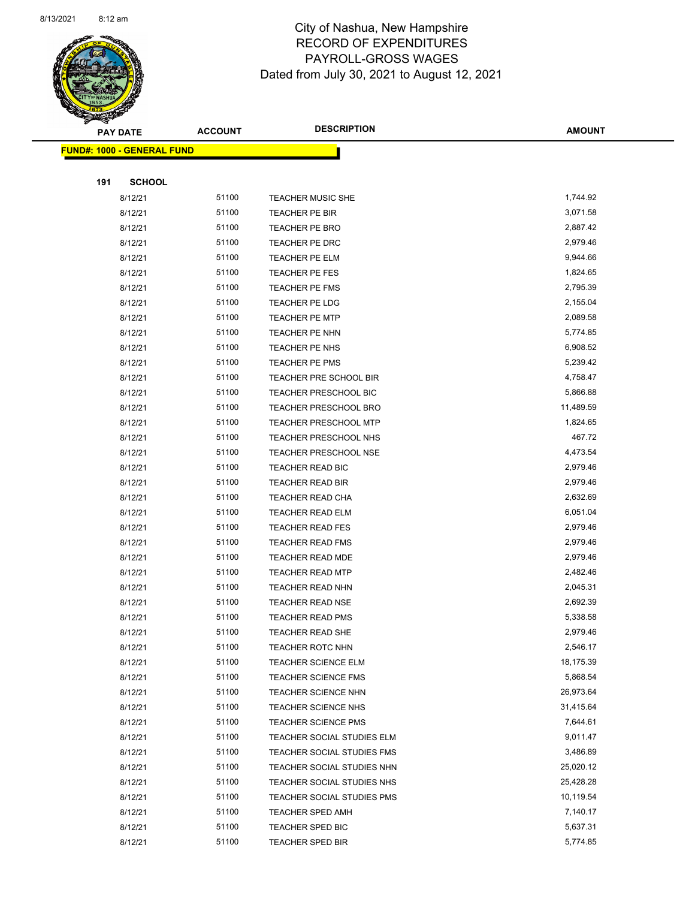

Page 68 of 90

|     | <b>PAY DATE</b>                   | <b>ACCOUNT</b> | <b>DESCRIPTION</b>                                | <b>AMOUNT</b>         |
|-----|-----------------------------------|----------------|---------------------------------------------------|-----------------------|
|     | <b>FUND#: 1000 - GENERAL FUND</b> |                |                                                   |                       |
|     |                                   |                |                                                   |                       |
| 191 | <b>SCHOOL</b>                     |                |                                                   |                       |
|     | 8/12/21                           | 51100          | <b>TEACHER MUSIC SHE</b>                          | 1,744.92              |
|     | 8/12/21                           | 51100          | TEACHER PE BIR                                    | 3,071.58              |
|     | 8/12/21                           | 51100          | TEACHER PE BRO                                    | 2,887.42              |
|     | 8/12/21                           | 51100          | TEACHER PE DRC                                    | 2,979.46              |
|     | 8/12/21                           | 51100          | TEACHER PE ELM                                    | 9,944.66              |
|     | 8/12/21                           | 51100          | TEACHER PE FES                                    | 1,824.65              |
|     | 8/12/21                           | 51100          | TEACHER PE FMS                                    | 2,795.39              |
|     | 8/12/21                           | 51100          | TEACHER PE LDG                                    | 2,155.04              |
|     | 8/12/21                           | 51100          | <b>TEACHER PE MTP</b>                             | 2,089.58              |
|     | 8/12/21                           | 51100          | TEACHER PE NHN                                    | 5,774.85              |
|     | 8/12/21                           | 51100          | TEACHER PE NHS                                    | 6,908.52              |
|     | 8/12/21                           | 51100          | <b>TEACHER PE PMS</b>                             | 5,239.42              |
|     | 8/12/21                           | 51100          | TEACHER PRE SCHOOL BIR                            | 4,758.47              |
|     | 8/12/21                           | 51100          | TEACHER PRESCHOOL BIC                             | 5,866.88              |
|     | 8/12/21                           | 51100          | TEACHER PRESCHOOL BRO                             | 11,489.59             |
|     | 8/12/21                           | 51100          | <b>TEACHER PRESCHOOL MTP</b>                      | 1,824.65              |
|     | 8/12/21                           | 51100          | TEACHER PRESCHOOL NHS                             | 467.72                |
|     | 8/12/21                           | 51100          | <b>TEACHER PRESCHOOL NSE</b>                      | 4,473.54              |
|     | 8/12/21                           | 51100          | TEACHER READ BIC                                  | 2,979.46              |
|     | 8/12/21                           | 51100          | <b>TEACHER READ BIR</b>                           | 2,979.46              |
|     | 8/12/21                           | 51100          | TEACHER READ CHA                                  | 2,632.69              |
|     | 8/12/21                           | 51100          | <b>TEACHER READ ELM</b>                           | 6,051.04              |
|     | 8/12/21                           | 51100          | <b>TEACHER READ FES</b>                           | 2,979.46              |
|     | 8/12/21                           | 51100          | <b>TEACHER READ FMS</b>                           | 2,979.46              |
|     | 8/12/21                           | 51100          | <b>TEACHER READ MDE</b>                           | 2,979.46              |
|     | 8/12/21                           | 51100          | <b>TEACHER READ MTP</b>                           | 2,482.46              |
|     | 8/12/21                           | 51100          | <b>TEACHER READ NHN</b>                           | 2,045.31              |
|     | 8/12/21                           | 51100          | <b>TEACHER READ NSE</b>                           | 2,692.39              |
|     | 8/12/21                           | 51100          | <b>TEACHER READ PMS</b>                           | 5,338.58              |
|     | 8/12/21                           | 51100          | TEACHER READ SHE                                  | 2,979.46              |
|     | 8/12/21                           | 51100<br>51100 | <b>TEACHER ROTC NHN</b>                           | 2,546.17<br>18,175.39 |
|     | 8/12/21<br>8/12/21                | 51100          | <b>TEACHER SCIENCE ELM</b>                        |                       |
|     |                                   | 51100          | <b>TEACHER SCIENCE FMS</b>                        | 5,868.54<br>26,973.64 |
|     | 8/12/21<br>8/12/21                | 51100          | <b>TEACHER SCIENCE NHN</b><br>TEACHER SCIENCE NHS | 31,415.64             |
|     | 8/12/21                           | 51100          | <b>TEACHER SCIENCE PMS</b>                        | 7,644.61              |
|     | 8/12/21                           | 51100          | TEACHER SOCIAL STUDIES ELM                        | 9,011.47              |
|     | 8/12/21                           | 51100          | TEACHER SOCIAL STUDIES FMS                        | 3,486.89              |
|     | 8/12/21                           | 51100          | TEACHER SOCIAL STUDIES NHN                        | 25,020.12             |
|     | 8/12/21                           | 51100          | TEACHER SOCIAL STUDIES NHS                        | 25,428.28             |
|     | 8/12/21                           | 51100          | TEACHER SOCIAL STUDIES PMS                        | 10,119.54             |
|     | 8/12/21                           | 51100          | <b>TEACHER SPED AMH</b>                           | 7,140.17              |
|     | 8/12/21                           | 51100          | TEACHER SPED BIC                                  | 5,637.31              |
|     | 8/12/21                           | 51100          | <b>TEACHER SPED BIR</b>                           | 5,774.85              |
|     |                                   |                |                                                   |                       |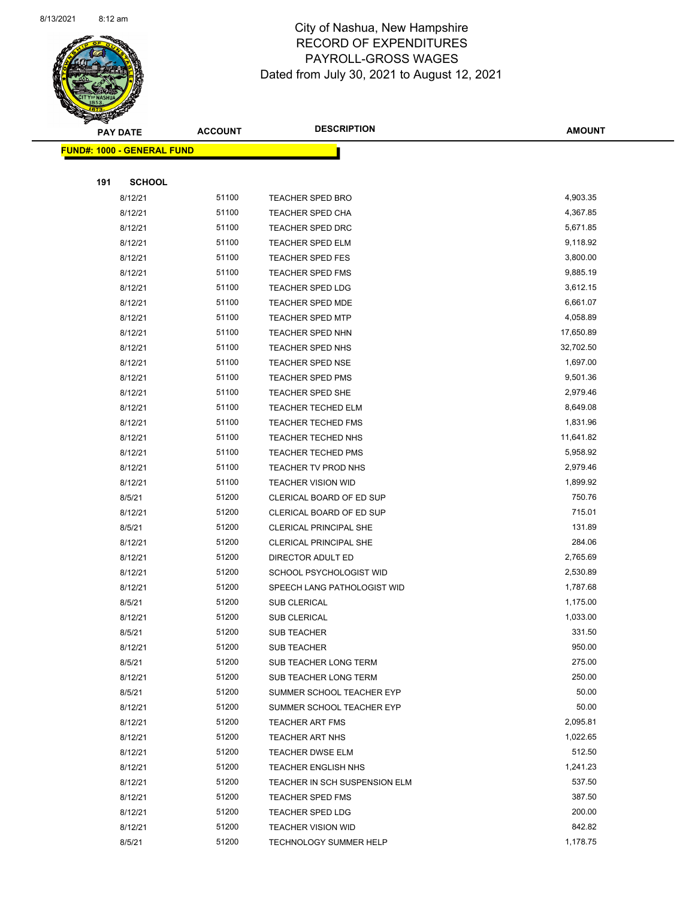

Page 69 of 90

|     | <b>PAY DATE</b>                   | <b>ACCOUNT</b> | <b>DESCRIPTION</b>                                         | <b>AMOUNT</b>      |
|-----|-----------------------------------|----------------|------------------------------------------------------------|--------------------|
|     | <b>FUND#: 1000 - GENERAL FUND</b> |                |                                                            |                    |
|     |                                   |                |                                                            |                    |
| 191 | <b>SCHOOL</b>                     |                |                                                            |                    |
|     | 8/12/21                           | 51100          | TEACHER SPED BRO                                           | 4,903.35           |
|     | 8/12/21                           | 51100          | <b>TEACHER SPED CHA</b>                                    | 4,367.85           |
|     | 8/12/21                           | 51100          | <b>TEACHER SPED DRC</b>                                    | 5,671.85           |
|     | 8/12/21                           | 51100          | <b>TEACHER SPED ELM</b>                                    | 9,118.92           |
|     | 8/12/21                           | 51100          | TEACHER SPED FES                                           | 3,800.00           |
|     | 8/12/21                           | 51100          | <b>TEACHER SPED FMS</b>                                    | 9,885.19           |
|     | 8/12/21                           | 51100          | <b>TEACHER SPED LDG</b>                                    | 3,612.15           |
|     | 8/12/21                           | 51100          | <b>TEACHER SPED MDE</b>                                    | 6,661.07           |
|     | 8/12/21                           | 51100          | TEACHER SPED MTP                                           | 4,058.89           |
|     | 8/12/21                           | 51100          | TEACHER SPED NHN                                           | 17,650.89          |
|     | 8/12/21                           | 51100          | TEACHER SPED NHS                                           | 32,702.50          |
|     | 8/12/21                           | 51100          | <b>TEACHER SPED NSE</b>                                    | 1,697.00           |
|     | 8/12/21                           | 51100          | <b>TEACHER SPED PMS</b>                                    | 9,501.36           |
|     | 8/12/21                           | 51100          | TEACHER SPED SHE                                           | 2,979.46           |
|     | 8/12/21                           | 51100          | TEACHER TECHED ELM                                         | 8,649.08           |
|     | 8/12/21                           | 51100          | <b>TEACHER TECHED FMS</b>                                  | 1,831.96           |
|     | 8/12/21                           | 51100          | TEACHER TECHED NHS                                         | 11,641.82          |
|     | 8/12/21                           | 51100          | <b>TEACHER TECHED PMS</b>                                  | 5,958.92           |
|     | 8/12/21                           | 51100          | TEACHER TV PROD NHS                                        | 2,979.46           |
|     | 8/12/21                           | 51100          | <b>TEACHER VISION WID</b>                                  | 1,899.92           |
|     | 8/5/21                            | 51200          | CLERICAL BOARD OF ED SUP                                   | 750.76             |
|     | 8/12/21                           | 51200          | CLERICAL BOARD OF ED SUP                                   | 715.01             |
|     | 8/5/21                            | 51200          | <b>CLERICAL PRINCIPAL SHE</b>                              | 131.89             |
|     | 8/12/21                           | 51200          | <b>CLERICAL PRINCIPAL SHE</b>                              | 284.06             |
|     | 8/12/21                           | 51200          | DIRECTOR ADULT ED                                          | 2,765.69           |
|     | 8/12/21                           | 51200          | SCHOOL PSYCHOLOGIST WID                                    | 2,530.89           |
|     | 8/12/21                           | 51200          | SPEECH LANG PATHOLOGIST WID                                | 1,787.68           |
|     | 8/5/21                            | 51200          | <b>SUB CLERICAL</b>                                        | 1,175.00           |
|     | 8/12/21                           | 51200          | <b>SUB CLERICAL</b>                                        | 1,033.00           |
|     | 8/5/21                            | 51200          | <b>SUB TEACHER</b>                                         | 331.50             |
|     | 8/12/21                           | 51200          | <b>SUB TEACHER</b>                                         | 950.00             |
|     | 8/5/21                            | 51200          | SUB TEACHER LONG TERM                                      | 275.00             |
|     | 8/12/21                           | 51200          | SUB TEACHER LONG TERM                                      | 250.00             |
|     | 8/5/21                            | 51200          | SUMMER SCHOOL TEACHER EYP                                  | 50.00              |
|     | 8/12/21                           | 51200          | SUMMER SCHOOL TEACHER EYP                                  | 50.00              |
|     | 8/12/21                           | 51200          | TEACHER ART FMS                                            | 2,095.81           |
|     | 8/12/21                           | 51200          | <b>TEACHER ART NHS</b>                                     | 1,022.65           |
|     | 8/12/21                           | 51200          | <b>TEACHER DWSE ELM</b>                                    | 512.50             |
|     | 8/12/21                           | 51200          | <b>TEACHER ENGLISH NHS</b>                                 | 1,241.23<br>537.50 |
|     | 8/12/21                           | 51200          | TEACHER IN SCH SUSPENSION ELM                              | 387.50             |
|     | 8/12/21                           | 51200<br>51200 | <b>TEACHER SPED FMS</b>                                    | 200.00             |
|     | 8/12/21                           | 51200          | <b>TEACHER SPED LDG</b>                                    | 842.82             |
|     | 8/12/21<br>8/5/21                 | 51200          | <b>TEACHER VISION WID</b><br><b>TECHNOLOGY SUMMER HELP</b> | 1,178.75           |
|     |                                   |                |                                                            |                    |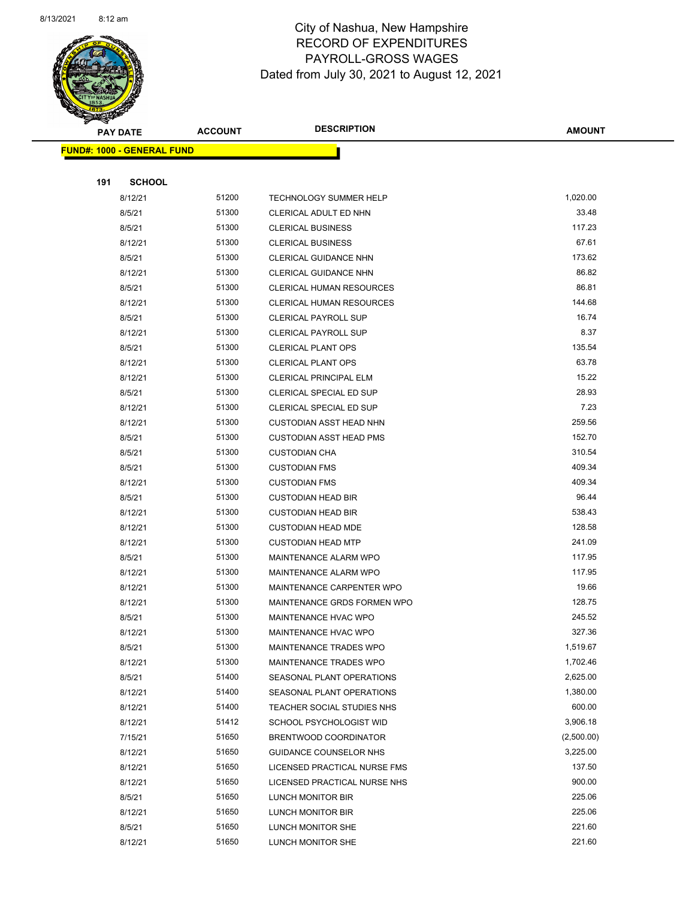

Page 70 of 90

|     | <b>PAY DATE</b>                   | <b>ACCOUNT</b> | <b>DESCRIPTION</b>                                       | <b>AMOUNT</b>   |
|-----|-----------------------------------|----------------|----------------------------------------------------------|-----------------|
|     | <b>FUND#: 1000 - GENERAL FUND</b> |                |                                                          |                 |
|     |                                   |                |                                                          |                 |
| 191 | <b>SCHOOL</b>                     |                |                                                          |                 |
|     | 8/12/21                           | 51200          | TECHNOLOGY SUMMER HELP                                   | 1,020.00        |
|     | 8/5/21                            | 51300          | CLERICAL ADULT ED NHN                                    | 33.48           |
|     | 8/5/21                            | 51300          | <b>CLERICAL BUSINESS</b>                                 | 117.23          |
|     | 8/12/21                           | 51300          | <b>CLERICAL BUSINESS</b>                                 | 67.61           |
|     | 8/5/21                            | 51300          | CLERICAL GUIDANCE NHN                                    | 173.62          |
|     | 8/12/21                           | 51300          | CLERICAL GUIDANCE NHN                                    | 86.82           |
|     | 8/5/21                            | 51300          | <b>CLERICAL HUMAN RESOURCES</b>                          | 86.81           |
|     | 8/12/21                           | 51300          | <b>CLERICAL HUMAN RESOURCES</b>                          | 144.68          |
|     | 8/5/21                            | 51300          | <b>CLERICAL PAYROLL SUP</b>                              | 16.74           |
|     | 8/12/21                           | 51300          | <b>CLERICAL PAYROLL SUP</b>                              | 8.37            |
|     | 8/5/21                            | 51300          | <b>CLERICAL PLANT OPS</b>                                | 135.54          |
|     | 8/12/21                           | 51300          | <b>CLERICAL PLANT OPS</b>                                | 63.78           |
|     | 8/12/21                           | 51300          | CLERICAL PRINCIPAL ELM                                   | 15.22           |
|     | 8/5/21                            | 51300          | CLERICAL SPECIAL ED SUP                                  | 28.93           |
|     | 8/12/21                           | 51300          | CLERICAL SPECIAL ED SUP                                  | 7.23            |
|     | 8/12/21                           | 51300          | <b>CUSTODIAN ASST HEAD NHN</b>                           | 259.56          |
|     | 8/5/21                            | 51300          | <b>CUSTODIAN ASST HEAD PMS</b>                           | 152.70          |
|     | 8/5/21                            | 51300          | <b>CUSTODIAN CHA</b>                                     | 310.54          |
|     | 8/5/21                            | 51300          | <b>CUSTODIAN FMS</b>                                     | 409.34          |
|     | 8/12/21                           | 51300          | <b>CUSTODIAN FMS</b>                                     | 409.34          |
|     | 8/5/21                            | 51300          | <b>CUSTODIAN HEAD BIR</b>                                | 96.44           |
|     | 8/12/21                           | 51300          | <b>CUSTODIAN HEAD BIR</b>                                | 538.43          |
|     | 8/12/21                           | 51300          | <b>CUSTODIAN HEAD MDE</b>                                | 128.58          |
|     | 8/12/21                           | 51300          | <b>CUSTODIAN HEAD MTP</b>                                | 241.09          |
|     | 8/5/21                            | 51300          | MAINTENANCE ALARM WPO                                    | 117.95          |
|     | 8/12/21                           | 51300<br>51300 | MAINTENANCE ALARM WPO                                    | 117.95<br>19.66 |
|     | 8/12/21<br>8/12/21                | 51300          | MAINTENANCE CARPENTER WPO<br>MAINTENANCE GRDS FORMEN WPO | 128.75          |
|     | 8/5/21                            | 51300          | <b>MAINTENANCE HVAC WPO</b>                              | 245.52          |
|     | 8/12/21                           | 51300          | MAINTENANCE HVAC WPO                                     | 327.36          |
|     | 8/5/21                            | 51300          | MAINTENANCE TRADES WPO                                   | 1,519.67        |
|     | 8/12/21                           | 51300          | MAINTENANCE TRADES WPO                                   | 1,702.46        |
|     | 8/5/21                            | 51400          | SEASONAL PLANT OPERATIONS                                | 2,625.00        |
|     | 8/12/21                           | 51400          | SEASONAL PLANT OPERATIONS                                | 1,380.00        |
|     | 8/12/21                           | 51400          | TEACHER SOCIAL STUDIES NHS                               | 600.00          |
|     | 8/12/21                           | 51412          | SCHOOL PSYCHOLOGIST WID                                  | 3,906.18        |
|     | 7/15/21                           | 51650          | BRENTWOOD COORDINATOR                                    | (2,500.00)      |
|     | 8/12/21                           | 51650          | GUIDANCE COUNSELOR NHS                                   | 3,225.00        |
|     | 8/12/21                           | 51650          | LICENSED PRACTICAL NURSE FMS                             | 137.50          |
|     | 8/12/21                           | 51650          | LICENSED PRACTICAL NURSE NHS                             | 900.00          |
|     | 8/5/21                            | 51650          | LUNCH MONITOR BIR                                        | 225.06          |
|     | 8/12/21                           | 51650          | LUNCH MONITOR BIR                                        | 225.06          |
|     | 8/5/21                            | 51650          | LUNCH MONITOR SHE                                        | 221.60          |
|     | 8/12/21                           | 51650          | LUNCH MONITOR SHE                                        | 221.60          |
|     |                                   |                |                                                          |                 |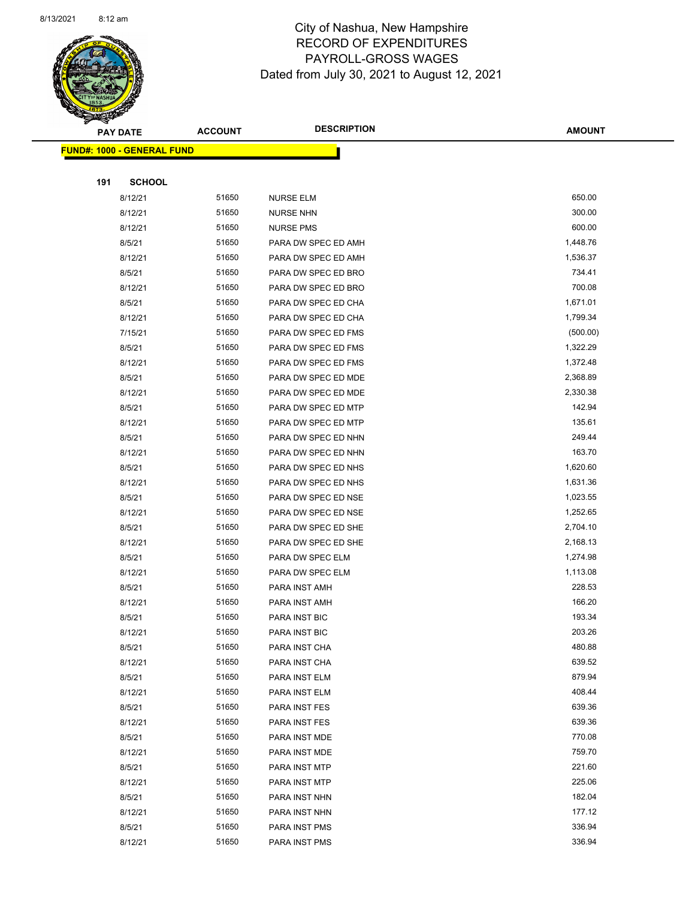

Page 71 of 90

|     | <b>PAY DATE</b>                   | <b>ACCOUNT</b> | <b>DESCRIPTION</b>             | <b>AMOUNT</b>    |
|-----|-----------------------------------|----------------|--------------------------------|------------------|
|     | <b>FUND#: 1000 - GENERAL FUND</b> |                |                                |                  |
|     |                                   |                |                                |                  |
| 191 | <b>SCHOOL</b>                     |                |                                |                  |
|     | 8/12/21                           | 51650          | <b>NURSE ELM</b>               | 650.00           |
|     | 8/12/21                           | 51650          | <b>NURSE NHN</b>               | 300.00           |
|     | 8/12/21                           | 51650          | <b>NURSE PMS</b>               | 600.00           |
|     | 8/5/21                            | 51650          | PARA DW SPEC ED AMH            | 1,448.76         |
|     | 8/12/21                           | 51650          | PARA DW SPEC ED AMH            | 1,536.37         |
|     | 8/5/21                            | 51650          | PARA DW SPEC ED BRO            | 734.41           |
|     | 8/12/21                           | 51650          | PARA DW SPEC ED BRO            | 700.08           |
|     | 8/5/21                            | 51650          | PARA DW SPEC ED CHA            | 1,671.01         |
|     | 8/12/21                           | 51650          | PARA DW SPEC ED CHA            | 1,799.34         |
|     | 7/15/21                           | 51650          | PARA DW SPEC ED FMS            | (500.00)         |
|     | 8/5/21                            | 51650          | PARA DW SPEC ED FMS            | 1,322.29         |
|     | 8/12/21                           | 51650          | PARA DW SPEC ED FMS            | 1,372.48         |
|     | 8/5/21                            | 51650          | PARA DW SPEC ED MDE            | 2,368.89         |
|     | 8/12/21                           | 51650          | PARA DW SPEC ED MDE            | 2,330.38         |
|     | 8/5/21                            | 51650          | PARA DW SPEC ED MTP            | 142.94           |
|     | 8/12/21                           | 51650          | PARA DW SPEC ED MTP            | 135.61           |
|     | 8/5/21                            | 51650          | PARA DW SPEC ED NHN            | 249.44           |
|     | 8/12/21                           | 51650          | PARA DW SPEC ED NHN            | 163.70           |
|     | 8/5/21                            | 51650          | PARA DW SPEC ED NHS            | 1,620.60         |
|     | 8/12/21                           | 51650          | PARA DW SPEC ED NHS            | 1,631.36         |
|     | 8/5/21                            | 51650          | PARA DW SPEC ED NSE            | 1,023.55         |
|     | 8/12/21                           | 51650          | PARA DW SPEC ED NSE            | 1,252.65         |
|     | 8/5/21                            | 51650          | PARA DW SPEC ED SHE            | 2,704.10         |
|     | 8/12/21                           | 51650          | PARA DW SPEC ED SHE            | 2,168.13         |
|     | 8/5/21                            | 51650          | PARA DW SPEC ELM               | 1,274.98         |
|     | 8/12/21                           | 51650          | PARA DW SPEC ELM               | 1,113.08         |
|     | 8/5/21                            | 51650          | PARA INST AMH                  | 228.53           |
|     | 8/12/21                           | 51650          | PARA INST AMH                  | 166.20           |
|     | 8/5/21                            | 51650          | PARA INST BIC                  | 193.34           |
|     | 8/12/21                           | 51650          | PARA INST BIC                  | 203.26           |
|     | 8/5/21                            | 51650          | PARA INST CHA                  | 480.88           |
|     | 8/12/21                           | 51650          | PARA INST CHA                  | 639.52           |
|     | 8/5/21                            | 51650          | PARA INST ELM                  | 879.94           |
|     | 8/12/21                           | 51650          | PARA INST ELM                  | 408.44<br>639.36 |
|     | 8/5/21                            | 51650<br>51650 | PARA INST FES                  | 639.36           |
|     | 8/12/21<br>8/5/21                 | 51650          | PARA INST FES                  | 770.08           |
|     | 8/12/21                           | 51650          | PARA INST MDE<br>PARA INST MDE | 759.70           |
|     | 8/5/21                            | 51650          | PARA INST MTP                  | 221.60           |
|     | 8/12/21                           | 51650          | PARA INST MTP                  | 225.06           |
|     | 8/5/21                            | 51650          | PARA INST NHN                  | 182.04           |
|     | 8/12/21                           | 51650          | PARA INST NHN                  | 177.12           |
|     | 8/5/21                            | 51650          | PARA INST PMS                  | 336.94           |
|     | 8/12/21                           | 51650          | PARA INST PMS                  | 336.94           |
|     |                                   |                |                                |                  |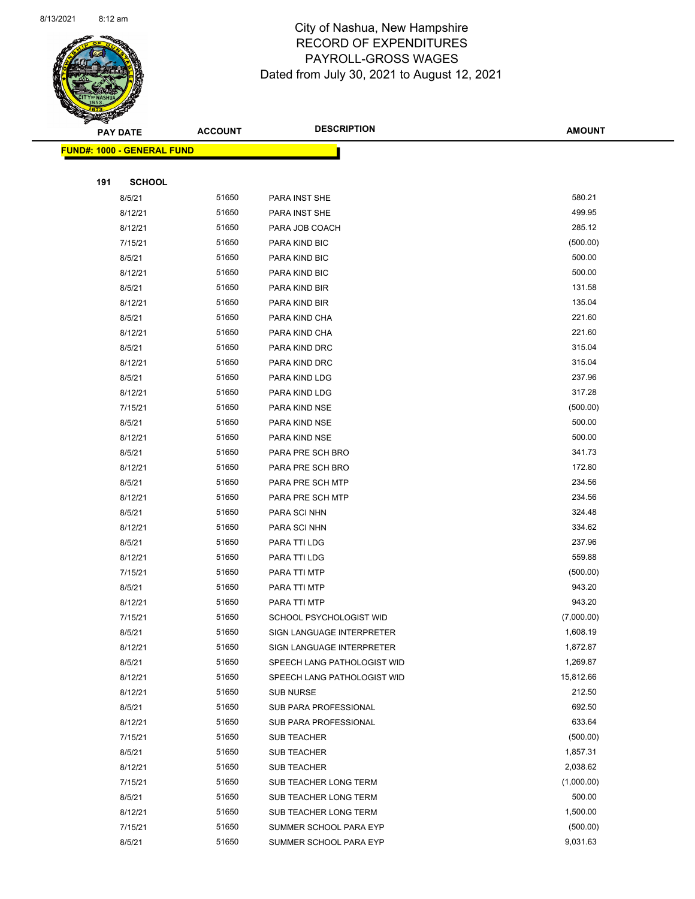

|     | <b>PAY DATE</b>                    | <b>ACCOUNT</b> | <b>DESCRIPTION</b>          | <b>AMOUNT</b> |
|-----|------------------------------------|----------------|-----------------------------|---------------|
|     | <u> FUND#: 1000 - GENERAL FUND</u> |                |                             |               |
|     |                                    |                |                             |               |
| 191 | <b>SCHOOL</b>                      |                |                             |               |
|     | 8/5/21                             | 51650          | PARA INST SHE               | 580.21        |
|     | 8/12/21                            | 51650          | PARA INST SHE               | 499.95        |
|     | 8/12/21                            | 51650          | PARA JOB COACH              | 285.12        |
|     | 7/15/21                            | 51650          | PARA KIND BIC               | (500.00)      |
|     | 8/5/21                             | 51650          | PARA KIND BIC               | 500.00        |
|     | 8/12/21                            | 51650          | PARA KIND BIC               | 500.00        |
|     | 8/5/21                             | 51650          | PARA KIND BIR               | 131.58        |
|     | 8/12/21                            | 51650          | PARA KIND BIR               | 135.04        |
|     | 8/5/21                             | 51650          | PARA KIND CHA               | 221.60        |
|     | 8/12/21                            | 51650          | PARA KIND CHA               | 221.60        |
|     | 8/5/21                             | 51650          | PARA KIND DRC               | 315.04        |
|     | 8/12/21                            | 51650          | PARA KIND DRC               | 315.04        |
|     | 8/5/21                             | 51650          | PARA KIND LDG               | 237.96        |
|     | 8/12/21                            | 51650          | PARA KIND LDG               | 317.28        |
|     | 7/15/21                            | 51650          | PARA KIND NSE               | (500.00)      |
|     | 8/5/21                             | 51650          | PARA KIND NSE               | 500.00        |
|     | 8/12/21                            | 51650          | PARA KIND NSE               | 500.00        |
|     | 8/5/21                             | 51650          | PARA PRE SCH BRO            | 341.73        |
|     | 8/12/21                            | 51650          | PARA PRE SCH BRO            | 172.80        |
|     | 8/5/21                             | 51650          | PARA PRE SCH MTP            | 234.56        |
|     | 8/12/21                            | 51650          | PARA PRE SCH MTP            | 234.56        |
|     | 8/5/21                             | 51650          | PARA SCI NHN                | 324.48        |
|     | 8/12/21                            | 51650          | PARA SCI NHN                | 334.62        |
|     | 8/5/21                             | 51650          | PARA TTI LDG                | 237.96        |
|     | 8/12/21                            | 51650          | PARA TTI LDG                | 559.88        |
|     | 7/15/21                            | 51650          | PARA TTI MTP                | (500.00)      |
|     | 8/5/21                             | 51650          | PARA TTI MTP                | 943.20        |
|     | 8/12/21                            | 51650          | PARA TTI MTP                | 943.20        |
|     | 7/15/21                            | 51650          | SCHOOL PSYCHOLOGIST WID     | (7,000.00)    |
|     | 8/5/21                             | 51650          | SIGN LANGUAGE INTERPRETER   | 1,608.19      |
|     | 8/12/21                            | 51650          | SIGN LANGUAGE INTERPRETER   | 1,872.87      |
|     | 8/5/21                             | 51650          | SPEECH LANG PATHOLOGIST WID | 1,269.87      |
|     | 8/12/21                            | 51650          | SPEECH LANG PATHOLOGIST WID | 15,812.66     |
|     | 8/12/21                            | 51650          | SUB NURSE                   | 212.50        |
|     | 8/5/21                             | 51650          | SUB PARA PROFESSIONAL       | 692.50        |
|     | 8/12/21                            | 51650          | SUB PARA PROFESSIONAL       | 633.64        |
|     | 7/15/21                            | 51650          | SUB TEACHER                 | (500.00)      |
|     | 8/5/21                             | 51650          | <b>SUB TEACHER</b>          | 1,857.31      |
|     | 8/12/21                            | 51650          | SUB TEACHER                 | 2,038.62      |
|     | 7/15/21                            | 51650          | SUB TEACHER LONG TERM       | (1,000.00)    |
|     | 8/5/21                             | 51650          | SUB TEACHER LONG TERM       | 500.00        |
|     | 8/12/21                            | 51650          | SUB TEACHER LONG TERM       | 1,500.00      |
|     | 7/15/21                            | 51650          | SUMMER SCHOOL PARA EYP      | (500.00)      |
|     | 8/5/21                             | 51650          | SUMMER SCHOOL PARA EYP      | 9,031.63      |
|     |                                    |                |                             |               |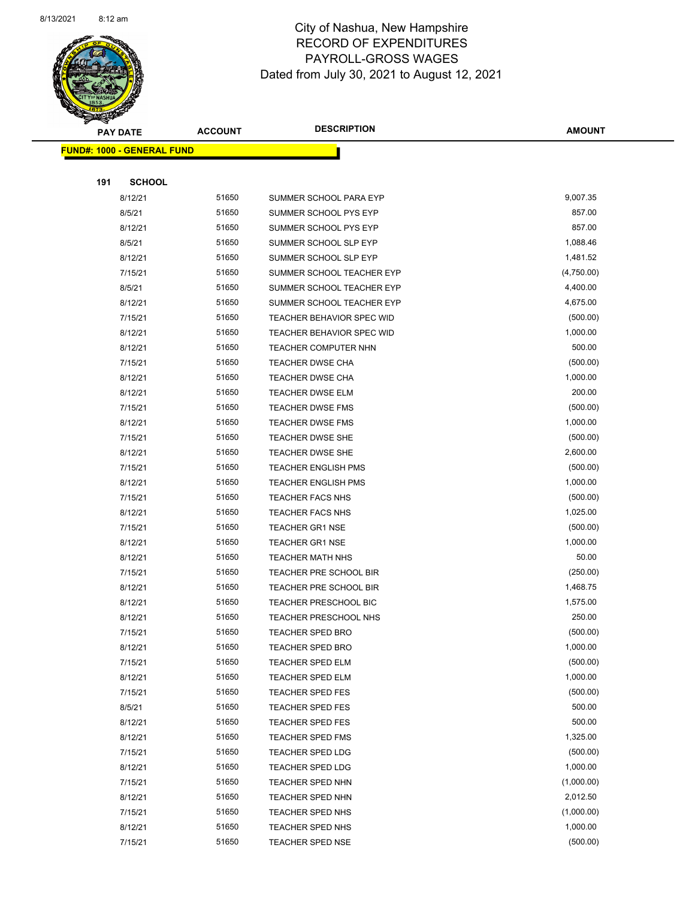

Page 73 of 90

|     | <b>PAY DATE</b>                   | <b>ACCOUNT</b> | <b>DESCRIPTION</b>                   | <b>AMOUNT</b>        |
|-----|-----------------------------------|----------------|--------------------------------------|----------------------|
|     | <b>FUND#: 1000 - GENERAL FUND</b> |                |                                      |                      |
|     |                                   |                |                                      |                      |
| 191 | <b>SCHOOL</b>                     |                |                                      |                      |
|     | 8/12/21                           | 51650          | SUMMER SCHOOL PARA EYP               | 9,007.35             |
|     | 8/5/21                            | 51650          | SUMMER SCHOOL PYS EYP                | 857.00               |
|     | 8/12/21                           | 51650          | SUMMER SCHOOL PYS EYP                | 857.00               |
|     | 8/5/21                            | 51650          | SUMMER SCHOOL SLP EYP                | 1,088.46             |
|     | 8/12/21                           | 51650          | SUMMER SCHOOL SLP EYP                | 1,481.52             |
|     | 7/15/21                           | 51650          | SUMMER SCHOOL TEACHER EYP            | (4,750.00)           |
|     | 8/5/21                            | 51650          | SUMMER SCHOOL TEACHER EYP            | 4,400.00             |
|     | 8/12/21                           | 51650          | SUMMER SCHOOL TEACHER EYP            | 4,675.00             |
|     | 7/15/21                           | 51650          | TEACHER BEHAVIOR SPEC WID            | (500.00)             |
|     | 8/12/21                           | 51650          | TEACHER BEHAVIOR SPEC WID            | 1,000.00             |
|     | 8/12/21                           | 51650          | TEACHER COMPUTER NHN                 | 500.00               |
|     | 7/15/21                           | 51650          | TEACHER DWSE CHA                     | (500.00)             |
|     | 8/12/21                           | 51650          | TEACHER DWSE CHA                     | 1,000.00             |
|     | 8/12/21                           | 51650          | <b>TEACHER DWSE ELM</b>              | 200.00               |
|     | 7/15/21                           | 51650          | <b>TEACHER DWSE FMS</b>              | (500.00)             |
|     | 8/12/21                           | 51650          | <b>TEACHER DWSE FMS</b>              | 1,000.00             |
|     | 7/15/21                           | 51650          | TEACHER DWSE SHE                     | (500.00)             |
|     | 8/12/21                           | 51650          | TEACHER DWSE SHE                     | 2,600.00             |
|     | 7/15/21                           | 51650          | <b>TEACHER ENGLISH PMS</b>           | (500.00)             |
|     | 8/12/21                           | 51650          | <b>TEACHER ENGLISH PMS</b>           | 1,000.00             |
|     | 7/15/21                           | 51650          | <b>TEACHER FACS NHS</b>              | (500.00)             |
|     | 8/12/21                           | 51650          | TEACHER FACS NHS                     | 1,025.00             |
|     | 7/15/21                           | 51650          | <b>TEACHER GR1 NSE</b>               | (500.00)             |
|     | 8/12/21                           | 51650          | <b>TEACHER GR1 NSE</b>               | 1,000.00             |
|     | 8/12/21                           | 51650          | <b>TEACHER MATH NHS</b>              | 50.00                |
|     | 7/15/21                           | 51650          | TEACHER PRE SCHOOL BIR               | (250.00)             |
|     | 8/12/21                           | 51650          | TEACHER PRE SCHOOL BIR               | 1,468.75             |
|     | 8/12/21                           | 51650          | TEACHER PRESCHOOL BIC                | 1,575.00             |
|     | 8/12/21                           | 51650          | <b>TEACHER PRESCHOOL NHS</b>         | 250.00               |
|     | 7/15/21                           | 51650          | TEACHER SPED BRO                     | (500.00)             |
|     | 8/12/21                           | 51650          | <b>TEACHER SPED BRO</b>              | 1,000.00<br>(500.00) |
|     | 7/15/21                           | 51650          | TEACHER SPED ELM                     |                      |
|     | 8/12/21<br>7/15/21                | 51650<br>51650 | TEACHER SPED ELM<br>TEACHER SPED FES | 1,000.00<br>(500.00) |
|     | 8/5/21                            | 51650          | TEACHER SPED FES                     | 500.00               |
|     | 8/12/21                           | 51650          | <b>TEACHER SPED FES</b>              | 500.00               |
|     | 8/12/21                           | 51650          | TEACHER SPED FMS                     | 1,325.00             |
|     | 7/15/21                           | 51650          | TEACHER SPED LDG                     | (500.00)             |
|     | 8/12/21                           | 51650          | <b>TEACHER SPED LDG</b>              | 1,000.00             |
|     | 7/15/21                           | 51650          | <b>TEACHER SPED NHN</b>              | (1,000.00)           |
|     | 8/12/21                           | 51650          | <b>TEACHER SPED NHN</b>              | 2,012.50             |
|     | 7/15/21                           | 51650          | TEACHER SPED NHS                     | (1,000.00)           |
|     | 8/12/21                           | 51650          | TEACHER SPED NHS                     | 1,000.00             |
|     | 7/15/21                           | 51650          | <b>TEACHER SPED NSE</b>              | (500.00)             |
|     |                                   |                |                                      |                      |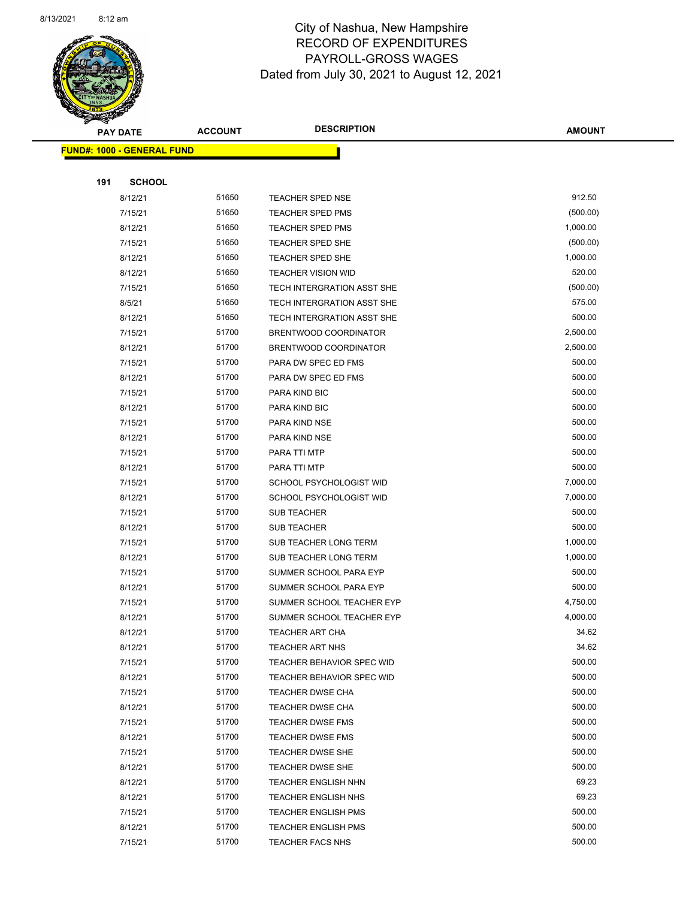

Page 74 of 90

| <b>PAY DATE</b>            |               | <b>ACCOUNT</b> | <b>DESCRIPTION</b>                                       | <b>AMOUNT</b>    |
|----------------------------|---------------|----------------|----------------------------------------------------------|------------------|
| FUND#: 1000 - GENERAL FUND |               |                |                                                          |                  |
|                            |               |                |                                                          |                  |
| 191                        | <b>SCHOOL</b> |                |                                                          |                  |
| 8/12/21                    |               | 51650          | <b>TEACHER SPED NSE</b>                                  | 912.50           |
| 7/15/21                    |               | 51650          | <b>TEACHER SPED PMS</b>                                  | (500.00)         |
| 8/12/21                    |               | 51650          | <b>TEACHER SPED PMS</b>                                  | 1,000.00         |
| 7/15/21                    |               | 51650          | TEACHER SPED SHE                                         | (500.00)         |
| 8/12/21                    |               | 51650          | TEACHER SPED SHE                                         | 1,000.00         |
| 8/12/21                    |               | 51650          | <b>TEACHER VISION WID</b>                                | 520.00           |
| 7/15/21                    |               | 51650          | TECH INTERGRATION ASST SHE                               | (500.00)         |
| 8/5/21                     |               | 51650          | TECH INTERGRATION ASST SHE                               | 575.00           |
| 8/12/21                    |               | 51650          | TECH INTERGRATION ASST SHE                               | 500.00           |
| 7/15/21                    |               | 51700          | BRENTWOOD COORDINATOR                                    | 2,500.00         |
| 8/12/21                    |               | 51700          | BRENTWOOD COORDINATOR                                    | 2,500.00         |
| 7/15/21                    |               | 51700          | PARA DW SPEC ED FMS                                      | 500.00           |
| 8/12/21                    |               | 51700          | PARA DW SPEC ED FMS                                      | 500.00           |
| 7/15/21                    |               | 51700          | PARA KIND BIC                                            | 500.00           |
| 8/12/21                    |               | 51700          | PARA KIND BIC                                            | 500.00           |
| 7/15/21                    |               | 51700          | PARA KIND NSE                                            | 500.00           |
| 8/12/21                    |               | 51700          | PARA KIND NSE                                            | 500.00           |
| 7/15/21                    |               | 51700          | PARA TTI MTP                                             | 500.00           |
| 8/12/21                    |               | 51700          | PARA TTI MTP                                             | 500.00           |
| 7/15/21                    |               | 51700          | SCHOOL PSYCHOLOGIST WID                                  | 7,000.00         |
| 8/12/21                    |               | 51700          | SCHOOL PSYCHOLOGIST WID                                  | 7,000.00         |
| 7/15/21                    |               | 51700          | SUB TEACHER                                              | 500.00           |
| 8/12/21                    |               | 51700          | <b>SUB TEACHER</b>                                       | 500.00           |
| 7/15/21                    |               | 51700          | SUB TEACHER LONG TERM                                    | 1,000.00         |
| 8/12/21                    |               | 51700          | SUB TEACHER LONG TERM                                    | 1,000.00         |
| 7/15/21                    |               | 51700          | SUMMER SCHOOL PARA EYP                                   | 500.00           |
| 8/12/21                    |               | 51700          | SUMMER SCHOOL PARA EYP                                   | 500.00           |
| 7/15/21                    |               | 51700          | SUMMER SCHOOL TEACHER EYP                                | 4,750.00         |
| 8/12/21                    |               | 51700          | SUMMER SCHOOL TEACHER EYP                                | 4,000.00         |
| 8/12/21                    |               | 51700          | TEACHER ART CHA                                          | 34.62            |
| 8/12/21                    |               | 51700          | <b>TEACHER ART NHS</b>                                   | 34.62            |
| 7/15/21                    |               | 51700          | TEACHER BEHAVIOR SPEC WID                                | 500.00           |
| 8/12/21                    |               | 51700          | TEACHER BEHAVIOR SPEC WID                                | 500.00           |
| 7/15/21                    |               | 51700          | TEACHER DWSE CHA                                         | 500.00           |
| 8/12/21                    |               | 51700          | TEACHER DWSE CHA                                         | 500.00<br>500.00 |
| 7/15/21                    |               | 51700<br>51700 | <b>TEACHER DWSE FMS</b>                                  | 500.00           |
| 8/12/21                    |               |                | TEACHER DWSE FMS                                         |                  |
| 7/15/21                    |               | 51700<br>51700 | TEACHER DWSE SHE                                         | 500.00<br>500.00 |
| 8/12/21                    |               | 51700          | <b>TEACHER DWSE SHE</b>                                  | 69.23            |
| 8/12/21                    |               | 51700          | <b>TEACHER ENGLISH NHN</b><br><b>TEACHER ENGLISH NHS</b> | 69.23            |
| 8/12/21<br>7/15/21         |               | 51700          | TEACHER ENGLISH PMS                                      | 500.00           |
| 8/12/21                    |               | 51700          | <b>TEACHER ENGLISH PMS</b>                               | 500.00           |
| 7/15/21                    |               | 51700          | <b>TEACHER FACS NHS</b>                                  | 500.00           |
|                            |               |                |                                                          |                  |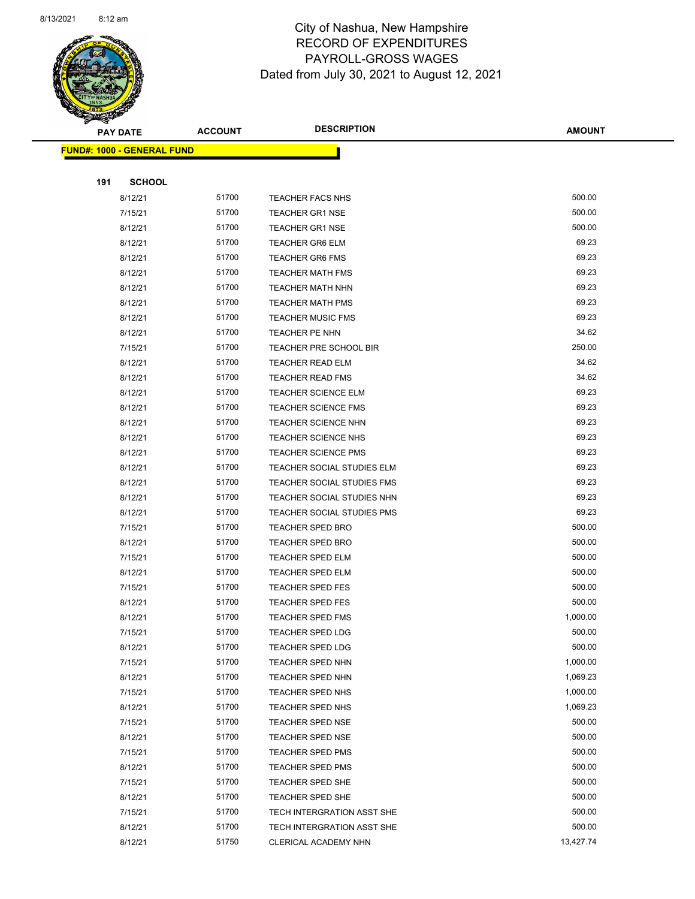

Page 75 of 90

|     | <b>PAY DATE</b>                   | <b>ACCOUNT</b> | <b>DESCRIPTION</b>                | <b>AMOUNT</b> |
|-----|-----------------------------------|----------------|-----------------------------------|---------------|
|     | <b>FUND#: 1000 - GENERAL FUND</b> |                |                                   |               |
|     |                                   |                |                                   |               |
| 191 | <b>SCHOOL</b>                     |                |                                   |               |
|     | 8/12/21                           | 51700          | <b>TEACHER FACS NHS</b>           | 500.00        |
|     | 7/15/21                           | 51700          | <b>TEACHER GR1 NSE</b>            | 500.00        |
|     | 8/12/21                           | 51700          | <b>TEACHER GR1 NSE</b>            | 500.00        |
|     | 8/12/21                           | 51700          | <b>TEACHER GR6 ELM</b>            | 69.23         |
|     | 8/12/21                           | 51700          | <b>TEACHER GR6 FMS</b>            | 69.23         |
|     | 8/12/21                           | 51700          | <b>TEACHER MATH FMS</b>           | 69.23         |
|     | 8/12/21                           | 51700          | <b>TEACHER MATH NHN</b>           | 69.23         |
|     | 8/12/21                           | 51700          | <b>TEACHER MATH PMS</b>           | 69.23         |
|     | 8/12/21                           | 51700          | <b>TEACHER MUSIC FMS</b>          | 69.23         |
|     | 8/12/21                           | 51700          | TEACHER PE NHN                    | 34.62         |
|     | 7/15/21                           | 51700          | TEACHER PRE SCHOOL BIR            | 250.00        |
|     | 8/12/21                           | 51700          | <b>TEACHER READ ELM</b>           | 34.62         |
|     | 8/12/21                           | 51700          | <b>TEACHER READ FMS</b>           | 34.62         |
|     | 8/12/21                           | 51700          | <b>TEACHER SCIENCE ELM</b>        | 69.23         |
|     | 8/12/21                           | 51700          | <b>TEACHER SCIENCE FMS</b>        | 69.23         |
|     | 8/12/21                           | 51700          | <b>TEACHER SCIENCE NHN</b>        | 69.23         |
|     | 8/12/21                           | 51700          | <b>TEACHER SCIENCE NHS</b>        | 69.23         |
|     | 8/12/21                           | 51700          | <b>TEACHER SCIENCE PMS</b>        | 69.23         |
|     | 8/12/21                           | 51700          | TEACHER SOCIAL STUDIES ELM        | 69.23         |
|     | 8/12/21                           | 51700          | <b>TEACHER SOCIAL STUDIES FMS</b> | 69.23         |
|     | 8/12/21                           | 51700          | TEACHER SOCIAL STUDIES NHN        | 69.23         |
|     | 8/12/21                           | 51700          | TEACHER SOCIAL STUDIES PMS        | 69.23         |
|     | 7/15/21                           | 51700          | <b>TEACHER SPED BRO</b>           | 500.00        |
|     | 8/12/21                           | 51700          | <b>TEACHER SPED BRO</b>           | 500.00        |
|     | 7/15/21                           | 51700          | <b>TEACHER SPED ELM</b>           | 500.00        |
|     | 8/12/21                           | 51700          | <b>TEACHER SPED ELM</b>           | 500.00        |
|     | 7/15/21                           | 51700          | <b>TEACHER SPED FES</b>           | 500.00        |
|     | 8/12/21                           | 51700          | <b>TEACHER SPED FES</b>           | 500.00        |
|     | 8/12/21                           | 51700          | <b>TEACHER SPED FMS</b>           | 1,000.00      |
|     | 7/15/21                           | 51700          | <b>TEACHER SPED LDG</b>           | 500.00        |
|     | 8/12/21                           | 51700          | <b>TEACHER SPED LDG</b>           | 500.00        |
|     | 7/15/21                           | 51700          | <b>TEACHER SPED NHN</b>           | 1,000.00      |
|     | 8/12/21                           | 51700          | <b>TEACHER SPED NHN</b>           | 1,069.23      |
|     | 7/15/21                           | 51700          | <b>TEACHER SPED NHS</b>           | 1,000.00      |
|     | 8/12/21                           | 51700          | TEACHER SPED NHS                  | 1,069.23      |
|     | 7/15/21                           | 51700          | <b>TEACHER SPED NSE</b>           | 500.00        |
|     | 8/12/21                           | 51700          | <b>TEACHER SPED NSE</b>           | 500.00        |
|     | 7/15/21                           | 51700          | <b>TEACHER SPED PMS</b>           | 500.00        |
|     | 8/12/21                           | 51700          | TEACHER SPED PMS                  | 500.00        |
|     | 7/15/21                           | 51700          | TEACHER SPED SHE                  | 500.00        |
|     | 8/12/21                           | 51700          | <b>TEACHER SPED SHE</b>           | 500.00        |
|     | 7/15/21                           | 51700          | TECH INTERGRATION ASST SHE        | 500.00        |
|     | 8/12/21                           | 51700          | TECH INTERGRATION ASST SHE        | 500.00        |
|     | 8/12/21                           | 51750          | CLERICAL ACADEMY NHN              | 13,427.74     |
|     |                                   |                |                                   |               |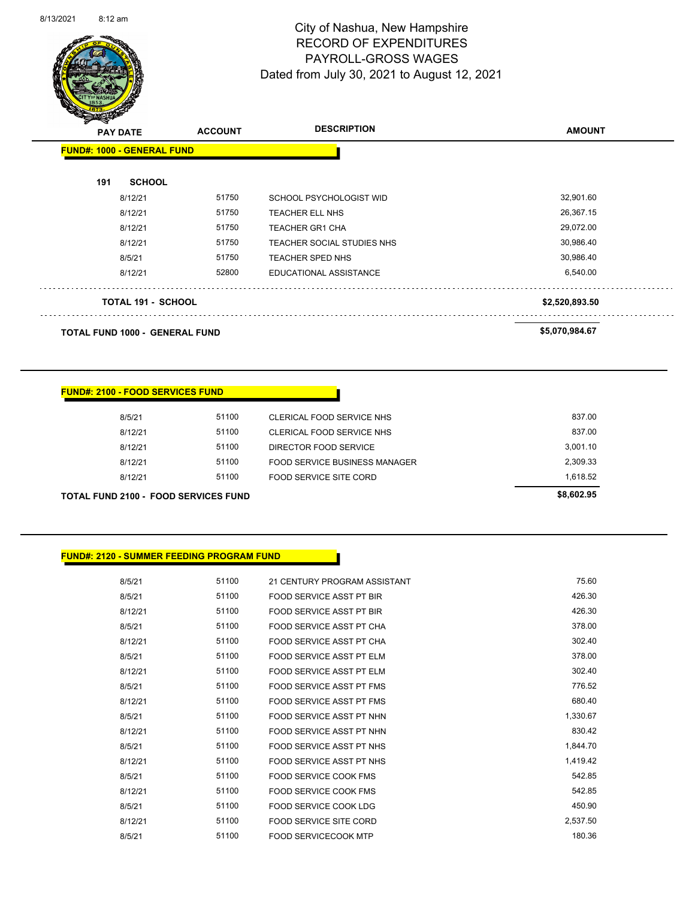

Page 76 of 90

| <b>PAY DATE</b>                       | <b>ACCOUNT</b> | <b>DESCRIPTION</b>         | <b>AMOUNT</b>  |
|---------------------------------------|----------------|----------------------------|----------------|
| <b>FUND#: 1000 - GENERAL FUND</b>     |                |                            |                |
| <b>SCHOOL</b><br>191                  |                |                            |                |
| 8/12/21                               | 51750          | SCHOOL PSYCHOLOGIST WID    | 32,901.60      |
| 8/12/21                               | 51750          | TEACHER ELL NHS            | 26,367.15      |
| 8/12/21                               | 51750          | <b>TEACHER GR1 CHA</b>     | 29,072.00      |
| 8/12/21                               | 51750          | TEACHER SOCIAL STUDIES NHS | 30,986.40      |
| 8/5/21                                | 51750          | <b>TEACHER SPED NHS</b>    | 30,986.40      |
| 8/12/21                               | 52800          | EDUCATIONAL ASSISTANCE     | 6,540.00       |
| <b>TOTAL 191 - SCHOOL</b>             |                |                            | \$2,520,893.50 |
| <b>TOTAL FUND 1000 - GENERAL FUND</b> |                |                            | \$5,070,984.67 |

#### **FUND#: 2100 - FOOD SERVICES FUND**

| TOTAL FUND 2100 - FOOD SERVICES FUND |       |                               | \$8,602.95 |
|--------------------------------------|-------|-------------------------------|------------|
| 8/12/21                              | 51100 | FOOD SERVICE SITE CORD        | 1.618.52   |
| 8/12/21                              | 51100 | FOOD SERVICE BUSINESS MANAGER | 2,309.33   |
| 8/12/21                              | 51100 | DIRECTOR FOOD SERVICE         | 3.001.10   |
| 8/12/21                              | 51100 | CLERICAL FOOD SERVICE NHS     | 837.00     |
| 8/5/21                               | 51100 | CLERICAL FOOD SERVICE NHS     | 837.00     |
|                                      |       |                               |            |

#### **FUND#: 2120 - SUMMER FEEDING PROGRAM FUND**

| 8/5/21  | 51100 | 21 CENTURY PROGRAM ASSISTANT    | 75.60    |
|---------|-------|---------------------------------|----------|
| 8/5/21  | 51100 | <b>FOOD SERVICE ASST PT BIR</b> | 426.30   |
| 8/12/21 | 51100 | <b>FOOD SERVICE ASST PT BIR</b> | 426.30   |
| 8/5/21  | 51100 | FOOD SERVICE ASST PT CHA        | 378.00   |
| 8/12/21 | 51100 | FOOD SERVICE ASST PT CHA        | 302.40   |
| 8/5/21  | 51100 | FOOD SERVICE ASST PT ELM        | 378.00   |
| 8/12/21 | 51100 | FOOD SERVICE ASST PT ELM        | 302.40   |
| 8/5/21  | 51100 | FOOD SERVICE ASST PT FMS        | 776.52   |
| 8/12/21 | 51100 | FOOD SERVICE ASST PT FMS        | 680.40   |
| 8/5/21  | 51100 | FOOD SERVICE ASST PT NHN        | 1,330.67 |
| 8/12/21 | 51100 | FOOD SERVICE ASST PT NHN        | 830.42   |
| 8/5/21  | 51100 | FOOD SERVICE ASST PT NHS        | 1,844.70 |
| 8/12/21 | 51100 | FOOD SERVICE ASST PT NHS        | 1,419.42 |
| 8/5/21  | 51100 | FOOD SERVICE COOK FMS           | 542.85   |
| 8/12/21 | 51100 | FOOD SERVICE COOK FMS           | 542.85   |
| 8/5/21  | 51100 | FOOD SERVICE COOK LDG           | 450.90   |
| 8/12/21 | 51100 | FOOD SERVICE SITE CORD          | 2,537.50 |
| 8/5/21  | 51100 | <b>FOOD SERVICECOOK MTP</b>     | 180.36   |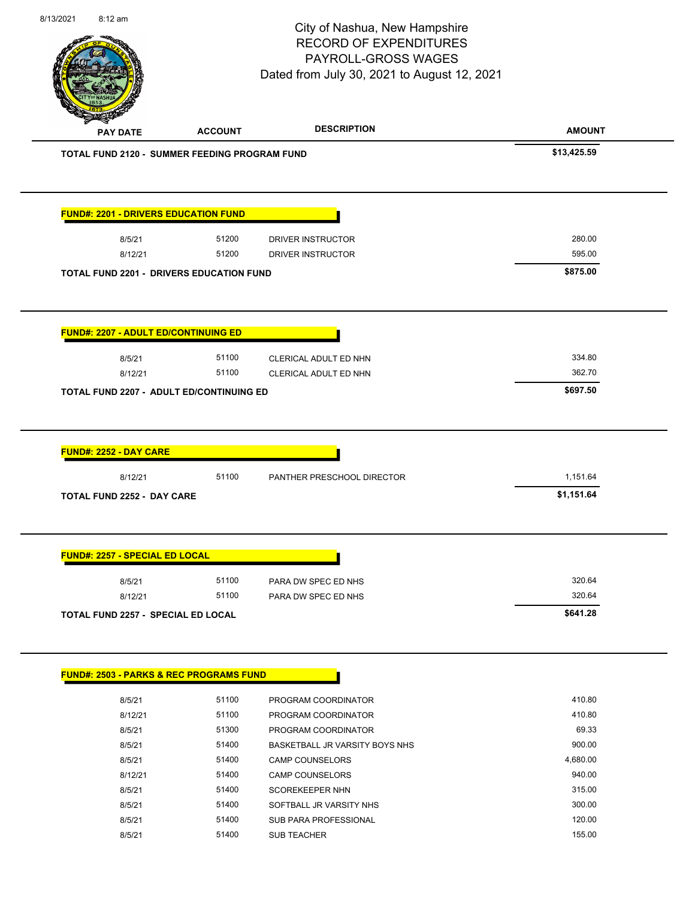| 8/13/2021 | 8:12 am                               |                                                     | City of Nashua, New Hampshire<br><b>RECORD OF EXPENDITURES</b><br>PAYROLL-GROSS WAGES<br>Dated from July 30, 2021 to August 12, 2021 | Page 77 of 90 |
|-----------|---------------------------------------|-----------------------------------------------------|--------------------------------------------------------------------------------------------------------------------------------------|---------------|
|           | <b>PAY DATE</b>                       | <b>ACCOUNT</b>                                      | <b>DESCRIPTION</b>                                                                                                                   | <b>AMOUNT</b> |
|           |                                       | TOTAL FUND 2120 - SUMMER FEEDING PROGRAM FUND       |                                                                                                                                      | \$13,425.59   |
|           |                                       | <b>FUND#: 2201 - DRIVERS EDUCATION FUND</b>         |                                                                                                                                      |               |
|           | 8/5/21                                | 51200                                               | DRIVER INSTRUCTOR                                                                                                                    | 280.00        |
|           | 8/12/21                               | 51200                                               | DRIVER INSTRUCTOR                                                                                                                    | 595.00        |
|           |                                       | <b>TOTAL FUND 2201 - DRIVERS EDUCATION FUND</b>     |                                                                                                                                      | \$875.00      |
|           |                                       | <b>FUND#: 2207 - ADULT ED/CONTINUING ED</b>         |                                                                                                                                      |               |
|           | 8/5/21                                | 51100                                               | CLERICAL ADULT ED NHN                                                                                                                | 334.80        |
|           | 8/12/21                               | 51100                                               | CLERICAL ADULT ED NHN                                                                                                                | 362.70        |
|           |                                       | TOTAL FUND 2207 - ADULT ED/CONTINUING ED            |                                                                                                                                      | \$697.50      |
|           | FUND#: 2252 - DAY CARE                |                                                     |                                                                                                                                      |               |
|           | 8/12/21                               | 51100                                               | PANTHER PRESCHOOL DIRECTOR                                                                                                           | 1,151.64      |
|           | TOTAL FUND 2252 - DAY CARE            |                                                     |                                                                                                                                      | \$1,151.64    |
|           | <b>FUND#: 2257 - SPECIAL ED LOCAL</b> |                                                     |                                                                                                                                      |               |
|           | 8/5/21                                | 51100                                               | PARA DW SPEC ED NHS                                                                                                                  | 320.64        |
|           | 8/12/21                               | 51100                                               | PARA DW SPEC ED NHS                                                                                                                  | 320.64        |
|           |                                       | <b>TOTAL FUND 2257 - SPECIAL ED LOCAL</b>           |                                                                                                                                      | \$641.28      |
|           |                                       | <u> FUND#: 2503 - PARKS &amp; REC PROGRAMS FUND</u> |                                                                                                                                      |               |
|           | 8/5/21                                | 51100                                               | PROGRAM COORDINATOR                                                                                                                  | 410.80        |

| 8/5/21  | 51100 | PROGRAM COORDINATOR            | 410.80   |
|---------|-------|--------------------------------|----------|
| 8/12/21 | 51100 | PROGRAM COORDINATOR            | 410.80   |
| 8/5/21  | 51300 | PROGRAM COORDINATOR            | 69.33    |
| 8/5/21  | 51400 | BASKETBALL JR VARSITY BOYS NHS | 900.00   |
| 8/5/21  | 51400 | <b>CAMP COUNSELORS</b>         | 4,680.00 |
| 8/12/21 | 51400 | <b>CAMP COUNSELORS</b>         | 940.00   |
| 8/5/21  | 51400 | <b>SCOREKEEPER NHN</b>         | 315.00   |
| 8/5/21  | 51400 | SOFTBALL JR VARSITY NHS        | 300.00   |
| 8/5/21  | 51400 | SUB PARA PROFESSIONAL          | 120.00   |
| 8/5/21  | 51400 | <b>SUB TEACHER</b>             | 155.00   |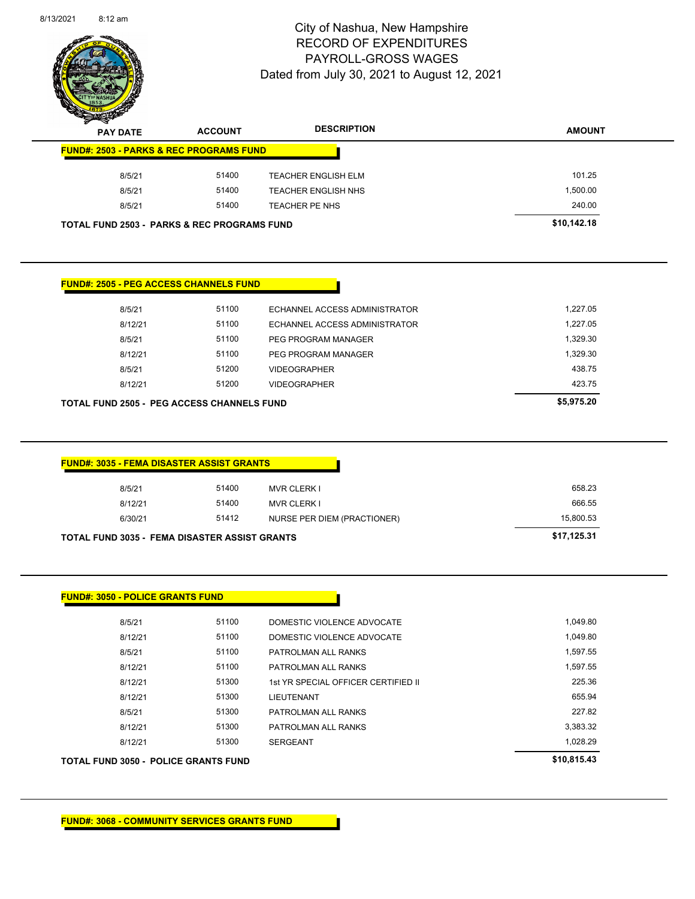

Page 78 of 90

| <b>PAY DATE</b>                                        | <b>ACCOUNT</b> | <b>DESCRIPTION</b>                         | <b>AMOUNT</b>        |
|--------------------------------------------------------|----------------|--------------------------------------------|----------------------|
| <b>FUND#: 2503 - PARKS &amp; REC PROGRAMS FUND</b>     |                |                                            |                      |
| 8/5/21                                                 | 51400          | <b>TEACHER ENGLISH ELM</b>                 | 101.25               |
| 8/5/21                                                 | 51400          | <b>TEACHER ENGLISH NHS</b>                 | 1,500.00             |
| 8/5/21                                                 | 51400          | <b>TEACHER PE NHS</b>                      | 240.00               |
| <b>TOTAL FUND 2503 - PARKS &amp; REC PROGRAMS FUND</b> |                |                                            | \$10,142.18          |
| <b>FUND#: 2505 - PEG ACCESS CHANNELS FUND</b>          |                |                                            |                      |
| 8/5/21                                                 | 51100          | ECHANNEL ACCESS ADMINISTRATOR              | 1,227.05             |
| 8/12/21                                                | 51100          | ECHANNEL ACCESS ADMINISTRATOR              | 1,227.05             |
| 8/5/21                                                 | 51100          | PEG PROGRAM MANAGER                        | 1,329.30             |
| 8/12/21                                                | 51100          | PEG PROGRAM MANAGER                        | 1,329.30             |
| 8/5/21                                                 | 51200          | <b>VIDEOGRAPHER</b>                        | 438.75               |
| 8/12/21                                                | 51200          | <b>VIDEOGRAPHER</b>                        | 423.75               |
| <b>TOTAL FUND 2505 - PEG ACCESS CHANNELS FUND</b>      |                |                                            | \$5,975.20           |
| <b>FUND#: 3035 - FEMA DISASTER ASSIST GRANTS</b>       |                |                                            |                      |
| 8/5/21                                                 | 51400          | <b>MVR CLERK I</b>                         | 658.23               |
| 8/12/21                                                | 51400          | <b>MVR CLERK I</b>                         | 666.55               |
| 6/30/21                                                | 51412          | NURSE PER DIEM (PRACTIONER)                | 15,800.53            |
| <b>TOTAL FUND 3035 - FEMA DISASTER ASSIST GRANTS</b>   |                |                                            | \$17,125.31          |
| <b>FUND#: 3050 - POLICE GRANTS FUND</b>                |                |                                            |                      |
| 8/5/21                                                 | 51100          | DOMESTIC VIOLENCE ADVOCATE                 | 1,049.80             |
| 8/12/21                                                | 51100          | DOMESTIC VIOLENCE ADVOCATE                 | 1,049.80             |
| 8/5/21<br>8/12/21                                      | 51100<br>51100 | PATROLMAN ALL RANKS<br>PATROLMAN ALL RANKS | 1,597.55<br>1,597.55 |

8/12/21 51300 1st YR SPECIAL OFFICER CERTIFIED II 3225.36 8/12/21 51300 LIEUTENANT 655.94 8/5/21 51300 PATROLMAN ALL RANKS 227.82 8/12/21 51300 PATROLMAN ALL RANKS 3,383.32 8/12/21 51300 SERGEANT 56 1990 1,028.29

**TOTAL FUND 3050 - POLICE GRANTS FUND \$10,815.43**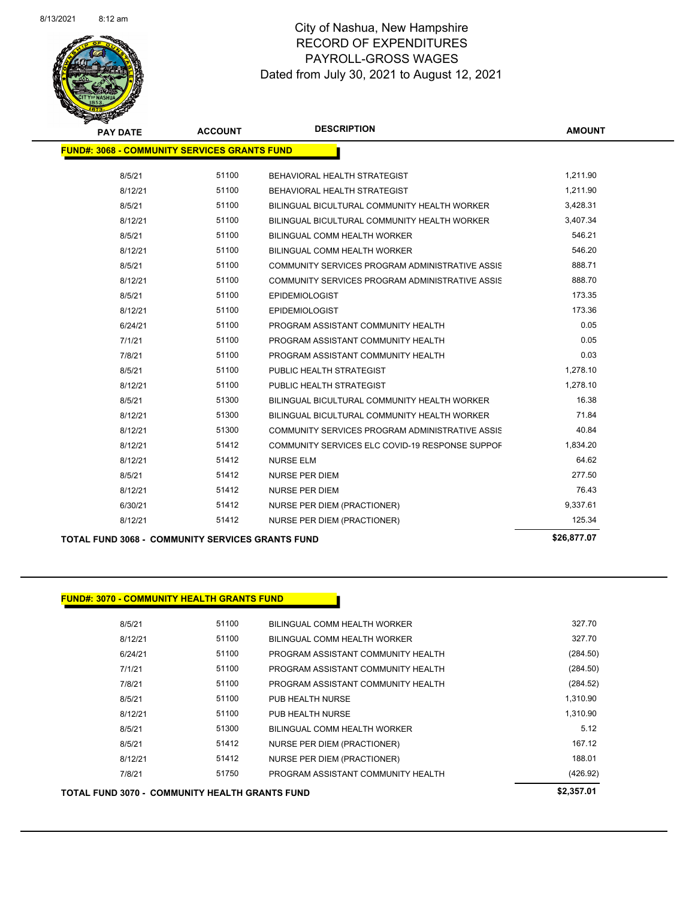

| <b>PAY DATE</b>                                     | <b>ACCOUNT</b> | <b>DESCRIPTION</b>                              | <b>AMOUNT</b> |  |
|-----------------------------------------------------|----------------|-------------------------------------------------|---------------|--|
| <b>FUND#: 3068 - COMMUNITY SERVICES GRANTS FUND</b> |                |                                                 |               |  |
| 8/5/21                                              | 51100          | BEHAVIORAL HEALTH STRATEGIST                    | 1,211.90      |  |
| 8/12/21                                             | 51100          | BEHAVIORAL HEALTH STRATEGIST                    | 1,211.90      |  |
| 8/5/21                                              | 51100          | BILINGUAL BICULTURAL COMMUNITY HEALTH WORKER    | 3,428.31      |  |
| 8/12/21                                             | 51100          | BILINGUAL BICULTURAL COMMUNITY HEALTH WORKER    | 3,407.34      |  |
| 8/5/21                                              | 51100          | BILINGUAL COMM HEALTH WORKER                    | 546.21        |  |
| 8/12/21                                             | 51100          | <b>BILINGUAL COMM HEALTH WORKER</b>             | 546.20        |  |
| 8/5/21                                              | 51100          | COMMUNITY SERVICES PROGRAM ADMINISTRATIVE ASSIS | 888.71        |  |
| 8/12/21                                             | 51100          | COMMUNITY SERVICES PROGRAM ADMINISTRATIVE ASSIS | 888.70        |  |
| 8/5/21                                              | 51100          | <b>EPIDEMIOLOGIST</b>                           | 173.35        |  |
| 8/12/21                                             | 51100          | <b>EPIDEMIOLOGIST</b>                           | 173.36        |  |
| 6/24/21                                             | 51100          | PROGRAM ASSISTANT COMMUNITY HEALTH              | 0.05          |  |
| 7/1/21                                              | 51100          | PROGRAM ASSISTANT COMMUNITY HEALTH              | 0.05          |  |
| 7/8/21                                              | 51100          | PROGRAM ASSISTANT COMMUNITY HEALTH              | 0.03          |  |
| 8/5/21                                              | 51100          | PUBLIC HEALTH STRATEGIST                        | 1,278.10      |  |
| 8/12/21                                             | 51100          | PUBLIC HEALTH STRATEGIST                        | 1,278.10      |  |
| 8/5/21                                              | 51300          | BILINGUAL BICULTURAL COMMUNITY HEALTH WORKER    | 16.38         |  |
| 8/12/21                                             | 51300          | BILINGUAL BICULTURAL COMMUNITY HEALTH WORKER    | 71.84         |  |
| 8/12/21                                             | 51300          | COMMUNITY SERVICES PROGRAM ADMINISTRATIVE ASSIS | 40.84         |  |
| 8/12/21                                             | 51412          | COMMUNITY SERVICES ELC COVID-19 RESPONSE SUPPOF | 1,834.20      |  |
| 8/12/21                                             | 51412          | <b>NURSE ELM</b>                                | 64.62         |  |
| 8/5/21                                              | 51412          | <b>NURSE PER DIEM</b>                           | 277.50        |  |
| 8/12/21                                             | 51412          | <b>NURSE PER DIEM</b>                           | 76.43         |  |
| 6/30/21                                             | 51412          | <b>NURSE PER DIEM (PRACTIONER)</b>              | 9,337.61      |  |
| 8/12/21                                             | 51412          | NURSE PER DIEM (PRACTIONER)                     | 125.34        |  |
|                                                     |                |                                                 |               |  |

**TOTAL FUND 3068 - COMMUNITY SERVICES GRANTS FUND \$26,877.07** 

#### **FUND#: 3070 - COMMUNITY HEALTH GRANTS FUND**

| 8/5/21  | 51100 | BILINGUAL COMM HEALTH WORKER       | 327.70   |
|---------|-------|------------------------------------|----------|
| 8/12/21 | 51100 | BILINGUAL COMM HEALTH WORKER       | 327.70   |
| 6/24/21 | 51100 | PROGRAM ASSISTANT COMMUNITY HEALTH | (284.50) |
| 7/1/21  | 51100 | PROGRAM ASSISTANT COMMUNITY HEALTH | (284.50) |
| 7/8/21  | 51100 | PROGRAM ASSISTANT COMMUNITY HEALTH | (284.52) |
| 8/5/21  | 51100 | PUB HEALTH NURSE                   | 1.310.90 |
| 8/12/21 | 51100 | PUB HEALTH NURSE                   | 1.310.90 |
| 8/5/21  | 51300 | BILINGUAL COMM HEALTH WORKER       | 5.12     |
| 8/5/21  | 51412 | NURSE PER DIEM (PRACTIONER)        | 167.12   |
| 8/12/21 | 51412 | NURSE PER DIEM (PRACTIONER)        | 188.01   |
| 7/8/21  | 51750 | PROGRAM ASSISTANT COMMUNITY HEALTH | (426.92) |
|         |       |                                    |          |

**TOTAL FUND 3070 - COMMUNITY HEALTH GRANTS FUND \$2,357.01**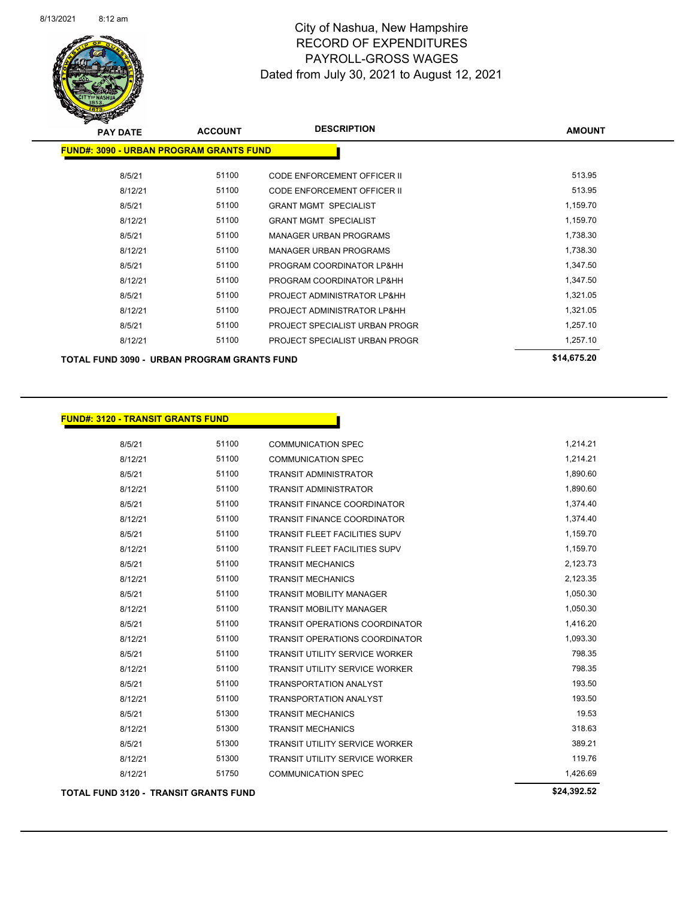

| <b>PAY DATE</b>                                    | <b>ACCOUNT</b> | <b>DESCRIPTION</b>                 | <b>AMOUNT</b> |
|----------------------------------------------------|----------------|------------------------------------|---------------|
| <b>FUND#: 3090 - URBAN PROGRAM GRANTS FUND</b>     |                |                                    |               |
| 8/5/21                                             | 51100          | CODE ENFORCEMENT OFFICER II        | 513.95        |
| 8/12/21                                            | 51100          | <b>CODE ENFORCEMENT OFFICER II</b> | 513.95        |
| 8/5/21                                             | 51100          | <b>GRANT MGMT SPECIALIST</b>       | 1,159.70      |
| 8/12/21                                            | 51100          | <b>GRANT MGMT SPECIALIST</b>       | 1,159.70      |
| 8/5/21                                             | 51100          | <b>MANAGER URBAN PROGRAMS</b>      | 1,738.30      |
| 8/12/21                                            | 51100          | <b>MANAGER URBAN PROGRAMS</b>      | 1,738.30      |
| 8/5/21                                             | 51100          | PROGRAM COORDINATOR LP&HH          | 1,347.50      |
| 8/12/21                                            | 51100          | PROGRAM COORDINATOR LP&HH          | 1,347.50      |
| 8/5/21                                             | 51100          | PROJECT ADMINISTRATOR LP&HH        | 1,321.05      |
| 8/12/21                                            | 51100          | PROJECT ADMINISTRATOR LP&HH        | 1,321.05      |
| 8/5/21                                             | 51100          | PROJECT SPECIALIST URBAN PROGR     | 1,257.10      |
| 8/12/21                                            | 51100          | PROJECT SPECIALIST URBAN PROGR     | 1,257.10      |
| <b>TOTAL FUND 3090 - URBAN PROGRAM GRANTS FUND</b> |                |                                    | \$14,675.20   |

#### **FUND#: 3120 - TRANSIT GRANTS FUND**

| <b>TOTAL FUND 3120 - TRANSIT GRANTS FUND</b> |       |                                       | \$24,392.52 |
|----------------------------------------------|-------|---------------------------------------|-------------|
| 8/12/21                                      | 51750 | <b>COMMUNICATION SPEC</b>             | 1,426.69    |
| 8/12/21                                      | 51300 | <b>TRANSIT UTILITY SERVICE WORKER</b> | 119.76      |
| 8/5/21                                       | 51300 | <b>TRANSIT UTILITY SERVICE WORKER</b> | 389.21      |
| 8/12/21                                      | 51300 | <b>TRANSIT MECHANICS</b>              | 318.63      |
| 8/5/21                                       | 51300 | <b>TRANSIT MECHANICS</b>              | 19.53       |
| 8/12/21                                      | 51100 | <b>TRANSPORTATION ANALYST</b>         | 193.50      |
| 8/5/21                                       | 51100 | <b>TRANSPORTATION ANALYST</b>         | 193.50      |
| 8/12/21                                      | 51100 | <b>TRANSIT UTILITY SERVICE WORKER</b> | 798.35      |
| 8/5/21                                       | 51100 | <b>TRANSIT UTILITY SERVICE WORKER</b> | 798.35      |
| 8/12/21                                      | 51100 | <b>TRANSIT OPERATIONS COORDINATOR</b> | 1,093.30    |
| 8/5/21                                       | 51100 | <b>TRANSIT OPERATIONS COORDINATOR</b> | 1,416.20    |
| 8/12/21                                      | 51100 | <b>TRANSIT MOBILITY MANAGER</b>       | 1,050.30    |
| 8/5/21                                       | 51100 | <b>TRANSIT MOBILITY MANAGER</b>       | 1,050.30    |
| 8/12/21                                      | 51100 | <b>TRANSIT MECHANICS</b>              | 2,123.35    |
| 8/5/21                                       | 51100 | <b>TRANSIT MECHANICS</b>              | 2,123.73    |
| 8/12/21                                      | 51100 | <b>TRANSIT FLEET FACILITIES SUPV</b>  | 1,159.70    |
| 8/5/21                                       | 51100 | <b>TRANSIT FLEET FACILITIES SUPV</b>  | 1,159.70    |
| 8/12/21                                      | 51100 | <b>TRANSIT FINANCE COORDINATOR</b>    | 1,374.40    |
| 8/5/21                                       | 51100 | <b>TRANSIT FINANCE COORDINATOR</b>    | 1,374.40    |
| 8/12/21                                      | 51100 | <b>TRANSIT ADMINISTRATOR</b>          | 1,890.60    |
| 8/5/21                                       | 51100 | <b>TRANSIT ADMINISTRATOR</b>          | 1,890.60    |
| 8/12/21                                      | 51100 | <b>COMMUNICATION SPEC</b>             | 1,214.21    |
| 8/5/21                                       | 51100 | <b>COMMUNICATION SPEC</b>             | 1,214.21    |
|                                              |       |                                       |             |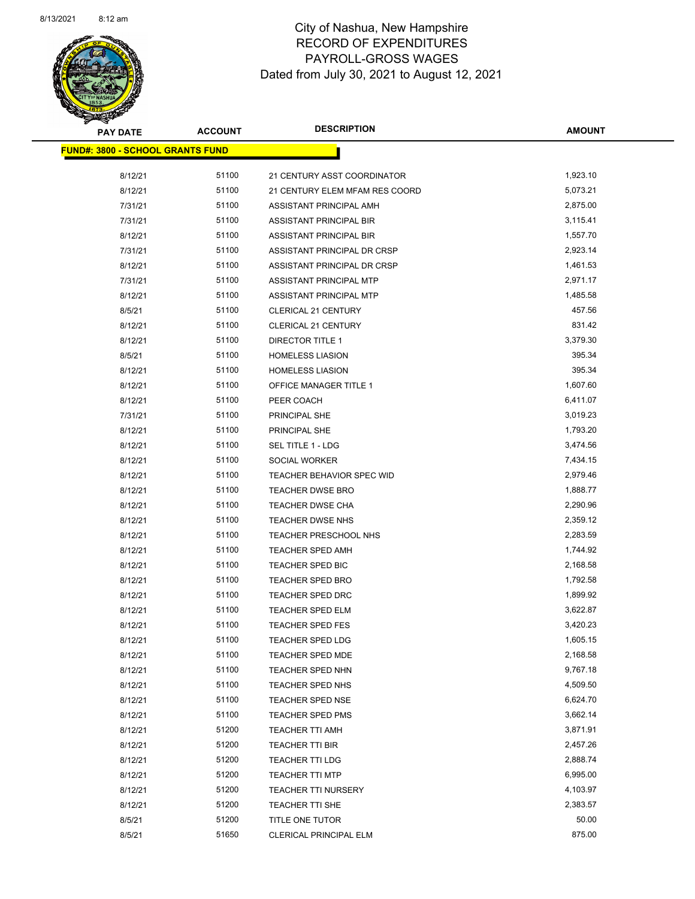

| <b>PAY DATE</b>                         | <b>ACCOUNT</b> | <b>DESCRIPTION</b>             | <b>AMOUNT</b> |
|-----------------------------------------|----------------|--------------------------------|---------------|
| <b>FUND#: 3800 - SCHOOL GRANTS FUND</b> |                |                                |               |
| 8/12/21                                 | 51100          | 21 CENTURY ASST COORDINATOR    | 1,923.10      |
| 8/12/21                                 | 51100          | 21 CENTURY ELEM MFAM RES COORD | 5,073.21      |
| 7/31/21                                 | 51100          | ASSISTANT PRINCIPAL AMH        | 2,875.00      |
| 7/31/21                                 | 51100          | ASSISTANT PRINCIPAL BIR        | 3,115.41      |
| 8/12/21                                 | 51100          | ASSISTANT PRINCIPAL BIR        | 1,557.70      |
| 7/31/21                                 | 51100          | ASSISTANT PRINCIPAL DR CRSP    | 2,923.14      |
| 8/12/21                                 | 51100          | ASSISTANT PRINCIPAL DR CRSP    | 1,461.53      |
| 7/31/21                                 | 51100          | <b>ASSISTANT PRINCIPAL MTP</b> | 2,971.17      |
| 8/12/21                                 | 51100          | ASSISTANT PRINCIPAL MTP        | 1,485.58      |
| 8/5/21                                  | 51100          | <b>CLERICAL 21 CENTURY</b>     | 457.56        |
| 8/12/21                                 | 51100          | <b>CLERICAL 21 CENTURY</b>     | 831.42        |
| 8/12/21                                 | 51100          | DIRECTOR TITLE 1               | 3,379.30      |
| 8/5/21                                  | 51100          | <b>HOMELESS LIASION</b>        | 395.34        |
| 8/12/21                                 | 51100          | <b>HOMELESS LIASION</b>        | 395.34        |
| 8/12/21                                 | 51100          | OFFICE MANAGER TITLE 1         | 1,607.60      |
| 8/12/21                                 | 51100          | PEER COACH                     | 6,411.07      |
| 7/31/21                                 | 51100          | PRINCIPAL SHE                  | 3,019.23      |
| 8/12/21                                 | 51100          | PRINCIPAL SHE                  | 1,793.20      |
| 8/12/21                                 | 51100          | SEL TITLE 1 - LDG              | 3,474.56      |
| 8/12/21                                 | 51100          | SOCIAL WORKER                  | 7,434.15      |
| 8/12/21                                 | 51100          | TEACHER BEHAVIOR SPEC WID      | 2,979.46      |
| 8/12/21                                 | 51100          | <b>TEACHER DWSE BRO</b>        | 1,888.77      |
| 8/12/21                                 | 51100          | TEACHER DWSE CHA               | 2,290.96      |
| 8/12/21                                 | 51100          | TEACHER DWSE NHS               | 2,359.12      |
| 8/12/21                                 | 51100          | TEACHER PRESCHOOL NHS          | 2,283.59      |
| 8/12/21                                 | 51100          | <b>TEACHER SPED AMH</b>        | 1,744.92      |
| 8/12/21                                 | 51100          | TEACHER SPED BIC               | 2,168.58      |
| 8/12/21                                 | 51100          | TEACHER SPED BRO               | 1,792.58      |
| 8/12/21                                 | 51100          | TEACHER SPED DRC               | 1,899.92      |
| 8/12/21                                 | 51100          | <b>TEACHER SPED ELM</b>        | 3,622.87      |
| 8/12/21                                 | 51100          | <b>TEACHER SPED FES</b>        | 3,420.23      |
| 8/12/21                                 | 51100          | <b>TEACHER SPED LDG</b>        | 1,605.15      |
| 8/12/21                                 | 51100          | TEACHER SPED MDE               | 2,168.58      |
| 8/12/21                                 | 51100          | TEACHER SPED NHN               | 9,767.18      |
| 8/12/21                                 | 51100          | TEACHER SPED NHS               | 4,509.50      |
| 8/12/21                                 | 51100          | <b>TEACHER SPED NSE</b>        | 6,624.70      |
| 8/12/21                                 | 51100          | <b>TEACHER SPED PMS</b>        | 3,662.14      |
| 8/12/21                                 | 51200          | <b>TEACHER TTI AMH</b>         | 3,871.91      |
| 8/12/21                                 | 51200          | TEACHER TTI BIR                | 2,457.26      |
| 8/12/21                                 | 51200          | TEACHER TTI LDG                | 2,888.74      |
| 8/12/21                                 | 51200          | <b>TEACHER TTI MTP</b>         | 6,995.00      |
| 8/12/21                                 | 51200          | <b>TEACHER TTI NURSERY</b>     | 4,103.97      |
| 8/12/21                                 | 51200          | TEACHER TTI SHE                | 2,383.57      |
| 8/5/21                                  | 51200          | TITLE ONE TUTOR                | 50.00         |
| 8/5/21                                  | 51650          | CLERICAL PRINCIPAL ELM         | 875.00        |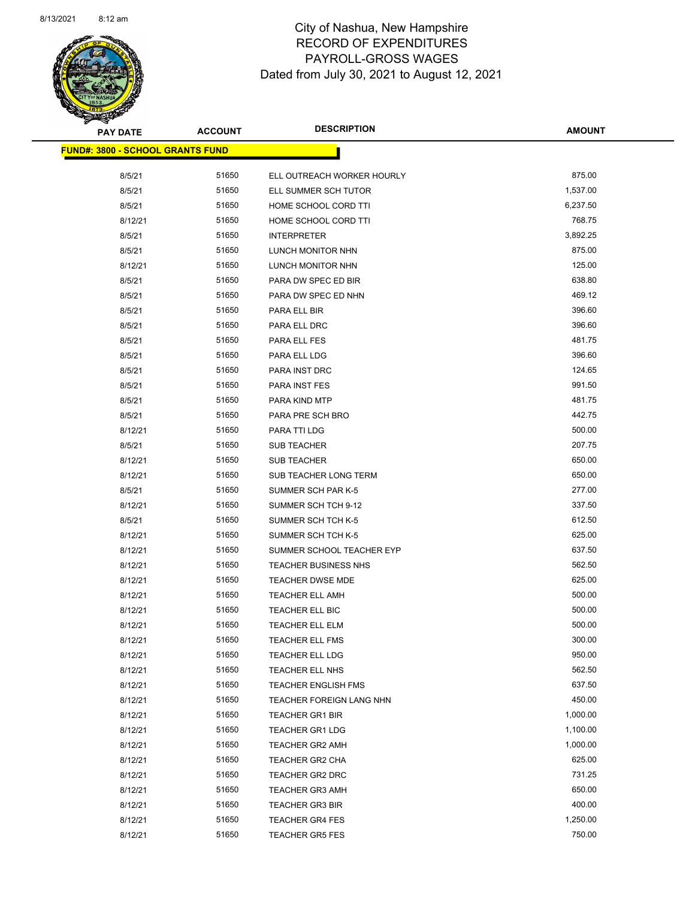

| <b>PAY DATE</b>                         | <b>ACCOUNT</b> | <b>DESCRIPTION</b>          | <b>AMOUNT</b> |
|-----------------------------------------|----------------|-----------------------------|---------------|
| <b>FUND#: 3800 - SCHOOL GRANTS FUND</b> |                |                             |               |
| 8/5/21                                  | 51650          | ELL OUTREACH WORKER HOURLY  | 875.00        |
| 8/5/21                                  | 51650          | ELL SUMMER SCH TUTOR        | 1,537.00      |
| 8/5/21                                  | 51650          | HOME SCHOOL CORD TTI        | 6,237.50      |
| 8/12/21                                 | 51650          | HOME SCHOOL CORD TTI        | 768.75        |
| 8/5/21                                  | 51650          | <b>INTERPRETER</b>          | 3,892.25      |
| 8/5/21                                  | 51650          | LUNCH MONITOR NHN           | 875.00        |
| 8/12/21                                 | 51650          | LUNCH MONITOR NHN           | 125.00        |
| 8/5/21                                  | 51650          | PARA DW SPEC ED BIR         | 638.80        |
| 8/5/21                                  | 51650          | PARA DW SPEC ED NHN         | 469.12        |
| 8/5/21                                  | 51650          | PARA ELL BIR                | 396.60        |
| 8/5/21                                  | 51650          | PARA ELL DRC                | 396.60        |
| 8/5/21                                  | 51650          | PARA ELL FES                | 481.75        |
| 8/5/21                                  | 51650          | PARA ELL LDG                | 396.60        |
| 8/5/21                                  | 51650          | PARA INST DRC               | 124.65        |
| 8/5/21                                  | 51650          | PARA INST FES               | 991.50        |
| 8/5/21                                  | 51650          | PARA KIND MTP               | 481.75        |
| 8/5/21                                  | 51650          |                             | 442.75        |
|                                         | 51650          | PARA PRE SCH BRO            | 500.00        |
| 8/12/21                                 | 51650          | PARA TTI LDG                | 207.75        |
| 8/5/21                                  | 51650          | <b>SUB TEACHER</b>          | 650.00        |
| 8/12/21                                 |                | <b>SUB TEACHER</b>          |               |
| 8/12/21                                 | 51650          | SUB TEACHER LONG TERM       | 650.00        |
| 8/5/21                                  | 51650          | SUMMER SCH PAR K-5          | 277.00        |
| 8/12/21                                 | 51650          | SUMMER SCH TCH 9-12         | 337.50        |
| 8/5/21                                  | 51650          | SUMMER SCH TCH K-5          | 612.50        |
| 8/12/21                                 | 51650          | SUMMER SCH TCH K-5          | 625.00        |
| 8/12/21                                 | 51650          | SUMMER SCHOOL TEACHER EYP   | 637.50        |
| 8/12/21                                 | 51650          | <b>TEACHER BUSINESS NHS</b> | 562.50        |
| 8/12/21                                 | 51650          | TEACHER DWSE MDE            | 625.00        |
| 8/12/21                                 | 51650          | <b>TEACHER ELL AMH</b>      | 500.00        |
| 8/12/21                                 | 51650          | TEACHER ELL BIC             | 500.00        |
| 8/12/21                                 | 51650          | <b>TEACHER ELL ELM</b>      | 500.00        |
| 8/12/21                                 | 51650          | TEACHER ELL FMS             | 300.00        |
| 8/12/21                                 | 51650          | TEACHER ELL LDG             | 950.00        |
| 8/12/21                                 | 51650          | TEACHER ELL NHS             | 562.50        |
| 8/12/21                                 | 51650          | <b>TEACHER ENGLISH FMS</b>  | 637.50        |
| 8/12/21                                 | 51650          | TEACHER FOREIGN LANG NHN    | 450.00        |
| 8/12/21                                 | 51650          | <b>TEACHER GR1 BIR</b>      | 1,000.00      |
| 8/12/21                                 | 51650          | <b>TEACHER GR1 LDG</b>      | 1,100.00      |
| 8/12/21                                 | 51650          | <b>TEACHER GR2 AMH</b>      | 1,000.00      |
| 8/12/21                                 | 51650          | <b>TEACHER GR2 CHA</b>      | 625.00        |
| 8/12/21                                 | 51650          | <b>TEACHER GR2 DRC</b>      | 731.25        |
| 8/12/21                                 | 51650          | <b>TEACHER GR3 AMH</b>      | 650.00        |
| 8/12/21                                 | 51650          | <b>TEACHER GR3 BIR</b>      | 400.00        |
| 8/12/21                                 | 51650          | <b>TEACHER GR4 FES</b>      | 1,250.00      |
| 8/12/21                                 | 51650          | <b>TEACHER GR5 FES</b>      | 750.00        |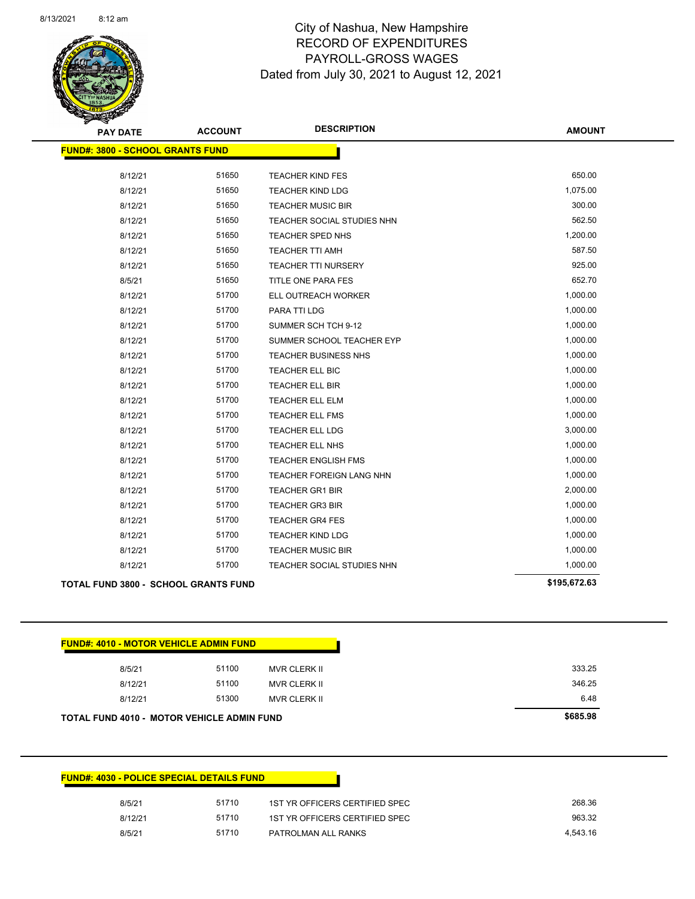

Page 83 of 90

| <b>PAY DATE</b>                                   | <b>ACCOUNT</b> | <b>DESCRIPTION</b>         | <b>AMOUNT</b> |
|---------------------------------------------------|----------------|----------------------------|---------------|
| <b>FUND#: 3800 - SCHOOL GRANTS FUND</b>           |                |                            |               |
| 8/12/21                                           | 51650          | <b>TEACHER KIND FES</b>    | 650.00        |
| 8/12/21                                           | 51650          | <b>TEACHER KIND LDG</b>    | 1,075.00      |
| 8/12/21                                           | 51650          | <b>TEACHER MUSIC BIR</b>   | 300.00        |
| 8/12/21                                           | 51650          | TEACHER SOCIAL STUDIES NHN | 562.50        |
| 8/12/21                                           | 51650          | TEACHER SPED NHS           | 1,200.00      |
| 8/12/21                                           | 51650          | <b>TEACHER TTI AMH</b>     | 587.50        |
| 8/12/21                                           | 51650          | <b>TEACHER TTI NURSERY</b> | 925.00        |
| 8/5/21                                            | 51650          | TITLE ONE PARA FES         | 652.70        |
| 8/12/21                                           | 51700          | ELL OUTREACH WORKER        | 1,000.00      |
| 8/12/21                                           | 51700          | PARA TTI LDG               | 1,000.00      |
| 8/12/21                                           | 51700          | SUMMER SCH TCH 9-12        | 1,000.00      |
| 8/12/21                                           | 51700          | SUMMER SCHOOL TEACHER EYP  | 1,000.00      |
| 8/12/21                                           | 51700          | TEACHER BUSINESS NHS       | 1,000.00      |
| 8/12/21                                           | 51700          | TEACHER ELL BIC            | 1,000.00      |
| 8/12/21                                           | 51700          | TEACHER ELL BIR            | 1,000.00      |
| 8/12/21                                           | 51700          | <b>TEACHER ELL ELM</b>     | 1,000.00      |
| 8/12/21                                           | 51700          | <b>TEACHER ELL FMS</b>     | 1,000.00      |
| 8/12/21                                           | 51700          | <b>TEACHER ELL LDG</b>     | 3,000.00      |
| 8/12/21                                           | 51700          | TEACHER ELL NHS            | 1,000.00      |
| 8/12/21                                           | 51700          | <b>TEACHER ENGLISH FMS</b> | 1,000.00      |
| 8/12/21                                           | 51700          | TEACHER FOREIGN LANG NHN   | 1,000.00      |
| 8/12/21                                           | 51700          | <b>TEACHER GR1 BIR</b>     | 2,000.00      |
| 8/12/21                                           | 51700          | <b>TEACHER GR3 BIR</b>     | 1,000.00      |
| 8/12/21                                           | 51700          | <b>TEACHER GR4 FES</b>     | 1,000.00      |
| 8/12/21                                           | 51700          | <b>TEACHER KIND LDG</b>    | 1,000.00      |
| 8/12/21                                           | 51700          | <b>TEACHER MUSIC BIR</b>   | 1,000.00      |
| 8/12/21                                           | 51700          | TEACHER SOCIAL STUDIES NHN | 1,000.00      |
| <b>TOTAL FUND 3800 - SCHOOL GRANTS FUND</b>       |                |                            | \$195,672.63  |
|                                                   |                |                            |               |
| <b>FUND#: 4010 - MOTOR VEHICLE ADMIN FUND</b>     |                |                            |               |
| 8/5/21                                            | 51100          | MVR CLERK II               | 333.25        |
| 8/12/21                                           | 51100          | <b>MVR CLERK II</b>        | 346.25        |
| 8/12/21                                           | 51300          | MVR CLERK II               | 6.48          |
| <b>TOTAL FUND 4010 - MOTOR VEHICLE ADMIN FUND</b> |                |                            | \$685.98      |
|                                                   |                |                            |               |

| <b>FUND#: 4030 - POLICE SPECIAL DETAILS FUND</b> |                                |
|--------------------------------------------------|--------------------------------|
| 51710<br>8/5/21                                  | 1ST YR OFFICERS CERTIFIED SPEC |
| 51710<br>8/12/21                                 | 1ST YR OFFICERS CERTIFIED SPEC |
| 51710<br>8/5/21                                  | PATROLMAN ALL RANKS            |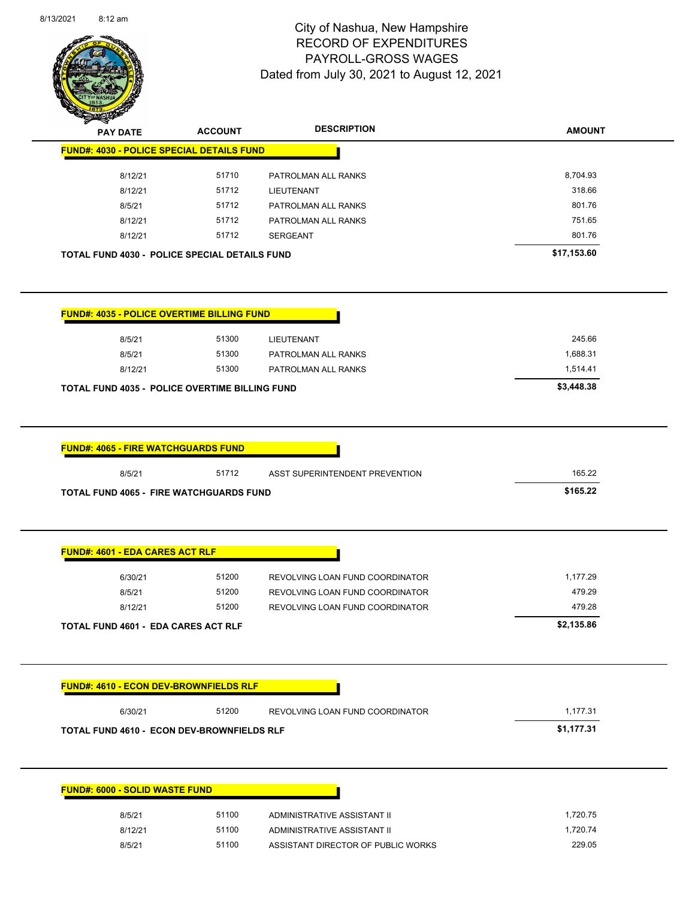

Page 84 of 90

| <b>PAY DATE</b>                                                                                                                                                                                                                               | <b>ACCOUNT</b> | <b>DESCRIPTION</b>              | <b>AMOUNT</b>      |
|-----------------------------------------------------------------------------------------------------------------------------------------------------------------------------------------------------------------------------------------------|----------------|---------------------------------|--------------------|
| <b>FUND#: 4030 - POLICE SPECIAL DETAILS FUND</b>                                                                                                                                                                                              |                |                                 |                    |
| 8/12/21                                                                                                                                                                                                                                       | 51710          | PATROLMAN ALL RANKS             | 8,704.93           |
| 8/12/21                                                                                                                                                                                                                                       | 51712          | LIEUTENANT                      | 318.66             |
| 8/5/21                                                                                                                                                                                                                                        | 51712          | PATROLMAN ALL RANKS             | 801.76             |
| 8/12/21                                                                                                                                                                                                                                       | 51712          | PATROLMAN ALL RANKS             | 751.65             |
| 8/12/21                                                                                                                                                                                                                                       | 51712          | <b>SERGEANT</b>                 | 801.76             |
| <b>TOTAL FUND 4030 - POLICE SPECIAL DETAILS FUND</b>                                                                                                                                                                                          |                |                                 | \$17,153.60        |
| <b>FUND#: 4035 - POLICE OVERTIME BILLING FUND</b>                                                                                                                                                                                             |                |                                 |                    |
| 8/5/21                                                                                                                                                                                                                                        | 51300          | LIEUTENANT                      | 245.66             |
| 8/5/21                                                                                                                                                                                                                                        | 51300          | PATROLMAN ALL RANKS             | 1,688.31           |
| 8/12/21                                                                                                                                                                                                                                       | 51300          | PATROLMAN ALL RANKS             | 1,514.41           |
| <b>TOTAL FUND 4035 - POLICE OVERTIME BILLING FUND</b>                                                                                                                                                                                         |                |                                 | \$3,448.38         |
|                                                                                                                                                                                                                                               |                |                                 |                    |
|                                                                                                                                                                                                                                               |                |                                 |                    |
| 8/5/21                                                                                                                                                                                                                                        | 51712          | ASST SUPERINTENDENT PREVENTION  | 165.22<br>\$165.22 |
| <b>FUND#: 4065 - FIRE WATCHGUARDS FUND</b><br><b>TOTAL FUND 4065 - FIRE WATCHGUARDS FUND</b>                                                                                                                                                  |                |                                 |                    |
|                                                                                                                                                                                                                                               |                |                                 |                    |
| 6/30/21                                                                                                                                                                                                                                       | 51200          | REVOLVING LOAN FUND COORDINATOR | 1,177.29           |
| 8/5/21                                                                                                                                                                                                                                        | 51200          | REVOLVING LOAN FUND COORDINATOR | 479.29             |
| 8/12/21                                                                                                                                                                                                                                       | 51200          | REVOLVING LOAN FUND COORDINATOR | 479.28             |
|                                                                                                                                                                                                                                               |                |                                 | \$2,135.86         |
|                                                                                                                                                                                                                                               |                |                                 |                    |
| 6/30/21                                                                                                                                                                                                                                       | 51200          | REVOLVING LOAN FUND COORDINATOR | 1,177.31           |
|                                                                                                                                                                                                                                               |                |                                 | \$1,177.31         |
|                                                                                                                                                                                                                                               |                |                                 |                    |
|                                                                                                                                                                                                                                               |                |                                 |                    |
| <b>FUND#: 4601 - EDA CARES ACT RLF</b><br><b>TOTAL FUND 4601 - EDA CARES ACT RLF</b><br><b>FUND#: 4610 - ECON DEV-BROWNFIELDS RLF</b><br><b>TOTAL FUND 4610 - ECON DEV-BROWNFIELDS RLF</b><br><b>FUND#: 6000 - SOLID WASTE FUND</b><br>8/5/21 | 51100          | ADMINISTRATIVE ASSISTANT II     | 1,720.75           |
| 8/12/21                                                                                                                                                                                                                                       | 51100          | ADMINISTRATIVE ASSISTANT II     | 1,720.74           |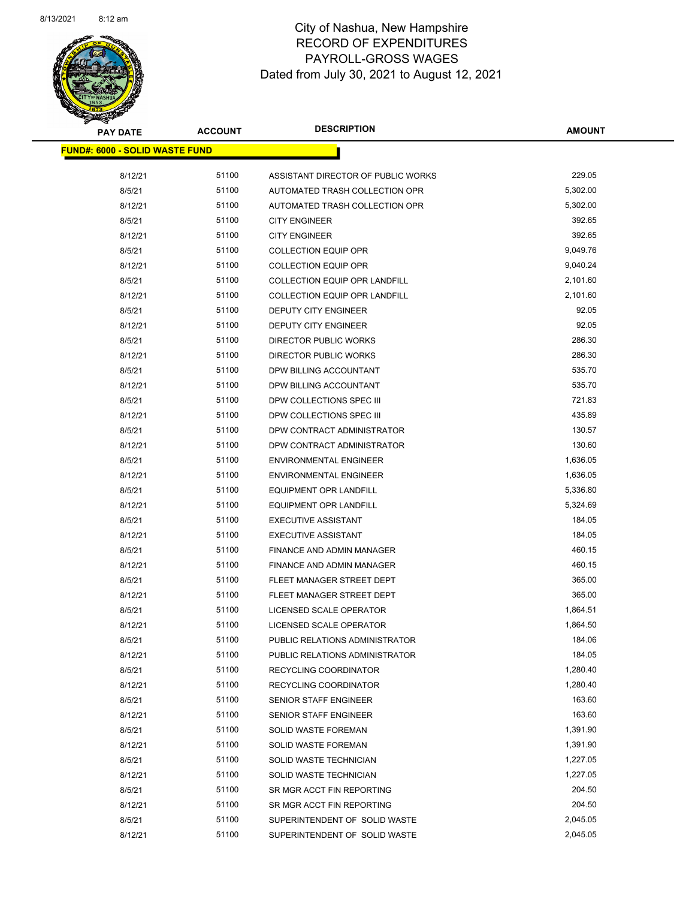

| <b>PAY DATE</b>                        | <b>ACCOUNT</b> | <b>DESCRIPTION</b>                   | <b>AMOUNT</b>        |
|----------------------------------------|----------------|--------------------------------------|----------------------|
| <u> FUND#: 6000 - SOLID WASTE FUND</u> |                |                                      |                      |
|                                        |                |                                      |                      |
| 8/12/21                                | 51100          | ASSISTANT DIRECTOR OF PUBLIC WORKS   | 229.05               |
| 8/5/21                                 | 51100          | AUTOMATED TRASH COLLECTION OPR       | 5,302.00<br>5,302.00 |
| 8/12/21                                | 51100          | AUTOMATED TRASH COLLECTION OPR       |                      |
| 8/5/21                                 | 51100          | <b>CITY ENGINEER</b>                 | 392.65               |
| 8/12/21                                | 51100          | <b>CITY ENGINEER</b>                 | 392.65               |
| 8/5/21                                 | 51100          | <b>COLLECTION EQUIP OPR</b>          | 9,049.76             |
| 8/12/21                                | 51100          | <b>COLLECTION EQUIP OPR</b>          | 9,040.24             |
| 8/5/21                                 | 51100          | <b>COLLECTION EQUIP OPR LANDFILL</b> | 2,101.60             |
| 8/12/21                                | 51100          | COLLECTION EQUIP OPR LANDFILL        | 2,101.60             |
| 8/5/21                                 | 51100          | DEPUTY CITY ENGINEER                 | 92.05                |
| 8/12/21                                | 51100          | DEPUTY CITY ENGINEER                 | 92.05                |
| 8/5/21                                 | 51100          | DIRECTOR PUBLIC WORKS                | 286.30               |
| 8/12/21                                | 51100          | <b>DIRECTOR PUBLIC WORKS</b>         | 286.30               |
| 8/5/21                                 | 51100          | DPW BILLING ACCOUNTANT               | 535.70               |
| 8/12/21                                | 51100          | DPW BILLING ACCOUNTANT               | 535.70               |
| 8/5/21                                 | 51100          | DPW COLLECTIONS SPEC III             | 721.83               |
| 8/12/21                                | 51100          | DPW COLLECTIONS SPEC III             | 435.89               |
| 8/5/21                                 | 51100          | DPW CONTRACT ADMINISTRATOR           | 130.57               |
| 8/12/21                                | 51100          | DPW CONTRACT ADMINISTRATOR           | 130.60               |
| 8/5/21                                 | 51100          | <b>ENVIRONMENTAL ENGINEER</b>        | 1,636.05             |
| 8/12/21                                | 51100          | <b>ENVIRONMENTAL ENGINEER</b>        | 1,636.05             |
| 8/5/21                                 | 51100          | EQUIPMENT OPR LANDFILL               | 5,336.80             |
| 8/12/21                                | 51100          | <b>EQUIPMENT OPR LANDFILL</b>        | 5,324.69             |
| 8/5/21                                 | 51100          | <b>EXECUTIVE ASSISTANT</b>           | 184.05               |
| 8/12/21                                | 51100          | <b>EXECUTIVE ASSISTANT</b>           | 184.05               |
| 8/5/21                                 | 51100          | FINANCE AND ADMIN MANAGER            | 460.15               |
| 8/12/21                                | 51100          | FINANCE AND ADMIN MANAGER            | 460.15               |
| 8/5/21                                 | 51100          | FLEET MANAGER STREET DEPT            | 365.00               |
| 8/12/21                                | 51100          | FLEET MANAGER STREET DEPT            | 365.00               |
| 8/5/21                                 | 51100          | LICENSED SCALE OPERATOR              | 1,864.51             |
| 8/12/21                                | 51100          | LICENSED SCALE OPERATOR              | 1,864.50             |
| 8/5/21                                 | 51100          | PUBLIC RELATIONS ADMINISTRATOR       | 184.06               |
| 8/12/21                                | 51100          | PUBLIC RELATIONS ADMINISTRATOR       | 184.05               |
| 8/5/21                                 | 51100          | RECYCLING COORDINATOR                | 1,280.40             |
| 8/12/21                                | 51100          | RECYCLING COORDINATOR                | 1,280.40             |
| 8/5/21                                 | 51100          | SENIOR STAFF ENGINEER                | 163.60               |
| 8/12/21                                | 51100          | SENIOR STAFF ENGINEER                | 163.60               |
| 8/5/21                                 | 51100          | SOLID WASTE FOREMAN                  | 1,391.90             |
| 8/12/21                                | 51100          | <b>SOLID WASTE FOREMAN</b>           | 1,391.90             |
| 8/5/21                                 | 51100          | SOLID WASTE TECHNICIAN               | 1,227.05             |
| 8/12/21                                | 51100          | SOLID WASTE TECHNICIAN               | 1,227.05             |
| 8/5/21                                 | 51100          | SR MGR ACCT FIN REPORTING            | 204.50               |
| 8/12/21                                | 51100          | SR MGR ACCT FIN REPORTING            | 204.50               |
| 8/5/21                                 | 51100          | SUPERINTENDENT OF SOLID WASTE        | 2,045.05             |
| 8/12/21                                | 51100          | SUPERINTENDENT OF SOLID WASTE        | 2,045.05             |
|                                        |                |                                      |                      |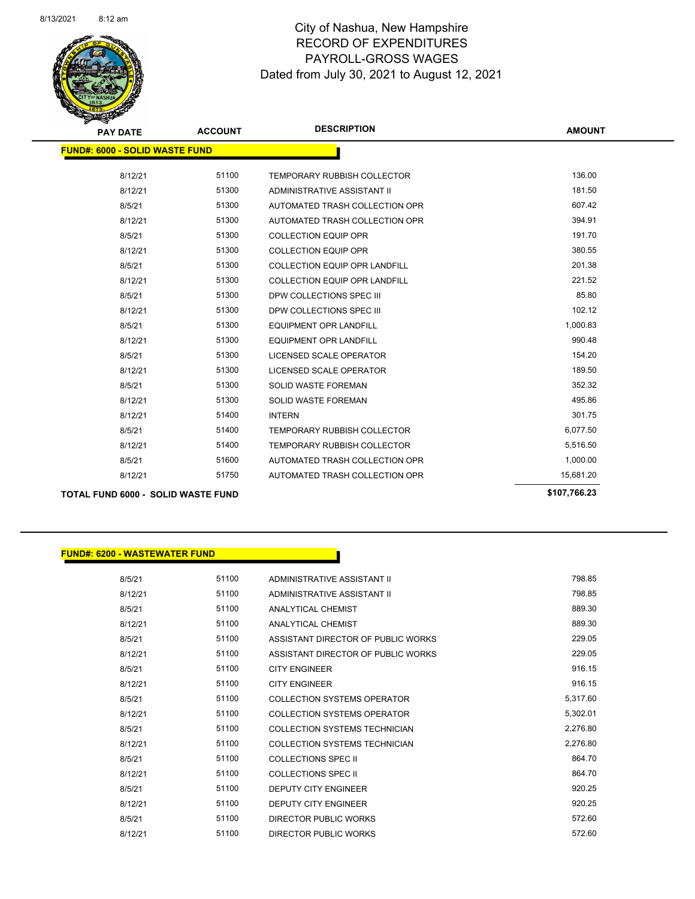

| <b>PAY DATE</b>                           | <b>ACCOUNT</b> | <b>DESCRIPTION</b>                   | <b>AMOUNT</b> |
|-------------------------------------------|----------------|--------------------------------------|---------------|
| <b>FUND#: 6000 - SOLID WASTE FUND</b>     |                |                                      |               |
| 8/12/21                                   | 51100          | <b>TEMPORARY RUBBISH COLLECTOR</b>   | 136.00        |
| 8/12/21                                   | 51300          | ADMINISTRATIVE ASSISTANT II          | 181.50        |
| 8/5/21                                    | 51300          | AUTOMATED TRASH COLLECTION OPR       | 607.42        |
| 8/12/21                                   | 51300          | AUTOMATED TRASH COLLECTION OPR       | 394.91        |
| 8/5/21                                    | 51300          | <b>COLLECTION EQUIP OPR</b>          | 191.70        |
| 8/12/21                                   | 51300          | <b>COLLECTION EQUIP OPR</b>          | 380.55        |
| 8/5/21                                    | 51300          | <b>COLLECTION EQUIP OPR LANDFILL</b> | 201.38        |
| 8/12/21                                   | 51300          | <b>COLLECTION EQUIP OPR LANDFILL</b> | 221.52        |
| 8/5/21                                    | 51300          | DPW COLLECTIONS SPEC III             | 85.80         |
| 8/12/21                                   | 51300          | DPW COLLECTIONS SPEC III             | 102.12        |
| 8/5/21                                    | 51300          | <b>EQUIPMENT OPR LANDFILL</b>        | 1,000.83      |
| 8/12/21                                   | 51300          | <b>EQUIPMENT OPR LANDFILL</b>        | 990.48        |
| 8/5/21                                    | 51300          | LICENSED SCALE OPERATOR              | 154.20        |
| 8/12/21                                   | 51300          | LICENSED SCALE OPERATOR              | 189.50        |
| 8/5/21                                    | 51300          | <b>SOLID WASTE FOREMAN</b>           | 352.32        |
| 8/12/21                                   | 51300          | <b>SOLID WASTE FOREMAN</b>           | 495.86        |
| 8/12/21                                   | 51400          | <b>INTERN</b>                        | 301.75        |
| 8/5/21                                    | 51400          | <b>TEMPORARY RUBBISH COLLECTOR</b>   | 6,077.50      |
| 8/12/21                                   | 51400          | <b>TEMPORARY RUBBISH COLLECTOR</b>   | 5,516.50      |
| 8/5/21                                    | 51600          | AUTOMATED TRASH COLLECTION OPR       | 1,000.00      |
| 8/12/21                                   | 51750          | AUTOMATED TRASH COLLECTION OPR       | 15,681.20     |
| <b>TOTAL FUND 6000 - SOLID WASTE FUND</b> |                |                                      | \$107,766.23  |

| <b>FUND#: 6200 - WASTEWATER FUND</b> |       |                                      |  |
|--------------------------------------|-------|--------------------------------------|--|
| 8/5/21                               | 51100 | ADMINISTRATIVE ASSISTANT II          |  |
| 8/12/21                              | 51100 | ADMINISTRATIVE ASSISTANT II          |  |
| 8/5/21                               | 51100 | <b>ANALYTICAL CHEMIST</b>            |  |
|                                      | 51100 | <b>ANALYTICAL CHEMIST</b>            |  |
| 8/12/21                              |       |                                      |  |
| 8/5/21                               | 51100 | ASSISTANT DIRECTOR OF PUBLIC WORKS   |  |
| 8/12/21                              | 51100 | ASSISTANT DIRECTOR OF PUBLIC WORKS   |  |
| 8/5/21                               | 51100 | <b>CITY ENGINEER</b>                 |  |
| 8/12/21                              | 51100 | <b>CITY ENGINEER</b>                 |  |
| 8/5/21                               | 51100 | <b>COLLECTION SYSTEMS OPERATOR</b>   |  |
| 8/12/21                              | 51100 | <b>COLLECTION SYSTEMS OPERATOR</b>   |  |
| 8/5/21                               | 51100 | <b>COLLECTION SYSTEMS TECHNICIAN</b> |  |
| 8/12/21                              | 51100 | <b>COLLECTION SYSTEMS TECHNICIAN</b> |  |
| 8/5/21                               | 51100 | <b>COLLECTIONS SPEC II</b>           |  |
| 8/12/21                              | 51100 | <b>COLLECTIONS SPEC II</b>           |  |
| 8/5/21                               | 51100 | <b>DEPUTY CITY ENGINEER</b>          |  |
| 8/12/21                              | 51100 | <b>DEPUTY CITY ENGINEER</b>          |  |
| 8/5/21                               | 51100 | DIRECTOR PUBLIC WORKS                |  |
| 8/12/21                              | 51100 | DIRECTOR PUBLIC WORKS                |  |
|                                      |       |                                      |  |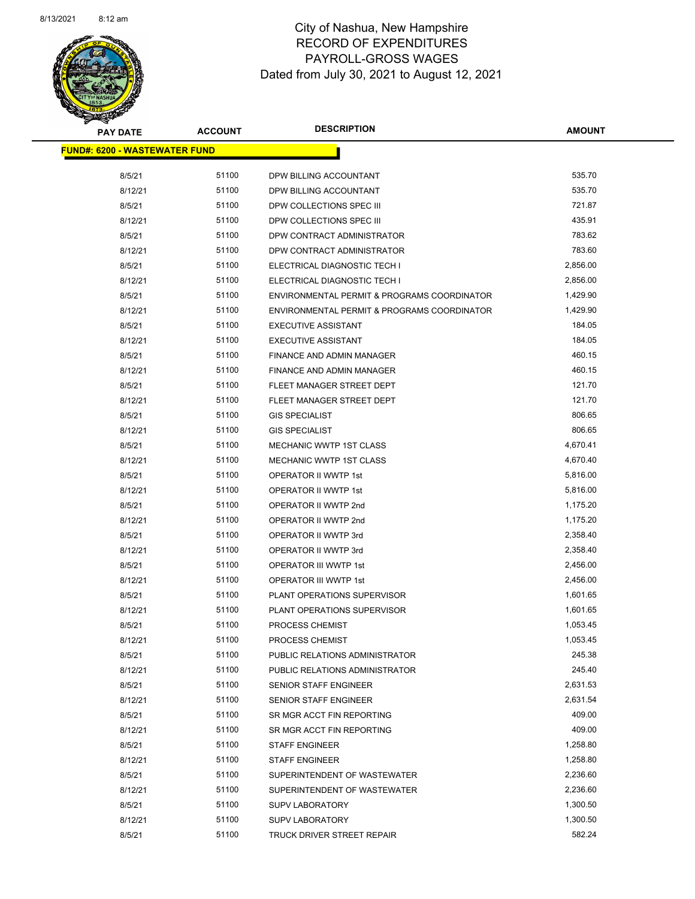

Page 87 of 90

| <b>PAY DATE</b>                      | <b>ACCOUNT</b> | <b>DESCRIPTION</b>                          | <b>AMOUNT</b> |  |
|--------------------------------------|----------------|---------------------------------------------|---------------|--|
| <b>FUND#: 6200 - WASTEWATER FUND</b> |                |                                             |               |  |
|                                      |                |                                             |               |  |
| 8/5/21                               | 51100          | DPW BILLING ACCOUNTANT                      | 535.70        |  |
| 8/12/21                              | 51100          | DPW BILLING ACCOUNTANT                      | 535.70        |  |
| 8/5/21                               | 51100          | DPW COLLECTIONS SPEC III                    | 721.87        |  |
| 8/12/21                              | 51100          | DPW COLLECTIONS SPEC III                    | 435.91        |  |
| 8/5/21                               | 51100          | DPW CONTRACT ADMINISTRATOR                  | 783.62        |  |
| 8/12/21                              | 51100          | DPW CONTRACT ADMINISTRATOR                  | 783.60        |  |
| 8/5/21                               | 51100          | ELECTRICAL DIAGNOSTIC TECH I                | 2,856.00      |  |
| 8/12/21                              | 51100          | ELECTRICAL DIAGNOSTIC TECH I                | 2,856.00      |  |
| 8/5/21                               | 51100          | ENVIRONMENTAL PERMIT & PROGRAMS COORDINATOR | 1,429.90      |  |
| 8/12/21                              | 51100          | ENVIRONMENTAL PERMIT & PROGRAMS COORDINATOR | 1,429.90      |  |
| 8/5/21                               | 51100          | <b>EXECUTIVE ASSISTANT</b>                  | 184.05        |  |
| 8/12/21                              | 51100          | <b>EXECUTIVE ASSISTANT</b>                  | 184.05        |  |
| 8/5/21                               | 51100          | <b>FINANCE AND ADMIN MANAGER</b>            | 460.15        |  |
| 8/12/21                              | 51100          | FINANCE AND ADMIN MANAGER                   | 460.15        |  |
| 8/5/21                               | 51100          | FLEET MANAGER STREET DEPT                   | 121.70        |  |
| 8/12/21                              | 51100          | FLEET MANAGER STREET DEPT                   | 121.70        |  |
| 8/5/21                               | 51100          | <b>GIS SPECIALIST</b>                       | 806.65        |  |
| 8/12/21                              | 51100          | <b>GIS SPECIALIST</b>                       | 806.65        |  |
| 8/5/21                               | 51100          | MECHANIC WWTP 1ST CLASS                     | 4,670.41      |  |
| 8/12/21                              | 51100          | MECHANIC WWTP 1ST CLASS                     | 4,670.40      |  |
| 8/5/21                               | 51100          | OPERATOR II WWTP 1st                        | 5,816.00      |  |
| 8/12/21                              | 51100          | OPERATOR II WWTP 1st                        | 5,816.00      |  |
| 8/5/21                               | 51100          | OPERATOR II WWTP 2nd                        | 1,175.20      |  |
| 8/12/21                              | 51100          | OPERATOR II WWTP 2nd                        | 1,175.20      |  |
| 8/5/21                               | 51100          | OPERATOR II WWTP 3rd                        | 2,358.40      |  |
| 8/12/21                              | 51100          | OPERATOR II WWTP 3rd                        | 2,358.40      |  |
| 8/5/21                               | 51100          | OPERATOR III WWTP 1st                       | 2,456.00      |  |
| 8/12/21                              | 51100          | OPERATOR III WWTP 1st                       | 2,456.00      |  |
| 8/5/21                               | 51100          | PLANT OPERATIONS SUPERVISOR                 | 1,601.65      |  |
| 8/12/21                              | 51100          | PLANT OPERATIONS SUPERVISOR                 | 1,601.65      |  |
| 8/5/21                               | 51100          | <b>PROCESS CHEMIST</b>                      | 1,053.45      |  |
| 8/12/21                              | 51100          | PROCESS CHEMIST                             | 1,053.45      |  |
| 8/5/21                               | 51100          | PUBLIC RELATIONS ADMINISTRATOR              | 245.38        |  |
| 8/12/21                              | 51100          | PUBLIC RELATIONS ADMINISTRATOR              | 245.40        |  |
| 8/5/21                               | 51100          | SENIOR STAFF ENGINEER                       | 2,631.53      |  |
| 8/12/21                              | 51100          | SENIOR STAFF ENGINEER                       | 2,631.54      |  |
| 8/5/21                               | 51100          | SR MGR ACCT FIN REPORTING                   | 409.00        |  |
| 8/12/21                              | 51100          | SR MGR ACCT FIN REPORTING                   | 409.00        |  |
| 8/5/21                               | 51100          | <b>STAFF ENGINEER</b>                       | 1,258.80      |  |
| 8/12/21                              | 51100          | <b>STAFF ENGINEER</b>                       | 1,258.80      |  |
| 8/5/21                               | 51100          | SUPERINTENDENT OF WASTEWATER                | 2,236.60      |  |
| 8/12/21                              | 51100          | SUPERINTENDENT OF WASTEWATER                | 2,236.60      |  |
| 8/5/21                               | 51100          | <b>SUPV LABORATORY</b>                      | 1,300.50      |  |
| 8/12/21                              | 51100          | <b>SUPV LABORATORY</b>                      | 1,300.50      |  |
| 8/5/21                               | 51100          | TRUCK DRIVER STREET REPAIR                  | 582.24        |  |
|                                      |                |                                             |               |  |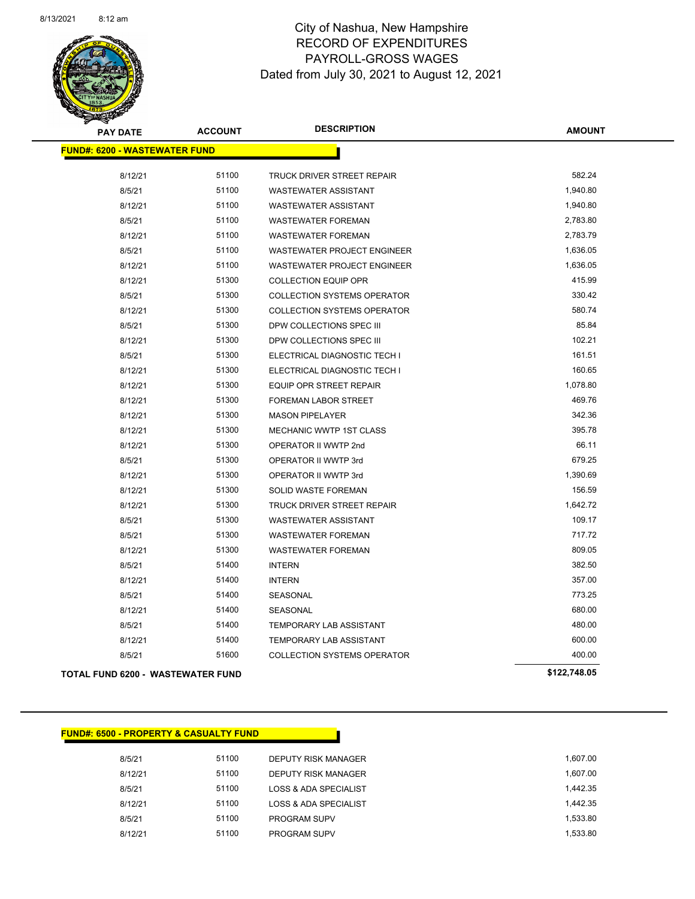

Page 88 of 90

| <b>PAY DATE</b>                          | <b>ACCOUNT</b> | <b>DESCRIPTION</b>                 | <b>AMOUNT</b> |
|------------------------------------------|----------------|------------------------------------|---------------|
| <b>FUND#: 6200 - WASTEWATER FUND</b>     |                |                                    |               |
| 8/12/21                                  | 51100          | TRUCK DRIVER STREET REPAIR         | 582.24        |
| 8/5/21                                   | 51100          | <b>WASTEWATER ASSISTANT</b>        | 1,940.80      |
| 8/12/21                                  | 51100          | <b>WASTEWATER ASSISTANT</b>        | 1,940.80      |
| 8/5/21                                   | 51100          | <b>WASTEWATER FOREMAN</b>          | 2,783.80      |
| 8/12/21                                  | 51100          | <b>WASTEWATER FOREMAN</b>          | 2,783.79      |
| 8/5/21                                   | 51100          | <b>WASTEWATER PROJECT ENGINEER</b> | 1,636.05      |
| 8/12/21                                  | 51100          | <b>WASTEWATER PROJECT ENGINEER</b> | 1,636.05      |
| 8/12/21                                  | 51300          | <b>COLLECTION EQUIP OPR</b>        | 415.99        |
| 8/5/21                                   | 51300          | <b>COLLECTION SYSTEMS OPERATOR</b> | 330.42        |
| 8/12/21                                  | 51300          | <b>COLLECTION SYSTEMS OPERATOR</b> | 580.74        |
| 8/5/21                                   | 51300          | DPW COLLECTIONS SPEC III           | 85.84         |
| 8/12/21                                  | 51300          | DPW COLLECTIONS SPEC III           | 102.21        |
| 8/5/21                                   | 51300          | ELECTRICAL DIAGNOSTIC TECH I       | 161.51        |
| 8/12/21                                  | 51300          | ELECTRICAL DIAGNOSTIC TECH I       | 160.65        |
| 8/12/21                                  | 51300          | EQUIP OPR STREET REPAIR            | 1,078.80      |
| 8/12/21                                  | 51300          | FOREMAN LABOR STREET               | 469.76        |
| 8/12/21                                  | 51300          | <b>MASON PIPELAYER</b>             | 342.36        |
| 8/12/21                                  | 51300          | MECHANIC WWTP 1ST CLASS            | 395.78        |
| 8/12/21                                  | 51300          | OPERATOR II WWTP 2nd               | 66.11         |
| 8/5/21                                   | 51300          | OPERATOR II WWTP 3rd               | 679.25        |
| 8/12/21                                  | 51300          | OPERATOR II WWTP 3rd               | 1,390.69      |
| 8/12/21                                  | 51300          | SOLID WASTE FOREMAN                | 156.59        |
| 8/12/21                                  | 51300          | TRUCK DRIVER STREET REPAIR         | 1,642.72      |
| 8/5/21                                   | 51300          | <b>WASTEWATER ASSISTANT</b>        | 109.17        |
| 8/5/21                                   | 51300          | <b>WASTEWATER FOREMAN</b>          | 717.72        |
| 8/12/21                                  | 51300          | <b>WASTEWATER FOREMAN</b>          | 809.05        |
| 8/5/21                                   | 51400          | <b>INTERN</b>                      | 382.50        |
| 8/12/21                                  | 51400          | <b>INTERN</b>                      | 357.00        |
| 8/5/21                                   | 51400          | SEASONAL                           | 773.25        |
| 8/12/21                                  | 51400          | SEASONAL                           | 680.00        |
| 8/5/21                                   | 51400          | TEMPORARY LAB ASSISTANT            | 480.00        |
| 8/12/21                                  | 51400          | TEMPORARY LAB ASSISTANT            | 600.00        |
| 8/5/21                                   | 51600          | <b>COLLECTION SYSTEMS OPERATOR</b> | 400.00        |
| <b>TOTAL FUND 6200 - WASTEWATER FUND</b> |                |                                    | \$122,748.05  |

#### **FUND#: 6500 - PROPERTY & CASUALTY FUND**

| 8/5/21  | 51100 | DEPUTY RISK MANAGER   | 1.607.00 |
|---------|-------|-----------------------|----------|
| 8/12/21 | 51100 | DEPUTY RISK MANAGER   | 1.607.00 |
| 8/5/21  | 51100 | LOSS & ADA SPECIALIST | 1.442.35 |
| 8/12/21 | 51100 | LOSS & ADA SPECIALIST | 1.442.35 |
| 8/5/21  | 51100 | <b>PROGRAM SUPV</b>   | 1.533.80 |
| 8/12/21 | 51100 | <b>PROGRAM SUPV</b>   | 1.533.80 |
|         |       |                       |          |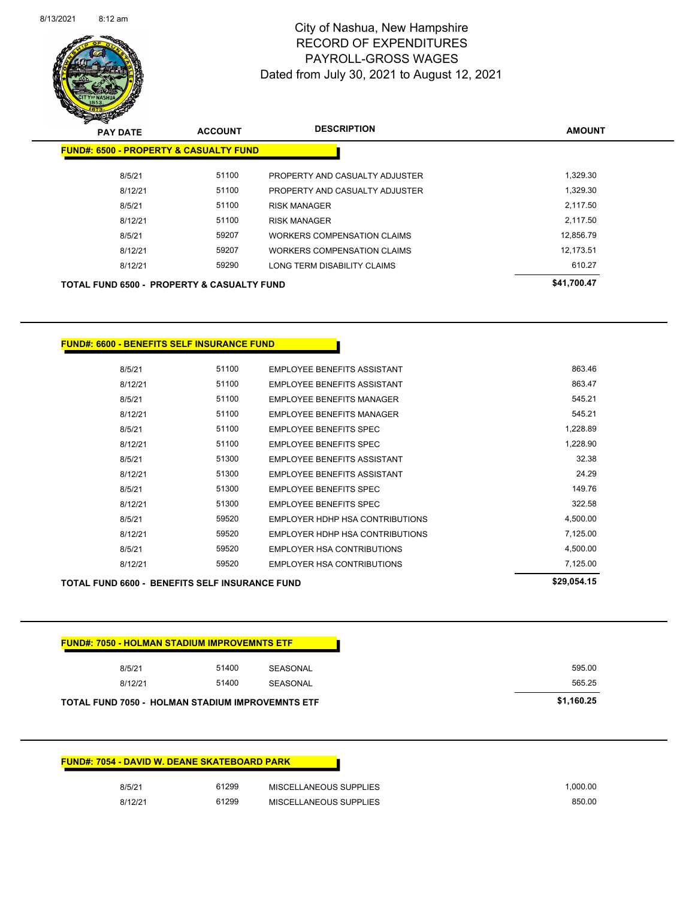

Page 89 of 90

| $\sum_{i=1}^n$                                        |                |                                |               |
|-------------------------------------------------------|----------------|--------------------------------|---------------|
| <b>PAY DATE</b>                                       | <b>ACCOUNT</b> | <b>DESCRIPTION</b>             | <b>AMOUNT</b> |
| <b>FUND#: 6500 - PROPERTY &amp; CASUALTY FUND</b>     |                |                                |               |
| 8/5/21                                                | 51100          | PROPERTY AND CASUALTY ADJUSTER | 1,329.30      |
| 8/12/21                                               | 51100          | PROPERTY AND CASUALTY ADJUSTER | 1,329.30      |
| 8/5/21                                                | 51100          | <b>RISK MANAGER</b>            | 2.117.50      |
| 8/12/21                                               | 51100          | <b>RISK MANAGER</b>            | 2,117.50      |
| 8/5/21                                                | 59207          | WORKERS COMPENSATION CLAIMS    | 12.856.79     |
| 8/12/21                                               | 59207          | WORKERS COMPENSATION CLAIMS    | 12.173.51     |
| 8/12/21                                               | 59290          | LONG TERM DISABILITY CLAIMS    | 610.27        |
| <b>TOTAL FUND 6500 - PROPERTY &amp; CASUALTY FUND</b> |                |                                | \$41,700.47   |
|                                                       |                |                                |               |

**FUND#: 6600 - BENEFITS SELF INSURANCE FUND**

| 8/5/21  | 51100 | <b>FMPLOYEE BENEEITS ASSISTANT</b>  | 863.46   |
|---------|-------|-------------------------------------|----------|
| 8/12/21 | 51100 | EMPLOYEE BENEFITS ASSISTANT         | 863.47   |
| 8/5/21  | 51100 | <b>FMPLOYEE BENEFITS MANAGER</b>    | 545.21   |
| 8/12/21 | 51100 | <b>EMPLOYEE BENEEITS MANAGER</b>    | 545.21   |
| 8/5/21  | 51100 | EMPLOYEE BENEFITS SPEC              | 1.228.89 |
| 8/12/21 | 51100 | <b>EMPLOYEE BENEFITS SPEC</b>       | 1,228.90 |
| 8/5/21  | 51300 | <b>EMPLOYEE BENEFITS ASSISTANT</b>  | 32.38    |
| 8/12/21 | 51300 | <b>FMPI OYFF BENFFITS ASSISTANT</b> | 24.29    |
| 8/5/21  | 51300 | EMPLOYEE BENEFITS SPEC              | 149.76   |
| 8/12/21 | 51300 | <b>EMPLOYEE BENEFITS SPEC</b>       | 322.58   |
| 8/5/21  | 59520 | EMPLOYER HDHP HSA CONTRIBUTIONS     | 4,500.00 |
| 8/12/21 | 59520 | EMPLOYER HDHP HSA CONTRIBUTIONS     | 7,125.00 |
| 8/5/21  | 59520 | EMPLOYER HSA CONTRIBUTIONS          | 4.500.00 |
| 8/12/21 | 59520 | EMPLOYER HSA CONTRIBUTIONS          | 7.125.00 |
|         |       |                                     |          |

| <b>TOTAL FUND 6600 - BENEFITS SELF INSURANCE FUND</b> | \$29.054.15 |
|-------------------------------------------------------|-------------|
|-------------------------------------------------------|-------------|

| <b>FUND#: 7050 - HOLMAN STADIUM IMPROVEMNTS ETF</b> |       |          |        |
|-----------------------------------------------------|-------|----------|--------|
| 8/5/21                                              | 51400 | SEASONAL | 595.00 |
| 8/12/21                                             | 51400 | SEASONAL | 565.25 |

#### **FUND#: 7054 - DAVID W. DEANE SKATEBOARD PARK**

| 8/5/21  | 61299 | <b>MISCELLANEOUS SUPPLIES</b> | .000.00 |
|---------|-------|-------------------------------|---------|
| 8/12/21 | 61299 | MISCELLANEOUS SUPPLIES        | 850.00  |